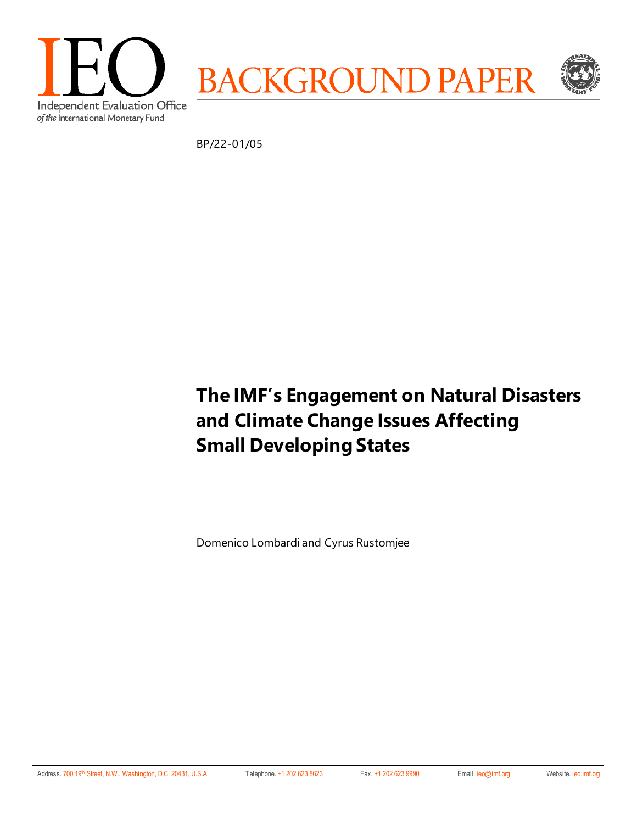

BP/22-01/05

# **The IMF's Engagement on Natural Disasters and Climate Change Issues Affecting Small Developing States**

Domenico Lombardi and Cyrus Rustomjee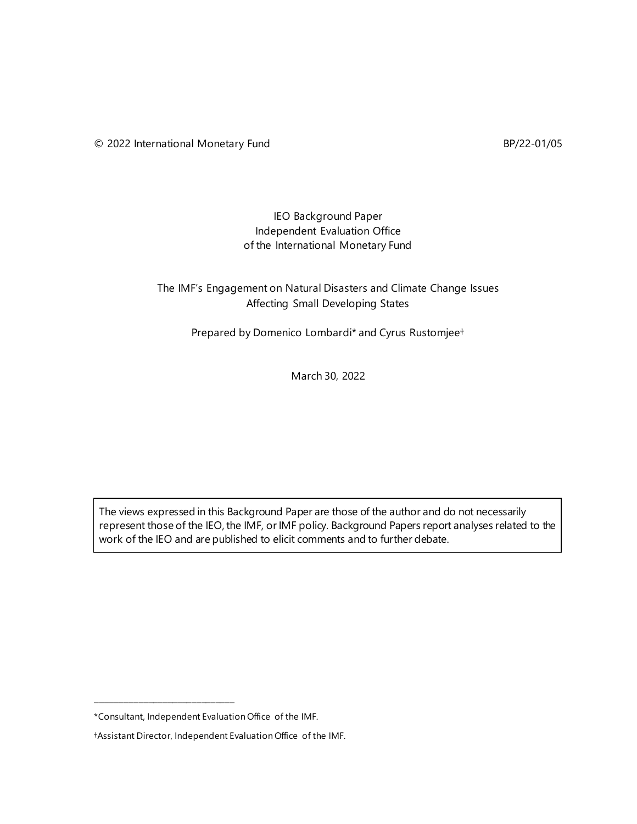### IEO Background Paper Independent Evaluation Office of the International Monetary Fund

# The IMF's Engagement on Natural Disasters and Climate Change Issues Affecting Small Developing States

Prepared by Domenico Lombardi\* and Cyrus Rustomjee†

March 30, 2022

The views expressed in this Background Paper are those of the author and do not necessarily represent those of the IEO, the IMF, or IMF policy. Background Papers report analyses related to the work of the IEO and are published to elicit comments and to further debate.

**\_\_\_\_\_\_\_\_\_\_\_\_\_\_\_\_\_\_\_\_\_\_\_\_\_\_\_\_\_**

<sup>\*</sup>Consultant, Independent Evaluation Office of the IMF.

<sup>†</sup>Assistant Director, Independent Evaluation Office of the IMF.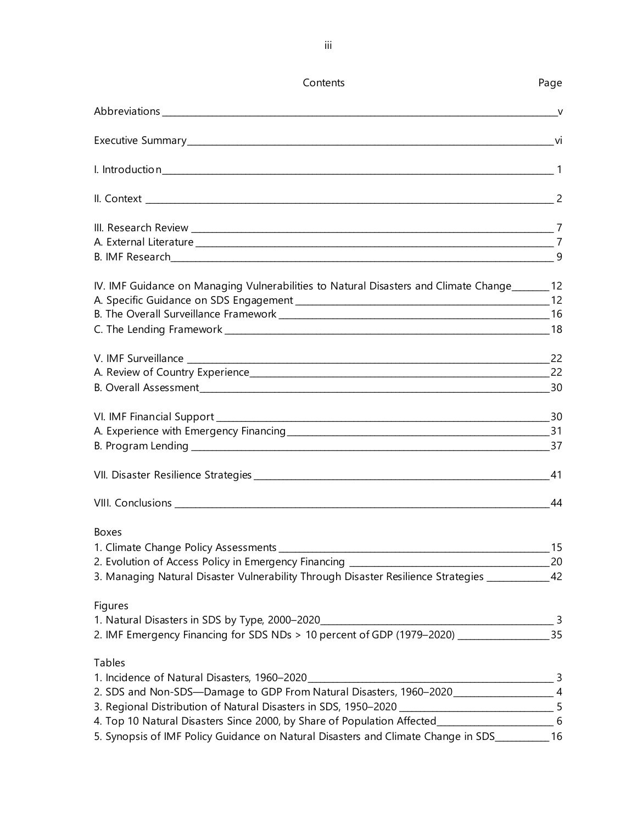| Contents                                                                                                                                            | Page   |
|-----------------------------------------------------------------------------------------------------------------------------------------------------|--------|
|                                                                                                                                                     | $\vee$ |
|                                                                                                                                                     |        |
|                                                                                                                                                     |        |
|                                                                                                                                                     |        |
|                                                                                                                                                     |        |
|                                                                                                                                                     |        |
|                                                                                                                                                     | 9      |
| IV. IMF Guidance on Managing Vulnerabilities to Natural Disasters and Climate Change_______ 12                                                      |        |
|                                                                                                                                                     |        |
|                                                                                                                                                     |        |
|                                                                                                                                                     |        |
|                                                                                                                                                     |        |
|                                                                                                                                                     |        |
|                                                                                                                                                     |        |
|                                                                                                                                                     |        |
|                                                                                                                                                     |        |
|                                                                                                                                                     | 41     |
|                                                                                                                                                     |        |
| <b>Boxes</b>                                                                                                                                        |        |
|                                                                                                                                                     | 15     |
|                                                                                                                                                     |        |
| 3. Managing Natural Disaster Vulnerability Through Disaster Resilience Strategies ____________ 42                                                   |        |
| Figures                                                                                                                                             |        |
|                                                                                                                                                     |        |
| 1. Natural Disasters in SDS by Type, 2000–2020<br>2. IMF Emergency Financing for SDS NDs > 10 percent of GDP (1979–2020) ________________________35 |        |
| Tables                                                                                                                                              |        |
|                                                                                                                                                     |        |
|                                                                                                                                                     |        |
| 3. Regional Distribution of Natural Disasters in SDS, 1950–2020<br>4. Top 10 Natural Disasters Since 2000, by Share of Population Affected          |        |
|                                                                                                                                                     |        |
| 5. Synopsis of IMF Policy Guidance on Natural Disasters and Climate Change in SDS___________ 16                                                     |        |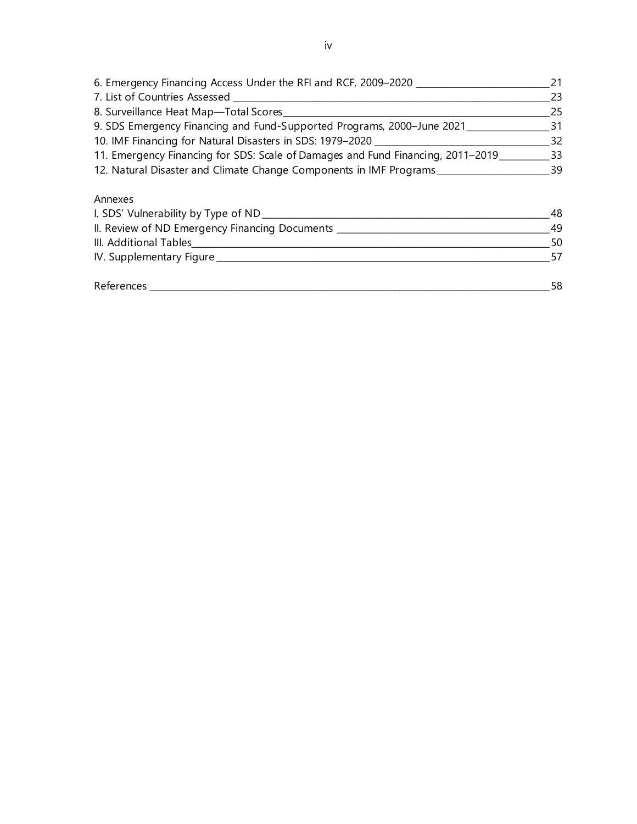| 6. Emergency Financing Access Under the RFI and RCF, 2009-2020                  | 21  |
|---------------------------------------------------------------------------------|-----|
| 7. List of Countries Assessed _                                                 | 23  |
| 8. Surveillance Heat Map-Total Scores                                           | 25  |
| 9. SDS Emergency Financing and Fund-Supported Programs, 2000-June 2021_         | -31 |
| 10. IMF Financing for Natural Disasters in SDS: 1979-2020                       | 32  |
| 11. Emergency Financing for SDS: Scale of Damages and Fund Financing, 2011-2019 | -33 |
| 12. Natural Disaster and Climate Change Components in IMF Programs              | 39  |
| Annexes                                                                         |     |
| I. SDS' Vulnerability by Type of ND                                             | 48  |

| I. SDS' Vulnerability by Type of ND_           | 48  |
|------------------------------------------------|-----|
| II. Review of ND Emergency Financing Documents | 49  |
| III. Additional Tables                         | 50  |
| IV. Supplementary Figure                       | 57  |
|                                                |     |
| References                                     | 58. |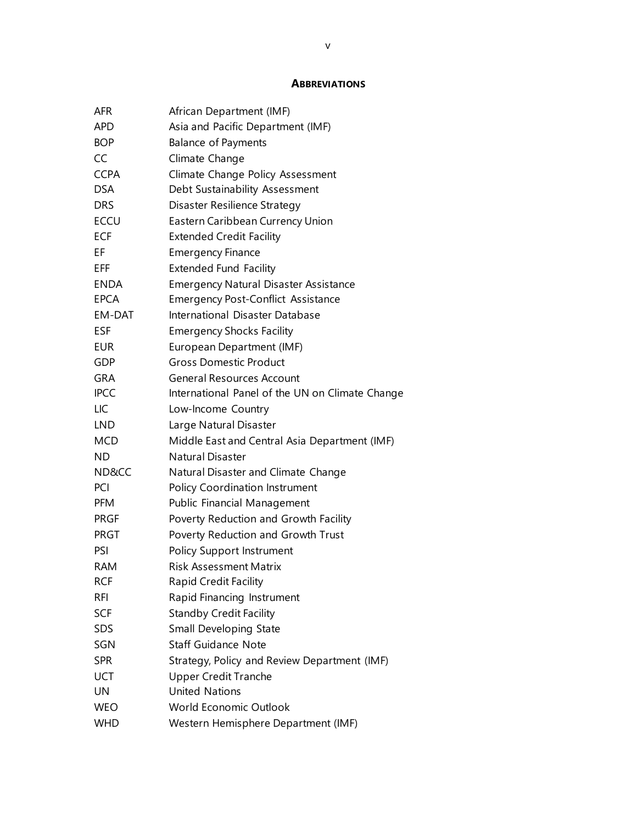#### **ABBREVIATIONS**

| AFR         | African Department (IMF)                        |
|-------------|-------------------------------------------------|
| <b>APD</b>  | Asia and Pacific Department (IMF)               |
| <b>BOP</b>  | <b>Balance of Payments</b>                      |
| CC          | Climate Change                                  |
| <b>CCPA</b> | Climate Change Policy Assessment                |
| <b>DSA</b>  | Debt Sustainability Assessment                  |
| <b>DRS</b>  | Disaster Resilience Strategy                    |
| <b>ECCU</b> | Eastern Caribbean Currency Union                |
| <b>ECF</b>  | <b>Extended Credit Facility</b>                 |
| ΕF          | <b>Emergency Finance</b>                        |
| EFF         | <b>Extended Fund Facility</b>                   |
| <b>ENDA</b> | <b>Emergency Natural Disaster Assistance</b>    |
| <b>EPCA</b> | <b>Emergency Post-Conflict Assistance</b>       |
| EM-DAT      | International Disaster Database                 |
| <b>ESF</b>  | <b>Emergency Shocks Facility</b>                |
| EUR         | European Department (IMF)                       |
| GDP         | <b>Gross Domestic Product</b>                   |
| <b>GRA</b>  | <b>General Resources Account</b>                |
| <b>IPCC</b> | International Panel of the UN on Climate Change |
| LIC         | Low-Income Country                              |
| <b>LND</b>  | Large Natural Disaster                          |
| MCD         | Middle East and Central Asia Department (IMF)   |
| <b>ND</b>   | <b>Natural Disaster</b>                         |
| ND&CC       | Natural Disaster and Climate Change             |
| PCI         | Policy Coordination Instrument                  |
| <b>PFM</b>  | Public Financial Management                     |
| <b>PRGF</b> | Poverty Reduction and Growth Facility           |
| <b>PRGT</b> | Poverty Reduction and Growth Trust              |
| PSI         | <b>Policy Support Instrument</b>                |
| RAM         | Risk Assessment Matrix                          |
| <b>RCF</b>  | <b>Rapid Credit Facility</b>                    |
| RFI         | Rapid Financing Instrument                      |
| SCF         | <b>Standby Credit Facility</b>                  |
| <b>SDS</b>  | Small Developing State                          |
| SGN         | <b>Staff Guidance Note</b>                      |
| <b>SPR</b>  | Strategy, Policy and Review Department (IMF)    |
| <b>UCT</b>  | <b>Upper Credit Tranche</b>                     |
| UN          | <b>United Nations</b>                           |
| <b>WEO</b>  | <b>World Economic Outlook</b>                   |
| WHD         | Western Hemisphere Department (IMF)             |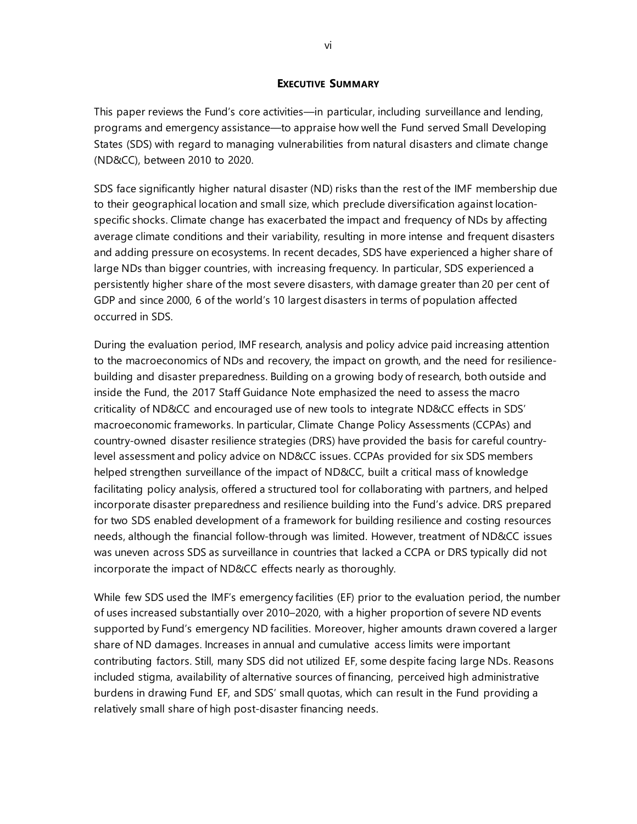#### **EXECUTIVE SUMMARY**

This paper reviews the Fund's core activities—in particular, including surveillance and lending, programs and emergency assistance—to appraise how well the Fund served Small Developing States (SDS) with regard to managing vulnerabilities from natural disasters and climate change (ND&CC), between 2010 to 2020.

SDS face significantly higher natural disaster (ND) risks than the rest of the IMF membership due to their geographical location and small size, which preclude diversification against locationspecific shocks. Climate change has exacerbated the impact and frequency of NDs by affecting average climate conditions and their variability, resulting in more intense and frequent disasters and adding pressure on ecosystems. In recent decades, SDS have experienced a higher share of large NDs than bigger countries, with increasing frequency. In particular, SDS experienced a persistently higher share of the most severe disasters, with damage greater than 20 per cent of GDP and since 2000, 6 of the world's 10 largest disasters in terms of population affected occurred in SDS.

During the evaluation period, IMF research, analysis and policy advice paid increasing attention to the macroeconomics of NDs and recovery, the impact on growth, and the need for resiliencebuilding and disaster preparedness. Building on a growing body of research, both outside and inside the Fund, the 2017 Staff Guidance Note emphasized the need to assess the macro criticality of ND&CC and encouraged use of new tools to integrate ND&CC effects in SDS' macroeconomic frameworks. In particular, Climate Change Policy Assessments (CCPAs) and country-owned disaster resilience strategies (DRS) have provided the basis for careful countrylevel assessment and policy advice on ND&CC issues. CCPAs provided for six SDS members helped strengthen surveillance of the impact of ND&CC, built a critical mass of knowledge facilitating policy analysis, offered a structured tool for collaborating with partners, and helped incorporate disaster preparedness and resilience building into the Fund's advice. DRS prepared for two SDS enabled development of a framework for building resilience and costing resources needs, although the financial follow-through was limited. However, treatment of ND&CC issues was uneven across SDS as surveillance in countries that lacked a CCPA or DRS typically did not incorporate the impact of ND&CC effects nearly as thoroughly.

While few SDS used the IMF's emergency facilities (EF) prior to the evaluation period, the number of uses increased substantially over 2010–2020, with a higher proportion of severe ND events supported by Fund's emergency ND facilities. Moreover, higher amounts drawn covered a larger share of ND damages. Increases in annual and cumulative access limits were important contributing factors. Still, many SDS did not utilized EF, some despite facing large NDs. Reasons included stigma, availability of alternative sources of financing, perceived high administrative burdens in drawing Fund EF, and SDS' small quotas, which can result in the Fund providing a relatively small share of high post-disaster financing needs.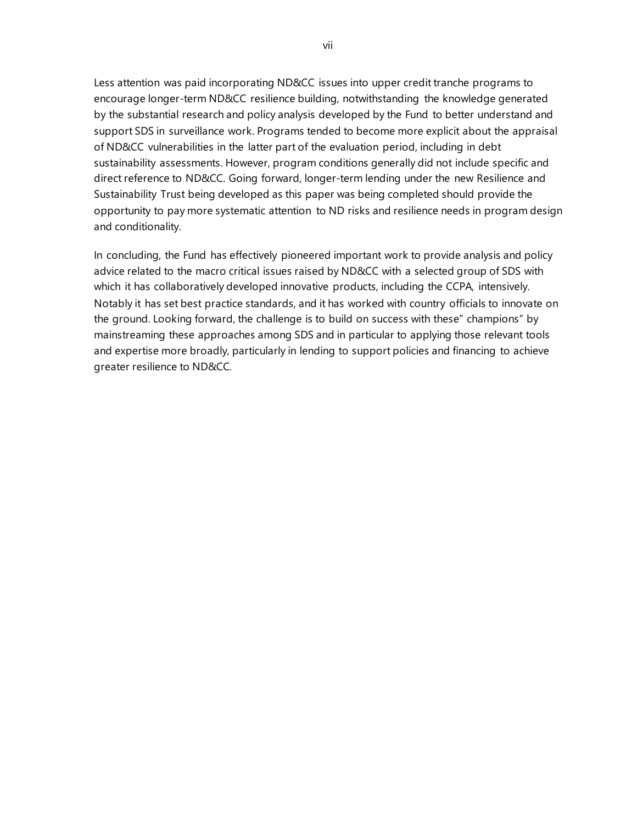Less attention was paid incorporating ND&CC issues into upper credit tranche programs to encourage longer-term ND&CC resilience building, notwithstanding the knowledge generated by the substantial research and policy analysis developed by the Fund to better understand and support SDS in surveillance work. Programs tended to become more explicit about the appraisal of ND&CC vulnerabilities in the latter part of the evaluation period, including in debt sustainability assessments. However, program conditions generally did not include specific and direct reference to ND&CC. Going forward, longer-term lending under the new Resilience and Sustainability Trust being developed as this paper was being completed should provide the opportunity to pay more systematic attention to ND risks and resilience needs in program design and conditionality.

In concluding, the Fund has effectively pioneered important work to provide analysis and policy advice related to the macro critical issues raised by ND&CC with a selected group of SDS with which it has collaboratively developed innovative products, including the CCPA, intensively. Notably it has set best practice standards, and it has worked with country officials to innovate on the ground. Looking forward, the challenge is to build on success with these" champions" by mainstreaming these approaches among SDS and in particular to applying those relevant tools and expertise more broadly, particularly in lending to support policies and financing to achieve greater resilience to ND&CC.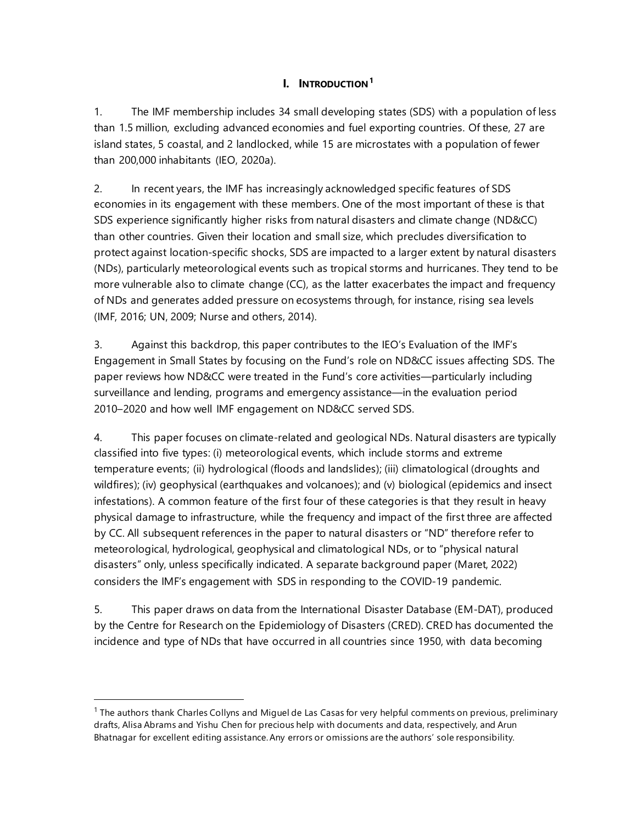# **I. INTRODUCTION[1](#page-8-0)**

1. The IMF membership includes 34 small developing states (SDS) with a population of less than 1.5 million, excluding advanced economies and fuel exporting countries. Of these, 27 are island states, 5 coastal, and 2 landlocked, while 15 are microstates with a population of fewer than 200,000 inhabitants (IEO, 2020a).

2. In recent years, the IMF has increasingly acknowledged specific features of SDS economies in its engagement with these members. One of the most important of these is that SDS experience significantly higher risks from natural disasters and climate change (ND&CC) than other countries. Given their location and small size, which precludes diversification to protect against location-specific shocks, SDS are impacted to a larger extent by natural disasters (NDs), particularly meteorological events such as tropical storms and hurricanes. They tend to be more vulnerable also to climate change (CC), as the latter exacerbates the impact and frequency of NDs and generates added pressure on ecosystems through, for instance, rising sea levels (IMF, 2016; UN, 2009; Nurse and others, 2014).

3. Against this backdrop, this paper contributes to the IEO's Evaluation of the IMF's Engagement in Small States by focusing on the Fund's role on ND&CC issues affecting SDS. The paper reviews how ND&CC were treated in the Fund's core activities—particularly including surveillance and lending, programs and emergency assistance—in the evaluation period 2010–2020 and how well IMF engagement on ND&CC served SDS.

4. This paper focuses on climate-related and geological NDs. Natural disasters are typically classified into five types: (i) meteorological events, which include storms and extreme temperature events; (ii) hydrological (floods and landslides); (iii) climatological (droughts and wildfires); (iv) geophysical (earthquakes and volcanoes); and (v) biological (epidemics and insect infestations). A common feature of the first four of these categories is that they result in heavy physical damage to infrastructure, while the frequency and impact of the first three are affected by CC. All subsequent references in the paper to natural disasters or "ND" therefore refer to meteorological, hydrological, geophysical and climatological NDs, or to "physical natural disasters" only, unless specifically indicated. A separate background paper (Maret, 2022) considers the IMF's engagement with SDS in responding to the COVID-19 pandemic.

5. This paper draws on data from the International Disaster Database (EM-DAT), produced by the Centre for Research on the Epidemiology of Disasters (CRED). CRED has documented the incidence and type of NDs that have occurred in all countries since 1950, with data becoming

<span id="page-8-0"></span> $1$  The authors thank Charles Collyns and Miguel de Las Casas for very helpful comments on previous, preliminary drafts, Alisa Abrams and Yishu Chen for precious help with documents and data, respectively, and Arun Bhatnagar for excellent editing assistance. Any errors or omissions are the authors' sole responsibility.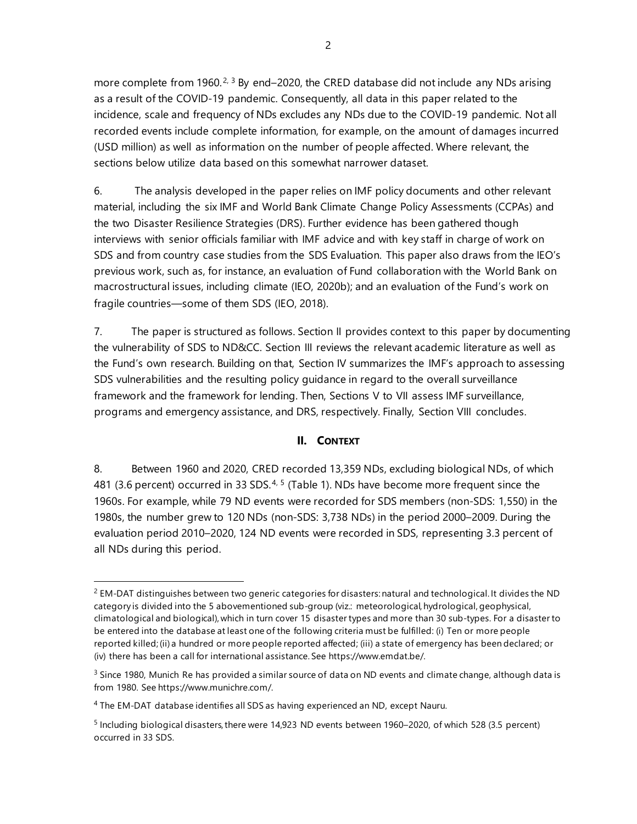more complete from 1960.<sup>[2](#page-9-0), [3](#page-9-1)</sup> By end–2020, the CRED database did not include any NDs arising as a result of the COVID-19 pandemic. Consequently, all data in this paper related to the incidence, scale and frequency of NDs excludes any NDs due to the COVID-19 pandemic. Not all recorded events include complete information, for example, on the amount of damages incurred (USD million) as well as information on the number of people affected. Where relevant, the sections below utilize data based on this somewhat narrower dataset.

6. The analysis developed in the paper relies on IMF policy documents and other relevant material, including the six IMF and World Bank Climate Change Policy Assessments (CCPAs) and the two Disaster Resilience Strategies (DRS). Further evidence has been gathered though interviews with senior officials familiar with IMF advice and with key staff in charge of work on SDS and from country case studies from the SDS Evaluation. This paper also draws from the IEO's previous work, such as, for instance, an evaluation of Fund collaboration with the World Bank on macrostructural issues, including climate (IEO, 2020b); and an evaluation of the Fund's work on fragile countries—some of them SDS (IEO, 2018).

7. The paper is structured as follows. Section II provides context to this paper by documenting the vulnerability of SDS to ND&CC. Section III reviews the relevant academic literature as well as the Fund's own research. Building on that, Section IV summarizes the IMF's approach to assessing SDS vulnerabilities and the resulting policy guidance in regard to the overall surveillance framework and the framework for lending. Then, Sections V to VII assess IMF surveillance, programs and emergency assistance, and DRS, respectively. Finally, Section VIII concludes.

#### **II. CONTEXT**

8. Between 1960 and 2020, CRED recorded 13,359 NDs, excluding biological NDs, of which [4](#page-9-2)81 (3.6 percent) occurred in 33 SDS.<sup>4, [5](#page-9-3)</sup> (Table 1). NDs have become more frequent since the 1960s. For example, while 79 ND events were recorded for SDS members (non-SDS: 1,550) in the 1980s, the number grew to 120 NDs (non-SDS: 3,738 NDs) in the period 2000–2009. During the evaluation period 2010–2020, 124 ND events were recorded in SDS, representing 3.3 percent of all NDs during this period.

<span id="page-9-0"></span> $<sup>2</sup>$  EM-DAT distinguishes between two generic categories for disasters: natural and technological. It divides the ND</sup> category is divided into the 5 abovementioned sub-group (viz.: meteorological, hydrological, geophysical, climatological and biological), which in turn cover 15 disaster types and more than 30 sub-types. For a disaster to be entered into the database at least one of the following criteria must be fulfilled: (i) Ten or more people reported killed; (ii) a hundred or more people reported affected; (iii) a state of emergency has been declared; or (iv) there has been a call for international assistance. Se[e https://www.emdat.be/.](https://www.emdat.be/) 

<span id="page-9-1"></span> $3$  Since 1980, Munich Re has provided a similar source of data on ND events and climate change, although data is from 1980. Se[e https://www.munichre.com/.](https://www.munichre.com/)

<span id="page-9-2"></span><sup>4</sup> The EM-DAT database identifies all SDS as having experienced an ND, except Nauru.

<span id="page-9-3"></span><sup>5</sup> Including biological disasters, there were 14,923 ND events between 1960–2020, of which 528 (3.5 percent) occurred in 33 SDS.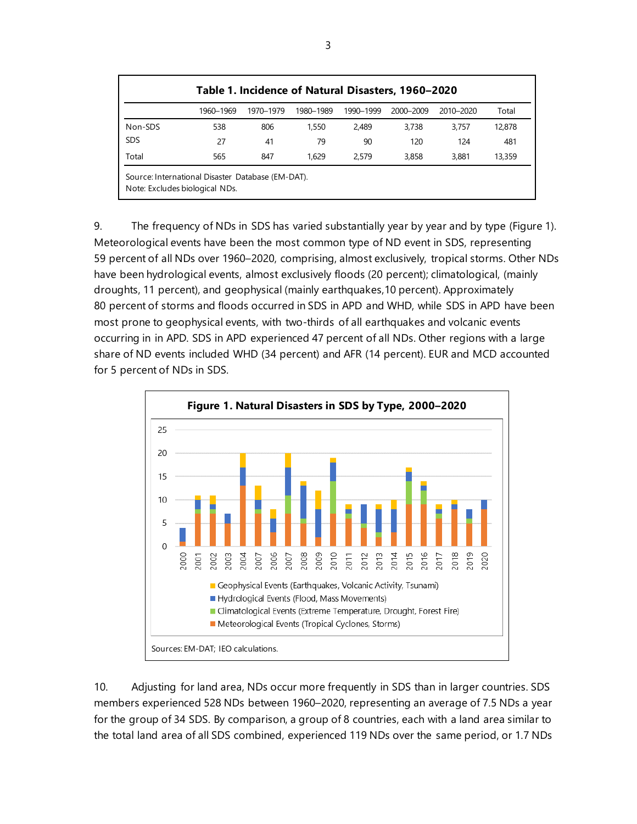| Table 1. Incidence of Natural Disasters, 1960–2020 |                                                                                     |           |           |           |           |           |        |  |
|----------------------------------------------------|-------------------------------------------------------------------------------------|-----------|-----------|-----------|-----------|-----------|--------|--|
|                                                    | 1960–1969                                                                           | 1970-1979 | 1980-1989 | 1990-1999 | 2000-2009 | 2010-2020 | Total  |  |
| Non-SDS                                            | 538                                                                                 | 806       | 1,550     | 2.489     | 3.738     | 3.757     | 12,878 |  |
| <b>SDS</b>                                         | 27                                                                                  | 41        | 79        | 90        | 120       | 124       | 481    |  |
| Total                                              | 565                                                                                 | 847       | 1.629     | 2.579     | 3,858     | 3,881     | 13,359 |  |
|                                                    | Source: International Disaster Database (EM-DAT).<br>Note: Excludes biological NDs. |           |           |           |           |           |        |  |

9. The frequency of NDs in SDS has varied substantially year by year and by type (Figure 1). Meteorological events have been the most common type of ND event in SDS, representing 59 percent of all NDs over 1960–2020, comprising, almost exclusively, tropical storms. Other NDs have been hydrological events, almost exclusively floods (20 percent); climatological, (mainly droughts, 11 percent), and geophysical (mainly earthquakes,10 percent). Approximately 80 percent of storms and floods occurred in SDS in APD and WHD, while SDS in APD have been most prone to geophysical events, with two-thirds of all earthquakes and volcanic events occurring in in APD. SDS in APD experienced 47 percent of all NDs. Other regions with a large share of ND events included WHD (34 percent) and AFR (14 percent). EUR and MCD accounted for 5 percent of NDs in SDS.



10. Adjusting for land area, NDs occur more frequently in SDS than in larger countries. SDS members experienced 528 NDs between 1960–2020, representing an average of 7.5 NDs a year for the group of 34 SDS. By comparison, a group of 8 countries, each with a land area similar to the total land area of all SDS combined, experienced 119 NDs over the same period, or 1.7 NDs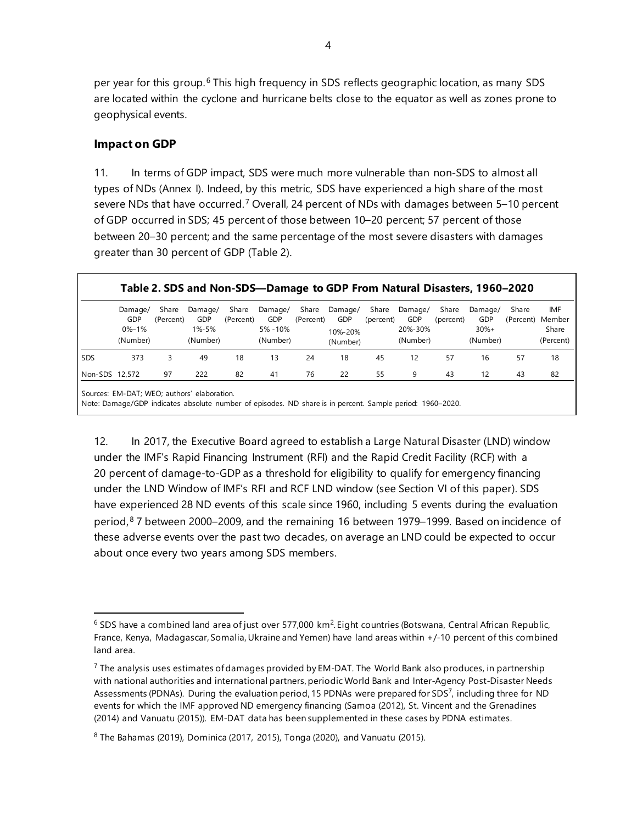per year for this group.[6](#page-11-0) This high frequency in SDS reflects geographic location, as many SDS are located within the cyclone and hurricane belts close to the equator as well as zones prone to geophysical events.

#### **Impact on GDP**

11. In terms of GDP impact, SDS were much more vulnerable than non-SDS to almost all types of NDs (Annex I). Indeed, by this metric, SDS have experienced a high share of the most severe NDs that have occurred.<sup>[7](#page-11-1)</sup> Overall, 24 percent of NDs with damages between 5–10 percent of GDP occurred in SDS; 45 percent of those between 10–20 percent; 57 percent of those between 20–30 percent; and the same percentage of the most severe disasters with damages greater than 30 percent of GDP (Table 2).

|                | Damage/<br>GDP<br>$0% - 1%$<br>(Number) | Share<br>(Percent) | Damage/<br>GDP<br>1%-5%<br>(Number) | Share<br>(Percent) | Damage/<br>GDP<br>5% - 10%<br>(Number) | Share<br>(Percent) | Damage/<br><b>GDP</b><br>10%-20%<br>(Number) | Share<br>(percent) | Damage/<br>GDP<br>20%-30%<br>(Number) | Share<br>(percent) | Damage/<br>GDP<br>$30%+$<br>(Number) | Share<br>(Percent) | <b>IMF</b><br>Member<br>Share<br>(Percent) |
|----------------|-----------------------------------------|--------------------|-------------------------------------|--------------------|----------------------------------------|--------------------|----------------------------------------------|--------------------|---------------------------------------|--------------------|--------------------------------------|--------------------|--------------------------------------------|
| <b>SDS</b>     | 373                                     | 3                  | 49                                  | 18                 | 13                                     | 24                 | 18                                           | 45                 | 12                                    | 57                 | 16                                   | 57                 | 18                                         |
| Non-SDS 12,572 |                                         | 97                 | 222                                 | 82                 | 41                                     | 76                 | 22                                           | 55                 | 9                                     | 43                 | 12                                   | 43                 | 82                                         |

Sources: EM-DAT; WEO; authors' elaboration.

Note: Damage/GDP indicates absolute number of episodes. ND share is in percent. Sample period: 1960–2020.

12. In 2017, the Executive Board agreed to establish a Large Natural Disaster (LND) window under the IMF's Rapid Financing Instrument (RFI) and the Rapid Credit Facility (RCF) with a 20 percent of damage-to-GDP as a threshold for eligibility to qualify for emergency financing under the LND Window of IMF's RFI and RCF LND window (see Section VI of this paper). SDS have experienced 28 ND events of this scale since 1960, including 5 events during the evaluation period,[8](#page-11-2) 7 between 2000–2009, and the remaining 16 between 1979–1999. Based on incidence of these adverse events over the past two decades, on average an LND could be expected to occur about once every two years among SDS members.

<span id="page-11-0"></span> $^6$  SDS have a combined land area of just over 577,000 km $^2$ . Eight countries (Botswana, Central African Republic, France, Kenya, Madagascar, Somalia, Ukraine and Yemen) have land areas within +/-10 percent of this combined land area.

<span id="page-11-1"></span> $^7$  The analysis uses estimates of damages provided by EM-DAT. The World Bank also produces, in partnership with national authorities and international partners, periodic World Bank and Inter-Agency Post-Disaster Needs Assessments (PDNAs). During the evaluation period, 15 PDNAs were prepared for SDS<sup>7</sup>, including three for ND events for which the IMF approved ND emergency financing (Samoa (2012), St. Vincent and the Grenadines (2014) and Vanuatu (2015)). EM-DAT data has been supplemented in these cases by PDNA estimates.

<span id="page-11-2"></span> $8$  The Bahamas (2019), Dominica (2017, 2015), Tonga (2020), and Vanuatu (2015).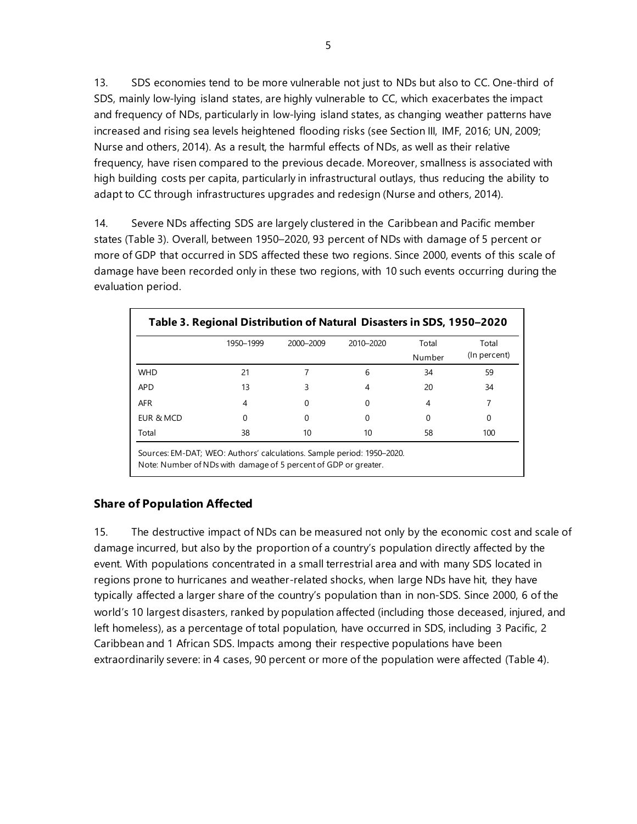13. SDS economies tend to be more vulnerable not just to NDs but also to CC. One-third of SDS, mainly low-lying island states, are highly vulnerable to CC, which exacerbates the impact and frequency of NDs, particularly in low-lying island states, as changing weather patterns have increased and rising sea levels heightened flooding risks (see Section III, IMF, 2016; UN, 2009; Nurse and others, 2014). As a result, the harmful effects of NDs, as well as their relative frequency, have risen compared to the previous decade. Moreover, smallness is associated with high building costs per capita, particularly in infrastructural outlays, thus reducing the ability to adapt to CC through infrastructures upgrades and redesign (Nurse and others, 2014).

14. Severe NDs affecting SDS are largely clustered in the Caribbean and Pacific member states (Table 3). Overall, between 1950–2020, 93 percent of NDs with damage of 5 percent or more of GDP that occurred in SDS affected these two regions. Since 2000, events of this scale of damage have been recorded only in these two regions, with 10 such events occurring during the evaluation period.

|            | 1950-1999 | 2000-2009 | 2010-2020 | Total  | Total        |
|------------|-----------|-----------|-----------|--------|--------------|
|            |           |           |           | Number | (In percent) |
| <b>WHD</b> | 21        |           | 6         | 34     | 59           |
| <b>APD</b> | 13        | 3         | 4         | 20     | 34           |
| <b>AFR</b> | 4         | O         | 0         | 4      |              |
| EUR & MCD  | 0         | 0         | O         | 0      | 0            |
| Total      | 38        | 10        | 10        | 58     | 100          |

# **Share of Population Affected**

15. The destructive impact of NDs can be measured not only by the economic cost and scale of damage incurred, but also by the proportion of a country's population directly affected by the event. With populations concentrated in a small terrestrial area and with many SDS located in regions prone to hurricanes and weather-related shocks, when large NDs have hit, they have typically affected a larger share of the country's population than in non-SDS. Since 2000, 6 of the world's 10 largest disasters, ranked by population affected (including those deceased, injured, and left homeless), as a percentage of total population, have occurred in SDS, including 3 Pacific, 2 Caribbean and 1 African SDS. Impacts among their respective populations have been extraordinarily severe: in 4 cases, 90 percent or more of the population were affected (Table 4).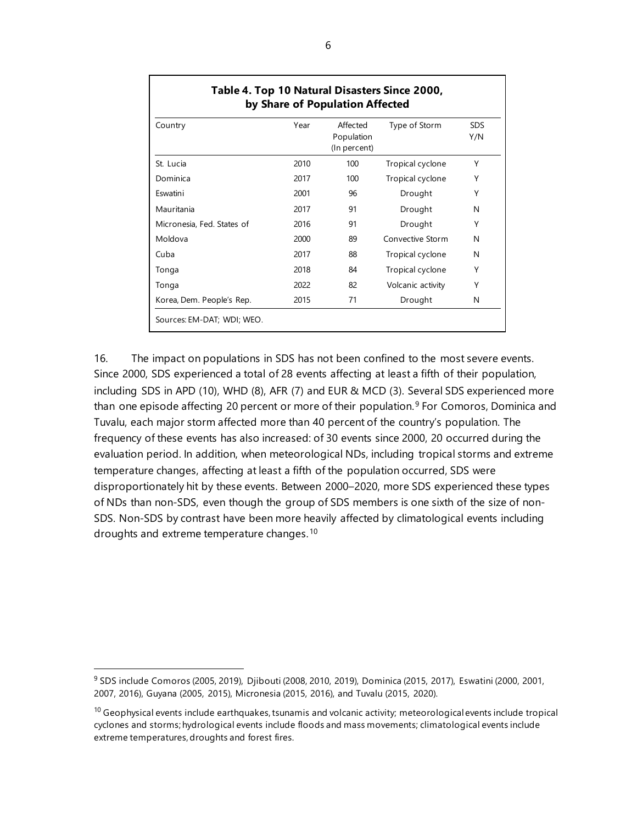| Country                    | Year | Affected<br>Population<br>(In percent) | Type of Storm     | <b>SDS</b><br>Y/N |
|----------------------------|------|----------------------------------------|-------------------|-------------------|
| St. Lucia                  | 2010 | 100                                    | Tropical cyclone  | Υ                 |
| Dominica                   | 2017 | 100                                    | Tropical cyclone  | Υ                 |
| Eswatini                   | 2001 | 96                                     | Drought           | Υ                 |
| Mauritania                 | 2017 | 91                                     | Drought           | N                 |
| Micronesia, Fed. States of | 2016 | 91                                     | Drought           | Υ                 |
| Moldova                    | 2000 | 89                                     | Convective Storm  | N                 |
| Cuba                       | 2017 | 88                                     | Tropical cyclone  | N                 |
| Tonga                      | 2018 | 84                                     | Tropical cyclone  | Υ                 |
| Tonga                      | 2022 | 82                                     | Volcanic activity | Υ                 |
| Korea, Dem. People's Rep.  | 2015 | 71                                     | Drought           | N                 |

16. The impact on populations in SDS has not been confined to the most severe events. Since 2000, SDS experienced a total of 28 events affecting at least a fifth of their population, including SDS in APD (10), WHD (8), AFR (7) and EUR & MCD (3). Several SDS experienced more than one episode affecting 20 percent or more of their population. [9](#page-13-0) For Comoros, Dominica and Tuvalu, each major storm affected more than 40 percent of the country's population. The frequency of these events has also increased: of 30 events since 2000, 20 occurred during the evaluation period. In addition, when meteorological NDs, including tropical storms and extreme temperature changes, affecting at least a fifth of the population occurred, SDS were disproportionately hit by these events. Between 2000–2020, more SDS experienced these types of NDs than non-SDS, even though the group of SDS members is one sixth of the size of non-SDS. Non-SDS by contrast have been more heavily affected by climatological events including droughts and extreme temperature changes. [10](#page-13-1)

<span id="page-13-0"></span><sup>9</sup> SDS include Comoros (2005, 2019), Djibouti (2008, 2010, 2019), Dominica (2015, 2017), Eswatini (2000, 2001, 2007, 2016), Guyana (2005, 2015), Micronesia (2015, 2016), and Tuvalu (2015, 2020).

<span id="page-13-1"></span> $10$  Geophysical events include earthquakes, tsunamis and volcanic activity; meteorological events include tropical cyclones and storms; hydrological events include floods and mass movements; climatological events include extreme temperatures, droughts and forest fires.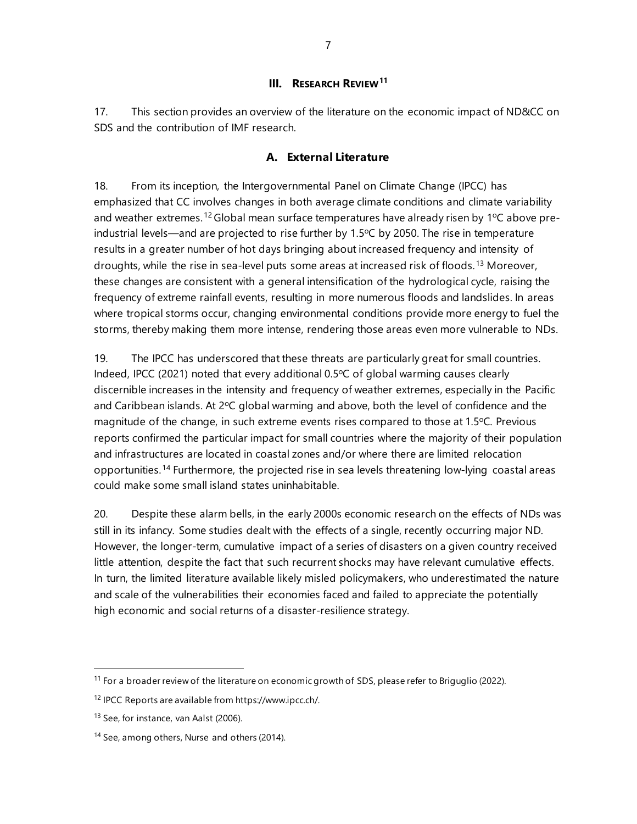#### **III. RESEARCH REVIEW[11](#page-14-0)**

17. This section provides an overview of the literature on the economic impact of ND&CC on SDS and the contribution of IMF research.

#### **A. External Literature**

18. From its inception, the Intergovernmental Panel on Climate Change (IPCC) has emphasized that CC involves changes in both average climate conditions and climate variability and weather extremes.<sup>[12](#page-14-1)</sup> Global mean surface temperatures have already risen by 1°C above preindustrial levels—and are projected to rise further by  $1.5^{\circ}$ C by 2050. The rise in temperature results in a greater number of hot days bringing about increased frequency and intensity of droughts, while the rise in sea-level puts some areas at increased risk of floods. [13](#page-14-2) Moreover, these changes are consistent with a general intensification of the hydrological cycle, raising the frequency of extreme rainfall events, resulting in more numerous floods and landslides. In areas where tropical storms occur, changing environmental conditions provide more energy to fuel the storms, thereby making them more intense, rendering those areas even more vulnerable to NDs.

19. The IPCC has underscored that these threats are particularly great for small countries. Indeed, IPCC (2021) noted that every additional  $0.5^{\circ}$ C of global warming causes clearly discernible increases in the intensity and frequency of weather extremes, especially in the Pacific and Caribbean islands. At  $2^{\circ}C$  global warming and above, both the level of confidence and the magnitude of the change, in such extreme events rises compared to those at 1.5°C. Previous reports confirmed the particular impact for small countries where the majority of their population and infrastructures are located in coastal zones and/or where there are limited relocation opportunities.[14](#page-14-3) Furthermore, the projected rise in sea levels threatening low-lying coastal areas could make some small island states uninhabitable.

20. Despite these alarm bells, in the early 2000s economic research on the effects of NDs was still in its infancy. Some studies dealt with the effects of a single, recently occurring major ND. However, the longer-term, cumulative impact of a series of disasters on a given country received little attention, despite the fact that such recurrent shocks may have relevant cumulative effects. In turn, the limited literature available likely misled policymakers, who underestimated the nature and scale of the vulnerabilities their economies faced and failed to appreciate the potentially high economic and social returns of a disaster-resilience strategy.

<span id="page-14-0"></span><sup>&</sup>lt;sup>11</sup> For a broader review of the literature on economic growth of SDS, please refer to Briguglio (2022).

<span id="page-14-1"></span><sup>12</sup> IPCC Reports are available fro[m https://www.ipcc.ch/.](https://www.ipcc.ch/) 

<span id="page-14-2"></span><sup>&</sup>lt;sup>13</sup> See, for instance, van Aalst (2006).

<span id="page-14-3"></span><sup>&</sup>lt;sup>14</sup> See, among others, Nurse and others (2014).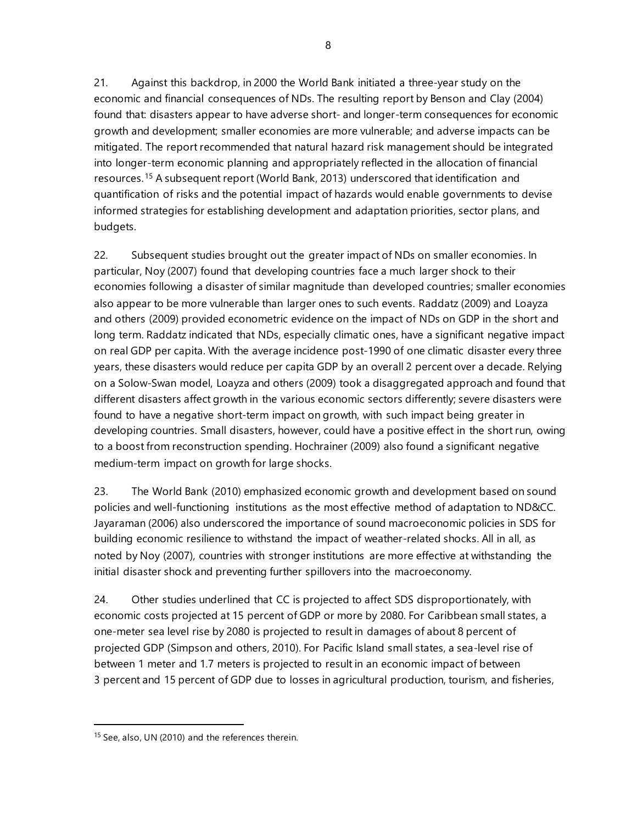21. Against this backdrop, in 2000 the World Bank initiated a three-year study on the economic and financial consequences of NDs. The resulting report by Benson and Clay (2004) found that: disasters appear to have adverse short- and longer-term consequences for economic growth and development; smaller economies are more vulnerable; and adverse impacts can be mitigated. The report recommended that natural hazard risk management should be integrated into longer-term economic planning and appropriately reflected in the allocation of financial resources. [15](#page-15-0) A subsequent report (World Bank, 2013) underscored that identification and quantification of risks and the potential impact of hazards would enable governments to devise informed strategies for establishing development and adaptation priorities, sector plans, and budgets.

22. Subsequent studies brought out the greater impact of NDs on smaller economies. In particular, Noy (2007) found that developing countries face a much larger shock to their economies following a disaster of similar magnitude than developed countries; smaller economies also appear to be more vulnerable than larger ones to such events. Raddatz (2009) and Loayza and others (2009) provided econometric evidence on the impact of NDs on GDP in the short and long term. Raddatz indicated that NDs, especially climatic ones, have a significant negative impact on real GDP per capita. With the average incidence post-1990 of one climatic disaster every three years, these disasters would reduce per capita GDP by an overall 2 percent over a decade. Relying on a Solow-Swan model, Loayza and others (2009) took a disaggregated approach and found that different disasters affect growth in the various economic sectors differently; severe disasters were found to have a negative short-term impact on growth, with such impact being greater in developing countries. Small disasters, however, could have a positive effect in the short run, owing to a boost from reconstruction spending. Hochrainer (2009) also found a significant negative medium-term impact on growth for large shocks.

23. The World Bank (2010) emphasized economic growth and development based on sound policies and well-functioning institutions as the most effective method of adaptation to ND&CC. Jayaraman (2006) also underscored the importance of sound macroeconomic policies in SDS for building economic resilience to withstand the impact of weather-related shocks. All in all, as noted by Noy (2007), countries with stronger institutions are more effective at withstanding the initial disaster shock and preventing further spillovers into the macroeconomy.

24. Other studies underlined that CC is projected to affect SDS disproportionately, with economic costs projected at 15 percent of GDP or more by 2080. For Caribbean small states, a one-meter sea level rise by 2080 is projected to result in damages of about 8 percent of projected GDP (Simpson and others, 2010). For Pacific Island small states, a sea-level rise of between 1 meter and 1.7 meters is projected to result in an economic impact of between 3 percent and 15 percent of GDP due to losses in agricultural production, tourism, and fisheries,

<span id="page-15-0"></span><sup>&</sup>lt;sup>15</sup> See, also, UN (2010) and the references therein.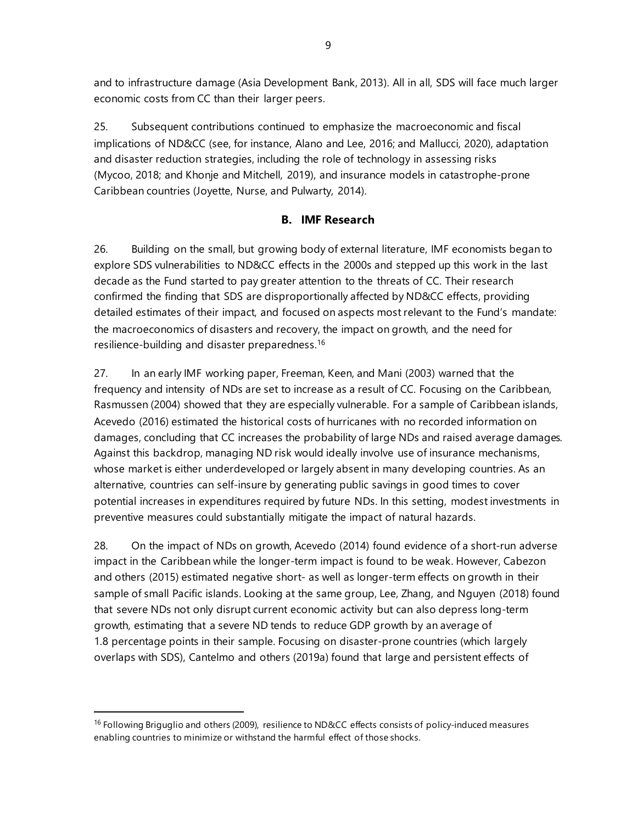and to infrastructure damage (Asia Development Bank, 2013). All in all, SDS will face much larger economic costs from CC than their larger peers.

25. Subsequent contributions continued to emphasize the macroeconomic and fiscal implications of ND&CC (see, for instance, Alano and Lee, 2016; and Mallucci, 2020), adaptation and disaster reduction strategies, including the role of technology in assessing risks (Mycoo, 2018; and Khonje and Mitchell, 2019), and insurance models in catastrophe-prone Caribbean countries (Joyette, [Nurse,](https://onlinelibrary.wiley.com/action/doSearch?ContribAuthorStored=Nurse%2C+Leonard+A) [and Pulwarty,](https://onlinelibrary.wiley.com/action/doSearch?ContribAuthorStored=Pulwarty%2C+Roger+S) 2014).

# **B. IMF Research**

26. Building on the small, but growing body of external literature, IMF economists began to explore SDS vulnerabilities to ND&CC effects in the 2000s and stepped up this work in the last decade as the Fund started to pay greater attention to the threats of CC. Their research confirmed the finding that SDS are disproportionally affected by ND&CC effects, providing detailed estimates of their impact, and focused on aspects most relevant to the Fund's mandate: the macroeconomics of disasters and recovery, the impact on growth, and the need for resilience-building and disaster preparedness.[16](#page-16-0)

27. In an early IMF working paper, Freeman, Keen, and Mani (2003) warned that the frequency and intensity of NDs are set to increase as a result of CC. Focusing on the Caribbean, Rasmussen (2004) showed that they are especially vulnerable. For a sample of Caribbean islands, Acevedo (2016) estimated the historical costs of hurricanes with no recorded information on damages, concluding that CC increases the probability of large NDs and raised average damages. Against this backdrop, managing ND risk would ideally involve use of insurance mechanisms, whose market is either underdeveloped or largely absent in many developing countries. As an alternative, countries can self-insure by generating public savings in good times to cover potential increases in expenditures required by future NDs. In this setting, modest investments in preventive measures could substantially mitigate the impact of natural hazards.

28. On the impact of NDs on growth, Acevedo (2014) found evidence of a short-run adverse impact in the Caribbean while the longer-term impact is found to be weak. However, Cabezon and others (2015) estimated negative short- as well as longer-term effects on growth in their sample of small Pacific islands. Looking at the same group, Lee, Zhang, and Nguyen (2018) found that severe NDs not only disrupt current economic activity but can also depress long-term growth, estimating that a severe ND tends to reduce GDP growth by an average of 1.8 percentage points in their sample. Focusing on disaster-prone countries (which largely overlaps with SDS), Cantelmo and others (2019a) found that large and persistent effects of

<span id="page-16-0"></span><sup>&</sup>lt;sup>16</sup> Following Briguglio and others (2009), resilience to ND&CC effects consists of policy-induced measures enabling countries to minimize or withstand the harmful effect of those shocks.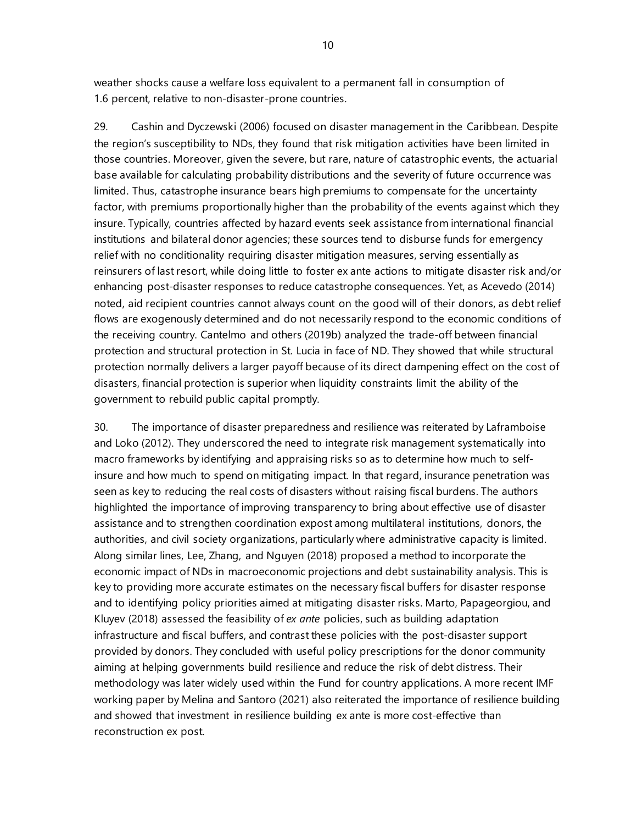weather shocks cause a welfare loss equivalent to a permanent fall in consumption of 1.6 percent, relative to non-disaster-prone countries.

29. Cashin and Dyczewski (2006) focused on disaster management in the Caribbean. Despite the region's susceptibility to NDs, they found that risk mitigation activities have been limited in those countries. Moreover, given the severe, but rare, nature of catastrophic events, the actuarial base available for calculating probability distributions and the severity of future occurrence was limited. Thus, catastrophe insurance bears high premiums to compensate for the uncertainty factor, with premiums proportionally higher than the probability of the events against which they insure. Typically, countries affected by hazard events seek assistance from international financial institutions and bilateral donor agencies; these sources tend to disburse funds for emergency relief with no conditionality requiring disaster mitigation measures, serving essentially as reinsurers of last resort, while doing little to foster ex ante actions to mitigate disaster risk and/or enhancing post-disaster responses to reduce catastrophe consequences. Yet, as Acevedo (2014) noted, aid recipient countries cannot always count on the good will of their donors, as debt relief flows are exogenously determined and do not necessarily respond to the economic conditions of the receiving country. Cantelmo and others (2019b) analyzed the trade-off between financial protection and structural protection in St. Lucia in face of ND. They showed that while structural protection normally delivers a larger payoff because of its direct dampening effect on the cost of disasters, financial protection is superior when liquidity constraints limit the ability of the government to rebuild public capital promptly.

30. The importance of disaster preparedness and resilience was reiterated by Laframboise and Loko (2012). They underscored the need to integrate risk management systematically into macro frameworks by identifying and appraising risks so as to determine how much to selfinsure and how much to spend on mitigating impact. In that regard, insurance penetration was seen as key to reducing the real costs of disasters without raising fiscal burdens. The authors highlighted the importance of improving transparency to bring about effective use of disaster assistance and to strengthen coordination expost among multilateral institutions, donors, the authorities, and civil society organizations, particularly where administrative capacity is limited. Along similar lines, Lee, Zhang, and Nguyen (2018) proposed a method to incorporate the economic impact of NDs in macroeconomic projections and debt sustainability analysis. This is key to providing more accurate estimates on the necessary fiscal buffers for disaster response and to identifying policy priorities aimed at mitigating disaster risks. Marto, Papageorgiou, and Kluyev (2018) assessed the feasibility of *ex ante* policies, such as building adaptation infrastructure and fiscal buffers, and contrast these policies with the post-disaster support provided by donors. They concluded with useful policy prescriptions for the donor community aiming at helping governments build resilience and reduce the risk of debt distress. Their methodology was later widely used within the Fund for country applications. A more recent IMF working paper by Melina and Santoro (2021) also reiterated the importance of resilience building and showed that investment in resilience building ex ante is more cost-effective than reconstruction ex post.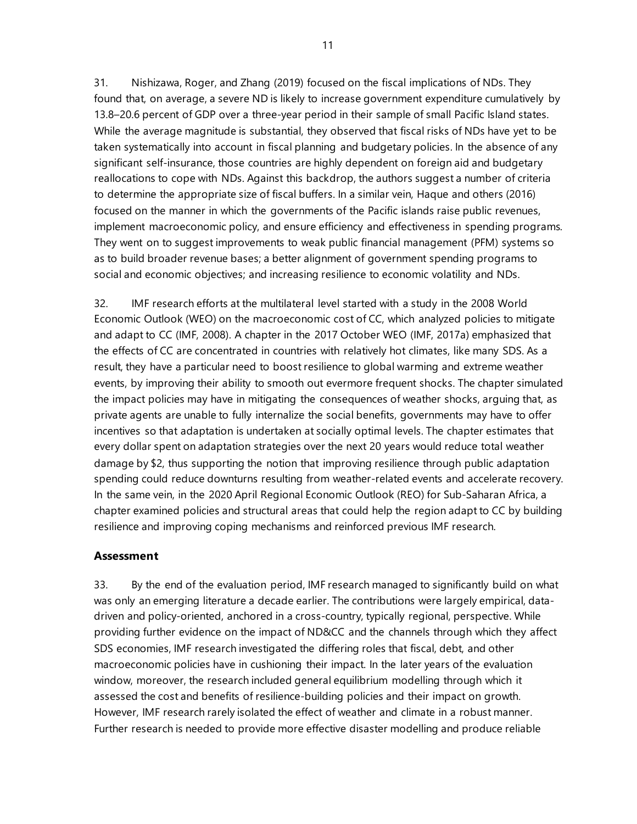31. Nishizawa, Roger, and Zhang (2019) focused on the fiscal implications of NDs. They found that, on average, a severe ND is likely to increase government expenditure cumulatively by 13.8–20.6 percent of GDP over a three-year period in their sample of small Pacific Island states. While the average magnitude is substantial, they observed that fiscal risks of NDs have yet to be taken systematically into account in fiscal planning and budgetary policies. In the absence of any significant self-insurance, those countries are highly dependent on foreign aid and budgetary reallocations to cope with NDs. Against this backdrop, the authors suggest a number of criteria to determine the appropriate size of fiscal buffers. In a similar vein, Haque and others (2016) focused on the manner in which the governments of the Pacific islands raise public revenues, implement macroeconomic policy, and ensure efficiency and effectiveness in spending programs. They went on to suggest improvements to weak public financial management (PFM) systems so as to build broader revenue bases; a better alignment of government spending programs to social and economic objectives; and increasing resilience to economic volatility and NDs.

32. IMF research efforts at the multilateral level started with a study in the 2008 World Economic Outlook (WEO) on the macroeconomic cost of CC, which analyzed policies to mitigate and adapt to CC (IMF, 2008). A chapter in the 2017 October WEO (IMF, 2017a) emphasized that the effects of CC are concentrated in countries with relatively hot climates, like many SDS. As a result, they have a particular need to boost resilience to global warming and extreme weather events, by improving their ability to smooth out evermore frequent shocks. The chapter simulated the impact policies may have in mitigating the consequences of weather shocks, arguing that, as private agents are unable to fully internalize the social benefits, governments may have to offer incentives so that adaptation is undertaken at socially optimal levels. The chapter estimates that every dollar spent on adaptation strategies over the next 20 years would reduce total weather damage by \$2, thus supporting the notion that improving resilience through public adaptation spending could reduce downturns resulting from weather-related events and accelerate recovery. In the same vein, in the 2020 April Regional Economic Outlook (REO) for Sub-Saharan Africa, a chapter examined policies and structural areas that could help the region adapt to CC by building resilience and improving coping mechanisms and reinforced previous IMF research.

#### **Assessment**

33. By the end of the evaluation period, IMF research managed to significantly build on what was only an emerging literature a decade earlier. The contributions were largely empirical, datadriven and policy-oriented, anchored in a cross-country, typically regional, perspective. While providing further evidence on the impact of ND&CC and the channels through which they affect SDS economies, IMF research investigated the differing roles that fiscal, debt, and other macroeconomic policies have in cushioning their impact. In the later years of the evaluation window, moreover, the research included general equilibrium modelling through which it assessed the cost and benefits of resilience-building policies and their impact on growth. However, IMF research rarely isolated the effect of weather and climate in a robust manner. Further research is needed to provide more effective disaster modelling and produce reliable

11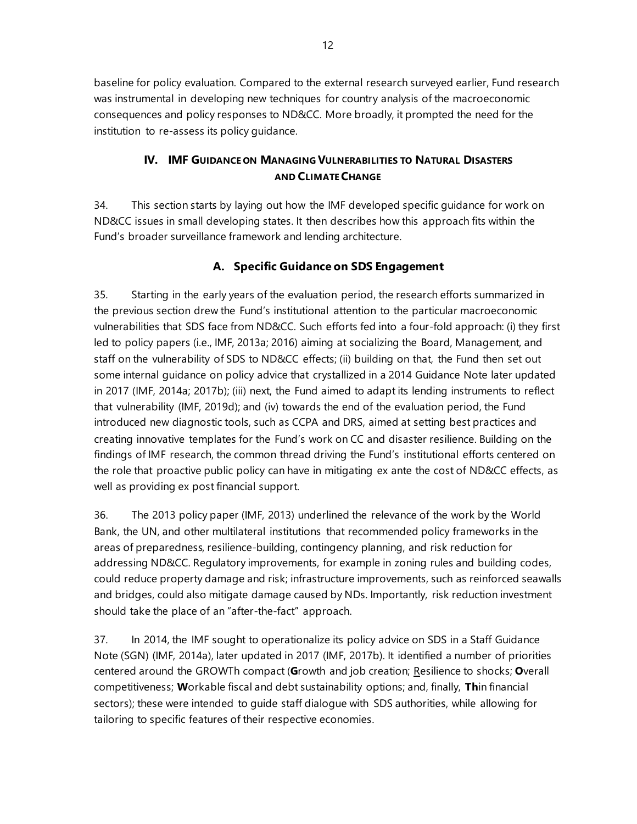baseline for policy evaluation. Compared to the external research surveyed earlier, Fund research was instrumental in developing new techniques for country analysis of the macroeconomic consequences and policy responses to ND&CC. More broadly, it prompted the need for the institution to re-assess its policy guidance.

# **IV. IMF GUIDANCE ON MANAGING VULNERABILITIES TO NATURAL DISASTERS AND CLIMATE CHANGE**

34. This section starts by laying out how the IMF developed specific guidance for work on ND&CC issues in small developing states. It then describes how this approach fits within the Fund's broader surveillance framework and lending architecture.

# **A. Specific Guidance on SDS Engagement**

35. Starting in the early years of the evaluation period, the research efforts summarized in the previous section drew the Fund's institutional attention to the particular macroeconomic vulnerabilities that SDS face from ND&CC. Such efforts fed into a four-fold approach: (i) they first led to policy papers (i.e., IMF, 2013a; 2016) aiming at socializing the Board, Management, and staff on the vulnerability of SDS to ND&CC effects; (ii) building on that, the Fund then set out some internal guidance on policy advice that crystallized in a 2014 Guidance Note later updated in 2017 (IMF, 2014a; 2017b); (iii) next, the Fund aimed to adapt its lending instruments to reflect that vulnerability (IMF, 2019d); and (iv) towards the end of the evaluation period, the Fund introduced new diagnostic tools, such as CCPA and DRS, aimed at setting best practices and creating innovative templates for the Fund's work on CC and disaster resilience. Building on the findings of IMF research, the common thread driving the Fund's institutional efforts centered on the role that proactive public policy can have in mitigating ex ante the cost of ND&CC effects, as well as providing ex post financial support.

36. The 2013 policy paper (IMF, 2013) underlined the relevance of the work by the World Bank, the UN, and other multilateral institutions that recommended policy frameworks in the areas of preparedness, resilience-building, contingency planning, and risk reduction for addressing ND&CC. Regulatory improvements, for example in zoning rules and building codes, could reduce property damage and risk; infrastructure improvements, such as reinforced seawalls and bridges, could also mitigate damage caused by NDs. Importantly, risk reduction investment should take the place of an "after-the-fact" approach.

37. In 2014, the IMF sought to operationalize its policy advice on SDS in a Staff Guidance Note (SGN) (IMF, 2014a), later updated in 2017 (IMF, 2017b). It identified a number of priorities centered around the GROWTh compact (**G**rowth and job creation; Resilience to shocks; **O**verall competitiveness; **W**orkable fiscal and debt sustainability options; and, finally, **Th**in financial sectors); these were intended to guide staff dialogue with SDS authorities, while allowing for tailoring to specific features of their respective economies.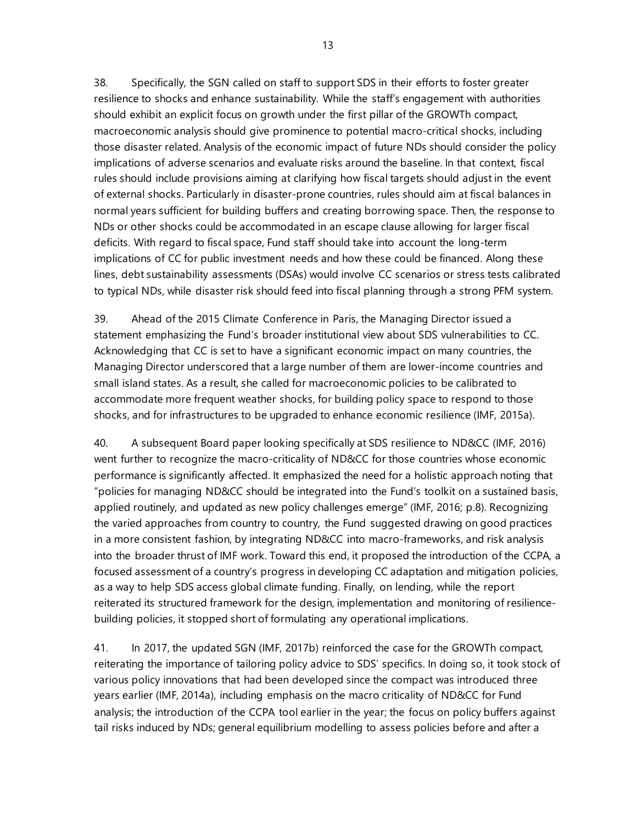38. Specifically, the SGN called on staff to support SDS in their efforts to foster greater resilience to shocks and enhance sustainability. While the staff's engagement with authorities should exhibit an explicit focus on growth under the first pillar of the GROWTh compact, macroeconomic analysis should give prominence to potential macro-critical shocks, including those disaster related. Analysis of the economic impact of future NDs should consider the policy implications of adverse scenarios and evaluate risks around the baseline. In that context, fiscal rules should include provisions aiming at clarifying how fiscal targets should adjust in the event of external shocks. Particularly in disaster-prone countries, rules should aim at fiscal balances in normal years sufficient for building buffers and creating borrowing space. Then, the response to NDs or other shocks could be accommodated in an escape clause allowing for larger fiscal deficits. With regard to fiscal space, Fund staff should take into account the long-term implications of CC for public investment needs and how these could be financed. Along these lines, debt sustainability assessments (DSAs) would involve CC scenarios or stress tests calibrated to typical NDs, while disaster risk should feed into fiscal planning through a strong PFM system.

39. Ahead of the 2015 Climate Conference in Paris, the Managing Director issued a statement emphasizing the Fund's broader institutional view about SDS vulnerabilities to CC. Acknowledging that CC is set to have a significant economic impact on many countries, the Managing Director underscored that a large number of them are lower-income countries and small island states. As a result, she called for macroeconomic policies to be calibrated to accommodate more frequent weather shocks, for building policy space to respond to those shocks, and for infrastructures to be upgraded to enhance economic resilience (IMF, 2015a).

40. A subsequent Board paper looking specifically at SDS resilience to ND&CC (IMF, 2016) went further to recognize the macro-criticality of ND&CC for those countries whose economic performance is significantly affected. It emphasized the need for a holistic approach noting that "policies for managing ND&CC should be integrated into the Fund's toolkit on a sustained basis, applied routinely, and updated as new policy challenges emerge" (IMF, 2016; p.8). Recognizing the varied approaches from country to country, the Fund suggested drawing on good practices in a more consistent fashion, by integrating ND&CC into macro-frameworks, and risk analysis into the broader thrust of IMF work. Toward this end, it proposed the introduction of the CCPA, a focused assessment of a country's progress in developing CC adaptation and mitigation policies, as a way to help SDS access global climate funding. Finally, on lending, while the report reiterated its structured framework for the design, implementation and monitoring of resiliencebuilding policies, it stopped short of formulating any operational implications.

41. In 2017, the updated SGN (IMF, 2017b) reinforced the case for the GROWTh compact, reiterating the importance of tailoring policy advice to SDS' specifics. In doing so, it took stock of various policy innovations that had been developed since the compact was introduced three years earlier (IMF, 2014a), including emphasis on the macro criticality of ND&CC for Fund analysis; the introduction of the CCPA tool earlier in the year; the focus on policy buffers against tail risks induced by NDs; general equilibrium modelling to assess policies before and after a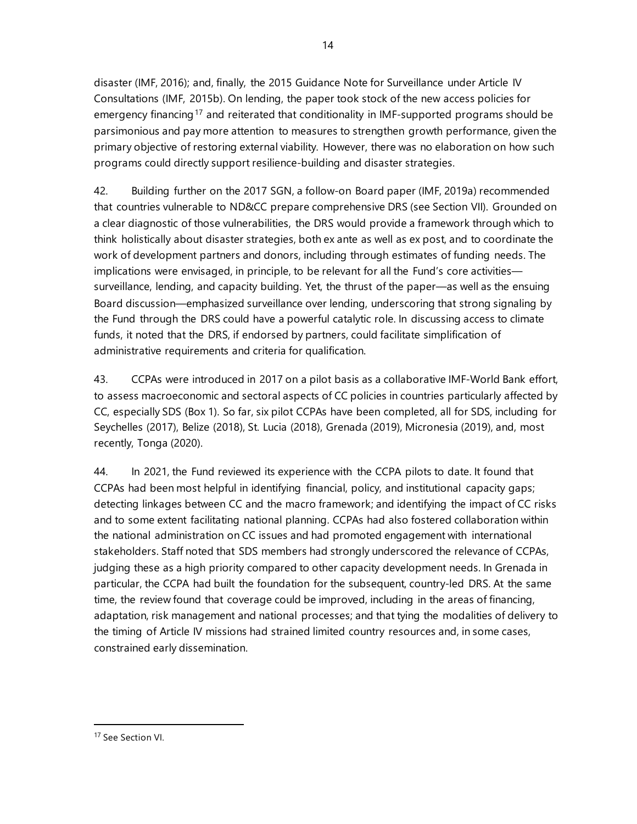disaster (IMF, 2016); and, finally, the 2015 Guidance Note for Surveillance under Article IV Consultations (IMF, 2015b). On lending, the paper took stock of the new access policies for emergency financing<sup>[17](#page-21-0)</sup> and reiterated that conditionality in IMF-supported programs should be parsimonious and pay more attention to measures to strengthen growth performance, given the primary objective of restoring external viability. However, there was no elaboration on how such programs could directly support resilience-building and disaster strategies.

42. Building further on the 2017 SGN, a follow-on Board paper (IMF, 2019a) recommended that countries vulnerable to ND&CC prepare comprehensive DRS (see Section VII). Grounded on a clear diagnostic of those vulnerabilities, the DRS would provide a framework through which to think holistically about disaster strategies, both ex ante as well as ex post, and to coordinate the work of development partners and donors, including through estimates of funding needs. The implications were envisaged, in principle, to be relevant for all the Fund's core activities surveillance, lending, and capacity building. Yet, the thrust of the paper—as well as the ensuing Board discussion—emphasized surveillance over lending, underscoring that strong signaling by the Fund through the DRS could have a powerful catalytic role. In discussing access to climate funds, it noted that the DRS, if endorsed by partners, could facilitate simplification of administrative requirements and criteria for qualification.

43. CCPAs were introduced in 2017 on a pilot basis as a collaborative IMF-World Bank effort, to assess macroeconomic and sectoral aspects of CC policies in countries particularly affected by CC, especially SDS (Box 1). So far, six pilot CCPAs have been completed, all for SDS, including for Seychelles (2017), Belize (2018), St. Lucia (2018), Grenada (2019), Micronesia (2019), and, most recently, Tonga (2020).

44. In 2021, the Fund reviewed its experience with the CCPA pilots to date. It found that CCPAs had been most helpful in identifying financial, policy, and institutional capacity gaps; detecting linkages between CC and the macro framework; and identifying the impact of CC risks and to some extent facilitating national planning. CCPAs had also fostered collaboration within the national administration on CC issues and had promoted engagement with international stakeholders. Staff noted that SDS members had strongly underscored the relevance of CCPAs, judging these as a high priority compared to other capacity development needs. In Grenada in particular, the CCPA had built the foundation for the subsequent, country-led DRS. At the same time, the review found that coverage could be improved, including in the areas of financing, adaptation, risk management and national processes; and that tying the modalities of delivery to the timing of Article IV missions had strained limited country resources and, in some cases, constrained early dissemination.

<span id="page-21-0"></span><sup>17</sup> See Section VI.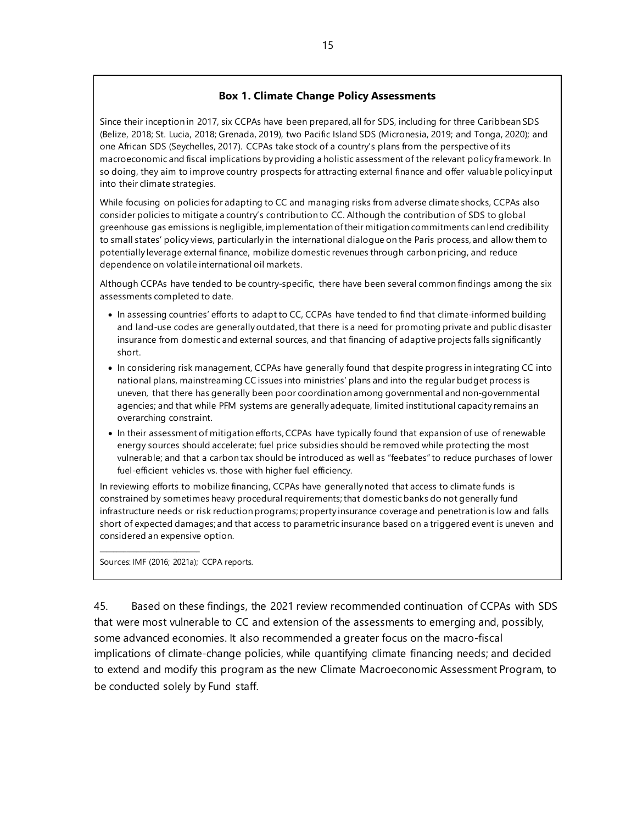#### **Box 1. Climate Change Policy Assessments**

Since their inception in 2017, six CCPAs have been prepared, all for SDS, including for three Caribbean SDS (Belize, 2018; St. Lucia, 2018; Grenada, 2019), two Pacific Island SDS (Micronesia, 2019; and Tonga, 2020); and one African SDS (Seychelles, 2017). CCPAs take stock of a country's plans from the perspective of its macroeconomic and fiscal implications by providing a holistic assessment of the relevant policy framework. In so doing, they aim to improve country prospects for attracting external finance and offer valuable policy input into their climate strategies.

While focusing on policies for adapting to CC and managing risks from adverse climate shocks, CCPAs also consider policies to mitigate a country's contribution to CC. Although the contribution of SDS to global greenhouse gas emissions is negligible, implementation of their mitigation commitments can lend credibility to small states' policy views, particularly in the international dialogue on the Paris process, and allow them to potentially leverage external finance, mobilize domestic revenues through carbon pricing, and reduce dependence on volatile international oil markets.

Although CCPAs have tended to be country-specific, there have been several common findings among the six assessments completed to date.

- In assessing countries' efforts to adapt to CC, CCPAs have tended to find that climate-informed building and land-use codes are generally outdated, that there is a need for promoting private and public disaster insurance from domestic and external sources, and that financing of adaptive projects falls significantly short.
- In considering risk management, CCPAs have generally found that despite progress in integrating CC into national plans, mainstreaming CC issues into ministries' plans and into the regular budget process is uneven, that there has generally been poor coordination among governmental and non-governmental agencies; and that while PFM systems are generally adequate, limited institutional capacity remains an overarching constraint.
- In their assessment of mitigation efforts, CCPAs have typically found that expansion of use of renewable energy sources should accelerate; fuel price subsidies should be removed while protecting the most vulnerable; and that a carbon tax should be introduced as well as "feebates" to reduce purchases of lower fuel-efficient vehicles vs. those with higher fuel efficiency.

In reviewing efforts to mobilize financing, CCPAs have generally noted that access to climate funds is constrained by sometimes heavy procedural requirements; that domestic banks do not generally fund infrastructure needs or risk reduction programs; property insurance coverage and penetration is low and falls short of expected damages; and that access to parametric insurance based on a triggered event is uneven and considered an expensive option.

Sources: IMF (2016; 2021a); CCPA reports.

\_\_\_\_\_\_\_\_\_\_\_\_\_\_\_\_\_\_\_\_\_\_\_\_\_\_\_\_\_\_

45. Based on these findings, the 2021 review recommended continuation of CCPAs with SDS that were most vulnerable to CC and extension of the assessments to emerging and, possibly, some advanced economies. It also recommended a greater focus on the macro-fiscal implications of climate-change policies, while quantifying climate financing needs; and decided to extend and modify this program as the new Climate Macroeconomic Assessment Program, to be conducted solely by Fund staff.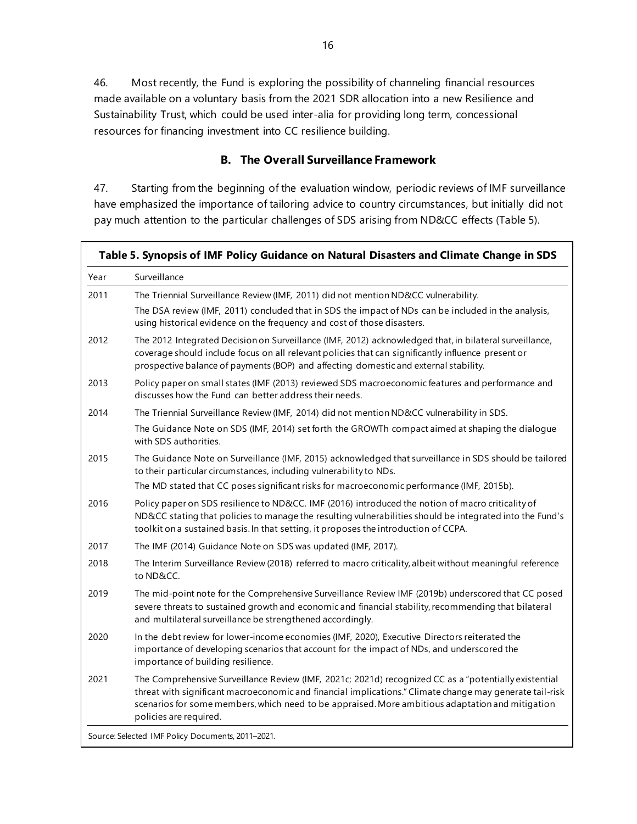46. Most recently, the Fund is exploring the possibility of channeling financial resources made available on a voluntary basis from the 2021 SDR allocation into a new Resilience and Sustainability Trust, which could be used inter-alia for providing long term, concessional resources for financing investment into CC resilience building.

## **B. The Overall Surveillance Framework**

47. Starting from the beginning of the evaluation window, periodic reviews of IMF surveillance have emphasized the importance of tailoring advice to country circumstances, but initially did not pay much attention to the particular challenges of SDS arising from ND&CC effects (Table 5).

| Year | Surveillance                                                                                                                                                                                                                                                                                                                                    |
|------|-------------------------------------------------------------------------------------------------------------------------------------------------------------------------------------------------------------------------------------------------------------------------------------------------------------------------------------------------|
| 2011 | The Triennial Surveillance Review (IMF, 2011) did not mention ND&CC vulnerability.                                                                                                                                                                                                                                                              |
|      | The DSA review (IMF, 2011) concluded that in SDS the impact of NDs can be included in the analysis,<br>using historical evidence on the frequency and cost of those disasters.                                                                                                                                                                  |
| 2012 | The 2012 Integrated Decision on Surveillance (IMF, 2012) acknowledged that, in bilateral surveillance,<br>coverage should include focus on all relevant policies that can significantly influence present or<br>prospective balance of payments (BOP) and affecting domestic and external stability.                                            |
| 2013 | Policy paper on small states (IMF (2013) reviewed SDS macroeconomic features and performance and<br>discusses how the Fund can better address their needs.                                                                                                                                                                                      |
| 2014 | The Triennial Surveillance Review (IMF, 2014) did not mention ND&CC vulnerability in SDS.                                                                                                                                                                                                                                                       |
|      | The Guidance Note on SDS (IMF, 2014) set forth the GROWTh compact aimed at shaping the dialogue<br>with SDS authorities.                                                                                                                                                                                                                        |
| 2015 | The Guidance Note on Surveillance (IMF, 2015) acknowledged that surveillance in SDS should be tailored<br>to their particular circumstances, including vulnerability to NDs.                                                                                                                                                                    |
|      | The MD stated that CC poses significant risks for macroeconomic performance (IMF, 2015b).                                                                                                                                                                                                                                                       |
| 2016 | Policy paper on SDS resilience to ND&CC. IMF (2016) introduced the notion of macro criticality of<br>ND&CC stating that policies to manage the resulting vulnerabilities should be integrated into the Fund's<br>toolkit on a sustained basis. In that setting, it proposes the introduction of CCPA.                                           |
| 2017 | The IMF (2014) Guidance Note on SDS was updated (IMF, 2017).                                                                                                                                                                                                                                                                                    |
| 2018 | The Interim Surveillance Review (2018) referred to macro criticality, albeit without meaningful reference<br>to ND&CC.                                                                                                                                                                                                                          |
| 2019 | The mid-point note for the Comprehensive Surveillance Review IMF (2019b) underscored that CC posed<br>severe threats to sustained growth and economic and financial stability, recommending that bilateral<br>and multilateral surveillance be strengthened accordingly.                                                                        |
| 2020 | In the debt review for lower-income economies (IMF, 2020), Executive Directors reiterated the<br>importance of developing scenarios that account for the impact of NDs, and underscored the<br>importance of building resilience.                                                                                                               |
| 2021 | The Comprehensive Surveillance Review (IMF, 2021c; 2021d) recognized CC as a "potentially existential<br>threat with significant macroeconomic and financial implications." Climate change may generate tail-risk<br>scenarios for some members, which need to be appraised. More ambitious adaptation and mitigation<br>policies are required. |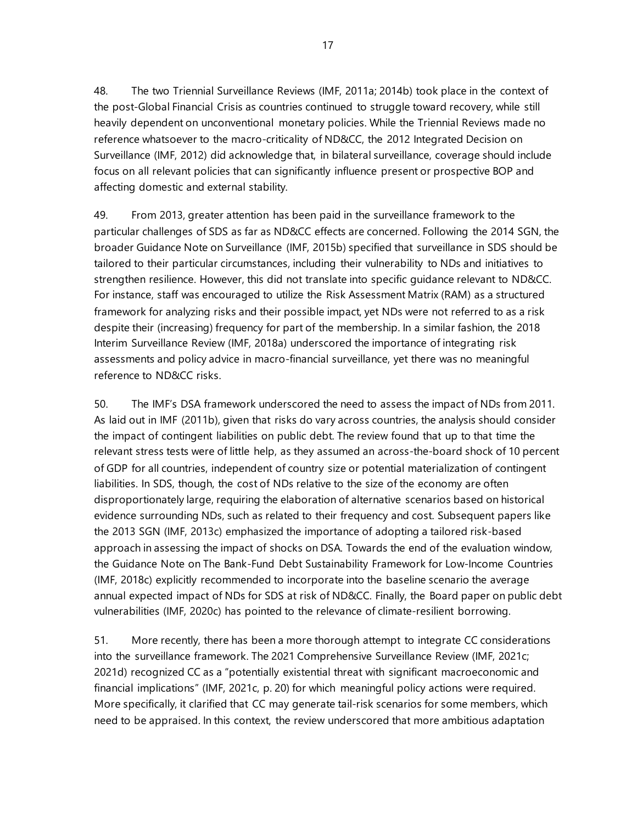48. The two Triennial Surveillance Reviews (IMF, 2011a; 2014b) took place in the context of the post-Global Financial Crisis as countries continued to struggle toward recovery, while still heavily dependent on unconventional monetary policies. While the Triennial Reviews made no reference whatsoever to the macro-criticality of ND&CC, the 2012 Integrated Decision on Surveillance (IMF, 2012) did acknowledge that, in bilateral surveillance, coverage should include focus on all relevant policies that can significantly influence present or prospective BOP and affecting domestic and external stability.

49. From 2013, greater attention has been paid in the surveillance framework to the particular challenges of SDS as far as ND&CC effects are concerned. Following the 2014 SGN, the broader Guidance Note on Surveillance (IMF, 2015b) specified that surveillance in SDS should be tailored to their particular circumstances, including their vulnerability to NDs and initiatives to strengthen resilience. However, this did not translate into specific guidance relevant to ND&CC. For instance, staff was encouraged to utilize the Risk Assessment Matrix (RAM) as a structured framework for analyzing risks and their possible impact, yet NDs were not referred to as a risk despite their (increasing) frequency for part of the membership. In a similar fashion, the 2018 Interim Surveillance Review (IMF, 2018a) underscored the importance of integrating risk assessments and policy advice in macro-financial surveillance, yet there was no meaningful reference to ND&CC risks.

50. The IMF's DSA framework underscored the need to assess the impact of NDs from 2011. As laid out in IMF (2011b), given that risks do vary across countries, the analysis should consider the impact of contingent liabilities on public debt. The review found that up to that time the relevant stress tests were of little help, as they assumed an across-the-board shock of 10 percent of GDP for all countries, independent of country size or potential materialization of contingent liabilities. In SDS, though, the cost of NDs relative to the size of the economy are often disproportionately large, requiring the elaboration of alternative scenarios based on historical evidence surrounding NDs, such as related to their frequency and cost. Subsequent papers like the 2013 SGN (IMF, 2013c) emphasized the importance of adopting a tailored risk-based approach in assessing the impact of shocks on DSA. Towards the end of the evaluation window, the Guidance Note on The Bank-Fund Debt Sustainability Framework for Low-Income Countries (IMF, 2018c) explicitly recommended to incorporate into the baseline scenario the average annual expected impact of NDs for SDS at risk of ND&CC. Finally, the Board paper on public debt vulnerabilities (IMF, 2020c) has pointed to the relevance of climate-resilient borrowing.

51. More recently, there has been a more thorough attempt to integrate CC considerations into the surveillance framework. The 2021 Comprehensive Surveillance Review (IMF, 2021c; 2021d) recognized CC as a "potentially existential threat with significant macroeconomic and financial implications" (IMF, 2021c, p. 20) for which meaningful policy actions were required. More specifically, it clarified that CC may generate tail-risk scenarios for some members, which need to be appraised. In this context, the review underscored that more ambitious adaptation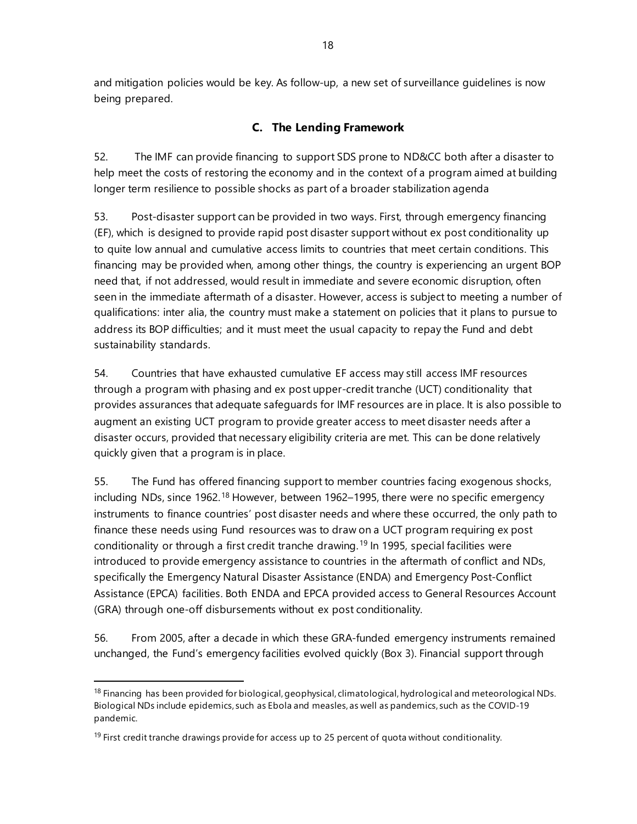and mitigation policies would be key. As follow-up, a new set of surveillance guidelines is now being prepared.

# **C. The Lending Framework**

52. The IMF can provide financing to support SDS prone to ND&CC both after a disaster to help meet the costs of restoring the economy and in the context of a program aimed at building longer term resilience to possible shocks as part of a broader stabilization agenda

53. Post-disaster support can be provided in two ways. First, through emergency financing (EF), which is designed to provide rapid post disaster support without ex post conditionality up to quite low annual and cumulative access limits to countries that meet certain conditions. This financing may be provided when, among other things, the country is experiencing an urgent BOP need that, if not addressed, would result in immediate and severe economic disruption, often seen in the immediate aftermath of a disaster. However, access is subject to meeting a number of qualifications: inter alia, the country must make a statement on policies that it plans to pursue to address its BOP difficulties; and it must meet the usual capacity to repay the Fund and debt sustainability standards.

54. Countries that have exhausted cumulative EF access may still access IMF resources through a program with phasing and ex post upper-credit tranche (UCT) conditionality that provides assurances that adequate safeguards for IMF resources are in place. It is also possible to augment an existing UCT program to provide greater access to meet disaster needs after a disaster occurs, provided that necessary eligibility criteria are met. This can be done relatively quickly given that a program is in place.

55. The Fund has offered financing support to member countries facing exogenous shocks, including NDs, since 1962.<sup>[18](#page-25-0)</sup> However, between 1962–1995, there were no specific emergency instruments to finance countries' post disaster needs and where these occurred, the only path to finance these needs using Fund resources was to draw on a UCT program requiring ex post conditionality or through a first credit tranche drawing.[19](#page-25-1) In 1995, special facilities were introduced to provide emergency assistance to countries in the aftermath of conflict and NDs, specifically the Emergency Natural Disaster Assistance (ENDA) and Emergency Post-Conflict Assistance (EPCA) facilities. Both ENDA and EPCA provided access to General Resources Account (GRA) through one-off disbursements without ex post conditionality.

56. From 2005, after a decade in which these GRA-funded emergency instruments remained unchanged, the Fund's emergency facilities evolved quickly (Box 3). Financial support through

<span id="page-25-0"></span><sup>&</sup>lt;sup>18</sup> Financing has been provided for biological, geophysical, climatological, hydrological and meteorological NDs. Biological NDs include epidemics, such as Ebola and measles, as well as pandemics, such as the COVID-19 pandemic.

<span id="page-25-1"></span> $19$  First credit tranche drawings provide for access up to 25 percent of quota without conditionality.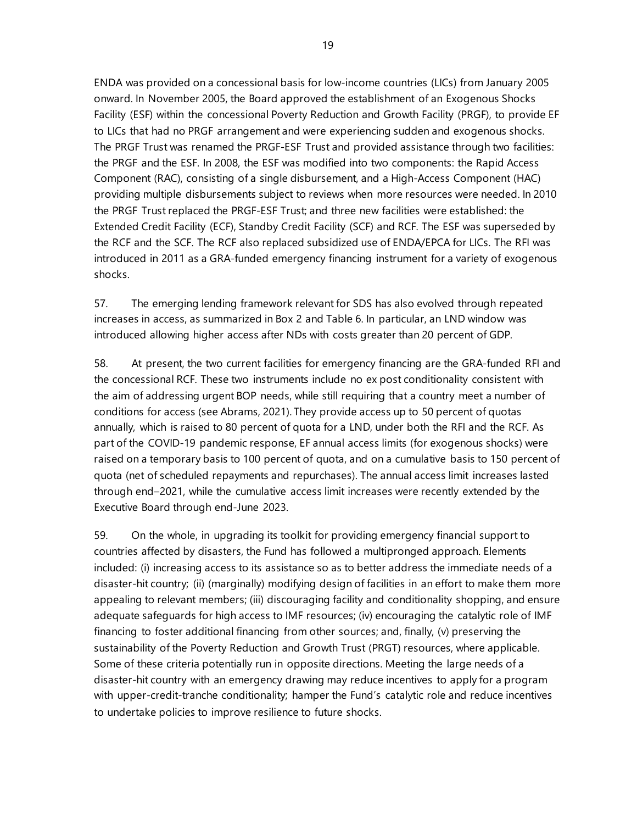ENDA was provided on a concessional basis for low-income countries (LICs) from January 2005 onward. In November 2005, the Board approved the establishment of an Exogenous Shocks Facility (ESF) within the concessional Poverty Reduction and Growth Facility (PRGF), to provide EF to LICs that had no PRGF arrangement and were experiencing sudden and exogenous shocks. The PRGF Trust was renamed the PRGF-ESF Trust and provided assistance through two facilities: the PRGF and the ESF. In 2008, the ESF was modified into two components: the Rapid Access Component (RAC), consisting of a single disbursement, and a High-Access Component (HAC) providing multiple disbursements subject to reviews when more resources were needed. In 2010 the PRGF Trust replaced the PRGF-ESF Trust; and three new facilities were established: the Extended Credit Facility (ECF), Standby Credit Facility (SCF) and RCF. The ESF was superseded by the RCF and the SCF. The RCF also replaced subsidized use of ENDA/EPCA for LICs. The RFI was introduced in 2011 as a GRA-funded emergency financing instrument for a variety of exogenous shocks.

57. The emerging lending framework relevant for SDS has also evolved through repeated increases in access, as summarized in Box 2 and Table 6. In particular, an LND window was introduced allowing higher access after NDs with costs greater than 20 percent of GDP.

58. At present, the two current facilities for emergency financing are the GRA-funded RFI and the concessional RCF. These two instruments include no ex post conditionality consistent with the aim of addressing urgent BOP needs, while still requiring that a country meet a number of conditions for access (see Abrams, 2021). They provide access up to 50 percent of quotas annually, which is raised to 80 percent of quota for a LND, under both the RFI and the RCF. As part of the COVID-19 pandemic response, EF annual access limits (for exogenous shocks) were raised on a temporary basis to 100 percent of quota, and on a cumulative basis to 150 percent of quota (net of scheduled repayments and repurchases). The annual access limit increases lasted through end–2021, while the cumulative access limit increases were recently extended by the Executive Board through end-June 2023.

59. On the whole, in upgrading its toolkit for providing emergency financial support to countries affected by disasters, the Fund has followed a multipronged approach. Elements included: (i) increasing access to its assistance so as to better address the immediate needs of a disaster-hit country; (ii) (marginally) modifying design of facilities in an effort to make them more appealing to relevant members; (iii) discouraging facility and conditionality shopping, and ensure adequate safeguards for high access to IMF resources; (iv) encouraging the catalytic role of IMF financing to foster additional financing from other sources; and, finally, (v) preserving the sustainability of the Poverty Reduction and Growth Trust (PRGT) resources, where applicable. Some of these criteria potentially run in opposite directions. Meeting the large needs of a disaster-hit country with an emergency drawing may reduce incentives to apply for a program with upper-credit-tranche conditionality; hamper the Fund's catalytic role and reduce incentives to undertake policies to improve resilience to future shocks.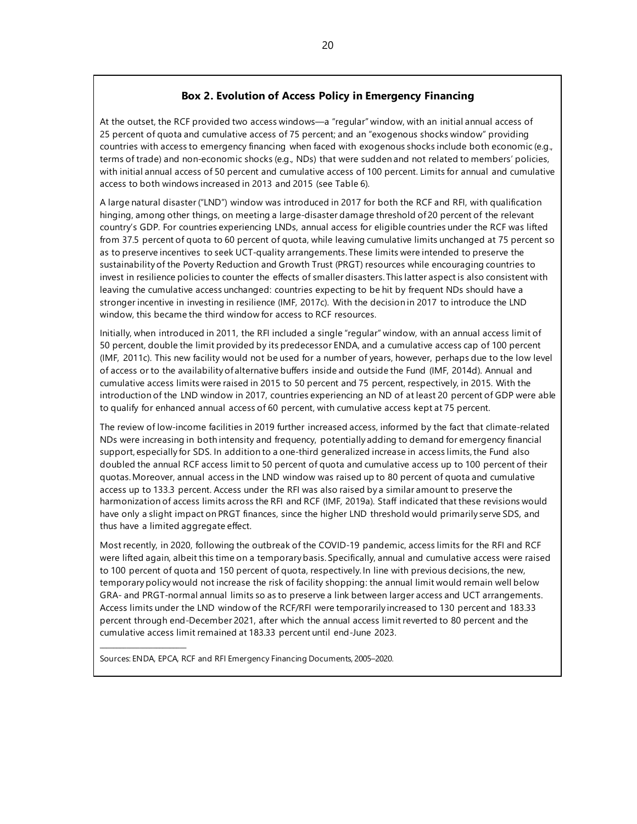#### **Box 2. Evolution of Access Policy in Emergency Financing**

At the outset, the RCF provided two access windows—a "regular" window, with an initial annual access of 25 percent of quota and cumulative access of 75 percent; and an "exogenous shocks window" providing countries with access to emergency financing when faced with exogenous shocks include both economic (e.g., terms of trade) and non-economic shocks (e.g., NDs) that were sudden and not related to members' policies, with initial annual access of 50 percent and cumulative access of 100 percent. Limits for annual and cumulative access to both windows increased in 2013 and 2015 (see Table 6).

A large natural disaster ("LND") window was introduced in 2017 for both the RCF and RFI, with qualification hinging, among other things, on meeting a large-disaster damage threshold of 20 percent of the relevant country's GDP. For countries experiencing LNDs, annual access for eligible countries under the RCF was lifted from 37.5 percent of quota to 60 percent of quota, while leaving cumulative limits unchanged at 75 percent so as to preserve incentives to seek UCT-quality arrangements. These limits were intended to preserve the sustainability of the Poverty Reduction and Growth Trust (PRGT) resources while encouraging countries to invest in resilience policies to counter the effects of smaller disasters. This latter aspect is also consistent with leaving the cumulative access unchanged: countries expecting to be hit by frequent NDs should have a stronger incentive in investing in resilience (IMF, 2017c). With the decision in 2017 to introduce the LND window, this became the third window for access to RCF resources.

Initially, when introduced in 2011, the RFI included a single "regular" window, with an annual access limit of 50 percent, double the limit provided by its predecessor ENDA, and a cumulative access cap of 100 percent (IMF, 2011c). This new facility would not be used for a number of years, however, perhaps due to the low level of access or to the availability of alternative buffers inside and outside the Fund (IMF, 2014d). Annual and cumulative access limits were raised in 2015 to 50 percent and 75 percent, respectively, in 2015. With the introduction of the LND window in 2017, countries experiencing an ND of at least 20 percent of GDP were able to qualify for enhanced annual access of 60 percent, with cumulative access kept at 75 percent.

The review of low-income facilities in 2019 further increased access, informed by the fact that climate-related NDs were increasing in both intensity and frequency, potentially adding to demand for emergency financial support, especially for SDS. In addition to a one-third generalized increase in access limits, the Fund also doubled the annual RCF access limit to 50 percent of quota and cumulative access up to 100 percent of their quotas. Moreover, annual access in the LND window was raised up to 80 percent of quota and cumulative access up to 133.3 percent. Access under the RFI was also raised by a similar amount to preserve the harmonization of access limits across the RFI and RCF (IMF, 2019a). Staff indicated that these revisions would have only a slight impact on PRGT finances, since the higher LND threshold would primarily serve SDS, and thus have a limited aggregate effect.

Most recently, in 2020, following the outbreak of the COVID-19 pandemic, access limits for the RFI and RCF were lifted again, albeit this time on a temporary basis. Specifically, annual and cumulative access were raised to 100 percent of quota and 150 percent of quota, respectively. In line with previous decisions, the new, temporary policy would not increase the risk of facility shopping: the annual limit would remain well below GRA- and PRGT-normal annual limits so as to preserve a link between larger access and UCT arrangements. Access limits under the LND window of the RCF/RFI were temporarily increased to 130 percent and 183.33 percent through end-December 2021, after which the annual access limit reverted to 80 percent and the cumulative access limit remained at 183.33 percent until end-June 2023.

Sources: ENDA, EPCA, RCF and RFI Emergency Financing Documents, 2005–2020.

\_\_\_\_\_\_\_\_\_\_\_\_\_\_\_\_\_\_\_\_\_\_\_\_\_\_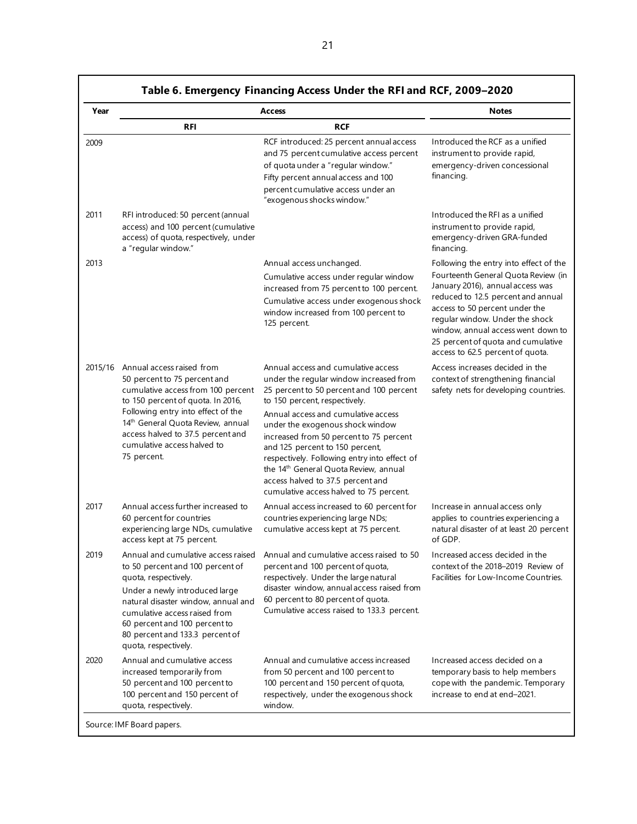| Year    |                                                                                                                                                                                                                                                                                                       | <b>Access</b>                                                                                                                                                                                                                                                                                                                              | <b>Notes</b>                                                                                                                                                                                                                                                                                       |
|---------|-------------------------------------------------------------------------------------------------------------------------------------------------------------------------------------------------------------------------------------------------------------------------------------------------------|--------------------------------------------------------------------------------------------------------------------------------------------------------------------------------------------------------------------------------------------------------------------------------------------------------------------------------------------|----------------------------------------------------------------------------------------------------------------------------------------------------------------------------------------------------------------------------------------------------------------------------------------------------|
|         | <b>RFI</b>                                                                                                                                                                                                                                                                                            | <b>RCF</b>                                                                                                                                                                                                                                                                                                                                 |                                                                                                                                                                                                                                                                                                    |
| 2009    |                                                                                                                                                                                                                                                                                                       | RCF introduced: 25 percent annual access<br>and 75 percent cumulative access percent<br>of quota under a "regular window."<br>Fifty percent annual access and 100<br>percent cumulative access under an<br>"exogenous shocks window."                                                                                                      | Introduced the RCF as a unified<br>instrument to provide rapid,<br>emergency-driven concessional<br>financing.                                                                                                                                                                                     |
| 2011    | RFI introduced: 50 percent (annual<br>access) and 100 percent (cumulative<br>access) of quota, respectively, under<br>a "regular window."                                                                                                                                                             |                                                                                                                                                                                                                                                                                                                                            | Introduced the RFI as a unified<br>instrument to provide rapid,<br>emergency-driven GRA-funded<br>financing.                                                                                                                                                                                       |
| 2013    |                                                                                                                                                                                                                                                                                                       | Annual access unchanged.                                                                                                                                                                                                                                                                                                                   | Following the entry into effect of the                                                                                                                                                                                                                                                             |
|         |                                                                                                                                                                                                                                                                                                       | Cumulative access under regular window<br>increased from 75 percent to 100 percent.<br>Cumulative access under exogenous shock<br>window increased from 100 percent to<br>125 percent.                                                                                                                                                     | Fourteenth General Quota Review (in<br>January 2016), annual access was<br>reduced to 12.5 percent and annual<br>access to 50 percent under the<br>regular window. Under the shock<br>window, annual access went down to<br>25 percent of quota and cumulative<br>access to 62.5 percent of quota. |
| 2015/16 | Annual access raised from<br>50 percent to 75 percent and<br>cumulative access from 100 percent<br>to 150 percent of quota. In 2016,                                                                                                                                                                  | Annual access and cumulative access<br>under the regular window increased from<br>25 percent to 50 percent and 100 percent<br>to 150 percent, respectively.                                                                                                                                                                                | Access increases decided in the<br>context of strengthening financial<br>safety nets for developing countries.                                                                                                                                                                                     |
|         | Following entry into effect of the<br>14 <sup>th</sup> General Quota Review, annual<br>access halved to 37.5 percent and<br>cumulative access halved to<br>75 percent.                                                                                                                                | Annual access and cumulative access<br>under the exogenous shock window<br>increased from 50 percent to 75 percent<br>and 125 percent to 150 percent,<br>respectively. Following entry into effect of<br>the 14 <sup>th</sup> General Quota Review, annual<br>access halved to 37.5 percent and<br>cumulative access halved to 75 percent. |                                                                                                                                                                                                                                                                                                    |
| 2017    | Annual access further increased to<br>60 percent for countries<br>experiencing large NDs, cumulative<br>access kept at 75 percent.                                                                                                                                                                    | Annual access increased to 60 percent for<br>countries experiencing large NDs;<br>cumulative access kept at 75 percent.                                                                                                                                                                                                                    | Increase in annual access only<br>applies to countries experiencing a<br>natural disaster of at least 20 percent<br>of GDP.                                                                                                                                                                        |
| 2019    | Annual and cumulative access raised<br>to 50 percent and 100 percent of<br>quota, respectively.<br>Under a newly introduced large<br>natural disaster window, annual and<br>cumulative access raised from<br>60 percent and 100 percent to<br>80 percent and 133.3 percent of<br>quota, respectively. | Annual and cumulative access raised to 50<br>percent and 100 percent of quota,<br>respectively. Under the large natural<br>disaster window, annual access raised from<br>60 percent to 80 percent of quota.<br>Cumulative access raised to 133.3 percent.                                                                                  | Increased access decided in the<br>context of the 2018-2019 Review of<br>Facilities for Low-Income Countries.                                                                                                                                                                                      |
| 2020    | Annual and cumulative access<br>increased temporarily from<br>50 percent and 100 percent to<br>100 percent and 150 percent of<br>quota, respectively.                                                                                                                                                 | Annual and cumulative access increased<br>from 50 percent and 100 percent to<br>100 percent and 150 percent of quota,<br>respectively, under the exogenous shock<br>window.                                                                                                                                                                | Increased access decided on a<br>temporary basis to help members<br>cope with the pandemic. Temporary<br>increase to end at end-2021.                                                                                                                                                              |

21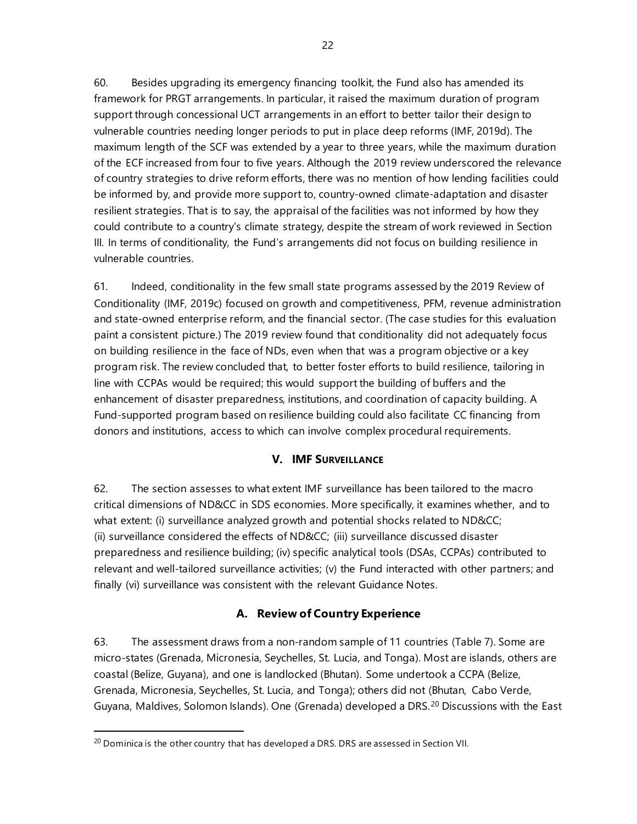60. Besides upgrading its emergency financing toolkit, the Fund also has amended its framework for PRGT arrangements. In particular, it raised the maximum duration of program support through concessional UCT arrangements in an effort to better tailor their design to vulnerable countries needing longer periods to put in place deep reforms (IMF, 2019d). The maximum length of the SCF was extended by a year to three years, while the maximum duration of the ECF increased from four to five years. Although the 2019 review underscored the relevance of country strategies to drive reform efforts, there was no mention of how lending facilities could be informed by, and provide more support to, country-owned climate-adaptation and disaster resilient strategies. That is to say, the appraisal of the facilities was not informed by how they could contribute to a country's climate strategy, despite the stream of work reviewed in Section III. In terms of conditionality, the Fund's arrangements did not focus on building resilience in vulnerable countries.

61. Indeed, conditionality in the few small state programs assessed by the 2019 Review of Conditionality (IMF, 2019c) focused on growth and competitiveness, PFM, revenue administration and state-owned enterprise reform, and the financial sector. (The case studies for this evaluation paint a consistent picture.) The 2019 review found that conditionality did not adequately focus on building resilience in the face of NDs, even when that was a program objective or a key program risk. The review concluded that, to better foster efforts to build resilience, tailoring in line with CCPAs would be required; this would support the building of buffers and the enhancement of disaster preparedness, institutions, and coordination of capacity building. A Fund-supported program based on resilience building could also facilitate CC financing from donors and institutions, access to which can involve complex procedural requirements.

#### **V. IMF SURVEILLANCE**

62. The section assesses to what extent IMF surveillance has been tailored to the macro critical dimensions of ND&CC in SDS economies. More specifically, it examines whether, and to what extent: (i) surveillance analyzed growth and potential shocks related to ND&CC; (ii) surveillance considered the effects of ND&CC; (iii) surveillance discussed disaster preparedness and resilience building; (iv) specific analytical tools (DSAs, CCPAs) contributed to relevant and well-tailored surveillance activities; (v) the Fund interacted with other partners; and finally (vi) surveillance was consistent with the relevant Guidance Notes.

# **A. Review of Country Experience**

63. The assessment draws from a non-random sample of 11 countries (Table 7). Some are micro-states (Grenada, Micronesia, Seychelles, St. Lucia, and Tonga). Most are islands, others are coastal (Belize, Guyana), and one is landlocked (Bhutan). Some undertook a CCPA (Belize, Grenada, Micronesia, Seychelles, St. Lucia, and Tonga); others did not (Bhutan, Cabo Verde, Guyana, Maldives, Solomon Islands). One (Grenada) developed a DRS.<sup>[20](#page-29-0)</sup> Discussions with the East

<span id="page-29-0"></span><sup>&</sup>lt;sup>20</sup> Dominica is the other country that has developed a DRS. DRS are assessed in Section VII.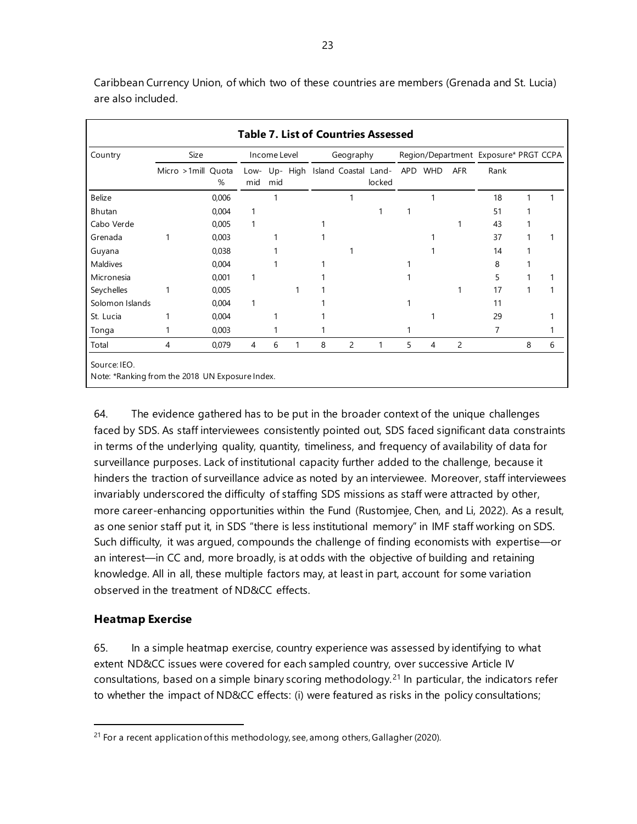**Table 7. List of Countries Assessed** Country Size Income Level Geography Region/Department Exposure\* PRGT CCPA Micro >1mill Quota % Lowmid Up-High Island Coastal Landmid locked APD WHD AFR Rank Belize 0,006 1 1 1 18 1 1 Bhutan 0,004 1 1 1 51 1 Cabo Verde 0,005 1 1 1 43 1 Grenada 1 0,003 1 1 1 1 1 37 1 1 Guyana 0,038 1 1 1 14 1 Maldives 0,004 1 1 1 8 1 Micronesia 0,001 1 1 1 5 1 1 Seychelles 1 0,005 1 1 1 17 1 1 Solomon Islands 0,004 1 1 1 11 St. Lucia 1 0,004 1 1 1 1 1 29 1 Tonga 1 0,003 1 7 1 Total 4 0,079 4 6 1 8 2 1 5 4 2 8 6 Source: IEO. Note: \*Ranking from the 2018 UN Exposure Index.

Caribbean Currency Union, of which two of these countries are members (Grenada and St. Lucia) are also included.

64. The evidence gathered has to be put in the broader context of the unique challenges faced by SDS. As staff interviewees consistently pointed out, SDS faced significant data constraints in terms of the underlying quality, quantity, timeliness, and frequency of availability of data for surveillance purposes. Lack of institutional capacity further added to the challenge, because it hinders the traction of surveillance advice as noted by an interviewee. Moreover, staff interviewees invariably underscored the difficulty of staffing SDS missions as staff were attracted by other, more career-enhancing opportunities within the Fund (Rustomjee, Chen, and Li, 2022). As a result, as one senior staff put it, in SDS "there is less institutional memory" in IMF staff working on SDS. Such difficulty, it was argued, compounds the challenge of finding economists with expertise—or an interest—in CC and, more broadly, is at odds with the objective of building and retaining knowledge. All in all, these multiple factors may, at least in part, account for some variation observed in the treatment of ND&CC effects.

#### **Heatmap Exercise**

65. In a simple heatmap exercise, country experience was assessed by identifying to what extent ND&CC issues were covered for each sampled country, over successive Article IV consultations, based on a simple binary scoring methodology.[21](#page-30-0) In particular, the indicators refer to whether the impact of ND&CC effects: (i) were featured as risks in the policy consultations;

<span id="page-30-0"></span> $21$  For a recent application of this methodology, see, among others, Gallagher (2020).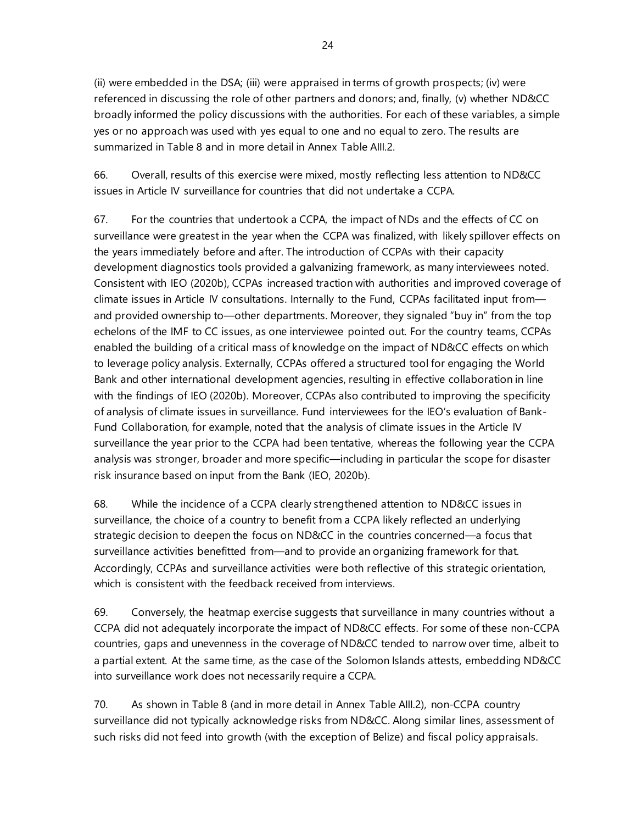(ii) were embedded in the DSA; (iii) were appraised in terms of growth prospects; (iv) were referenced in discussing the role of other partners and donors; and, finally, (v) whether ND&CC broadly informed the policy discussions with the authorities. For each of these variables, a simple yes or no approach was used with yes equal to one and no equal to zero. The results are summarized in Table 8 and in more detail in Annex Table AIII.2.

66. Overall, results of this exercise were mixed, mostly reflecting less attention to ND&CC issues in Article IV surveillance for countries that did not undertake a CCPA.

67. For the countries that undertook a CCPA, the impact of NDs and the effects of CC on surveillance were greatest in the year when the CCPA was finalized, with likely spillover effects on the years immediately before and after. The introduction of CCPAs with their capacity development diagnostics tools provided a galvanizing framework, as many interviewees noted. Consistent with IEO (2020b), CCPAs increased traction with authorities and improved coverage of climate issues in Article IV consultations. Internally to the Fund, CCPAs facilitated input from and provided ownership to—other departments. Moreover, they signaled "buy in" from the top echelons of the IMF to CC issues, as one interviewee pointed out. For the country teams, CCPAs enabled the building of a critical mass of knowledge on the impact of ND&CC effects on which to leverage policy analysis. Externally, CCPAs offered a structured tool for engaging the World Bank and other international development agencies, resulting in effective collaboration in line with the findings of IEO (2020b). Moreover, CCPAs also contributed to improving the specificity of analysis of climate issues in surveillance. Fund interviewees for the IEO's evaluation of Bank-Fund Collaboration, for example, noted that the analysis of climate issues in the Article IV surveillance the year prior to the CCPA had been tentative, whereas the following year the CCPA analysis was stronger, broader and more specific—including in particular the scope for disaster risk insurance based on input from the Bank (IEO, 2020b).

68. While the incidence of a CCPA clearly strengthened attention to ND&CC issues in surveillance, the choice of a country to benefit from a CCPA likely reflected an underlying strategic decision to deepen the focus on ND&CC in the countries concerned—a focus that surveillance activities benefitted from—and to provide an organizing framework for that. Accordingly, CCPAs and surveillance activities were both reflective of this strategic orientation, which is consistent with the feedback received from interviews.

69. Conversely, the heatmap exercise suggests that surveillance in many countries without a CCPA did not adequately incorporate the impact of ND&CC effects. For some of these non-CCPA countries, gaps and unevenness in the coverage of ND&CC tended to narrow over time, albeit to a partial extent. At the same time, as the case of the Solomon Islands attests, embedding ND&CC into surveillance work does not necessarily require a CCPA.

70. As shown in Table 8 (and in more detail in Annex Table AIII.2), non-CCPA country surveillance did not typically acknowledge risks from ND&CC. Along similar lines, assessment of such risks did not feed into growth (with the exception of Belize) and fiscal policy appraisals.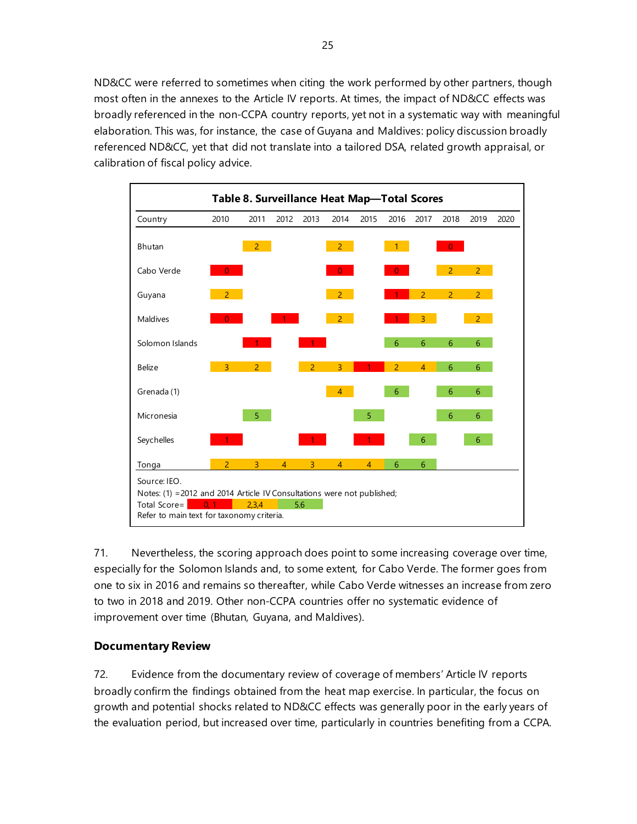ND&CC were referred to sometimes when citing the work performed by other partners, though most often in the annexes to the Article IV reports. At times, the impact of ND&CC effects was broadly referenced in the non-CCPA country reports, yet not in a systematic way with meaningful elaboration. This was, for instance, the case of Guyana and Maldives: policy discussion broadly referenced ND&CC, yet that did not translate into a tailored DSA, related growth appraisal, or calibration of fiscal policy advice.



71. Nevertheless, the scoring approach does point to some increasing coverage over time, especially for the Solomon Islands and, to some extent, for Cabo Verde. The former goes from one to six in 2016 and remains so thereafter, while Cabo Verde witnesses an increase from zero to two in 2018 and 2019. Other non-CCPA countries offer no systematic evidence of improvement over time (Bhutan, Guyana, and Maldives).

# **Documentary Review**

72. Evidence from the documentary review of coverage of members' Article IV reports broadly confirm the findings obtained from the heat map exercise. In particular, the focus on growth and potential shocks related to ND&CC effects was generally poor in the early years of the evaluation period, but increased over time, particularly in countries benefiting from a CCPA.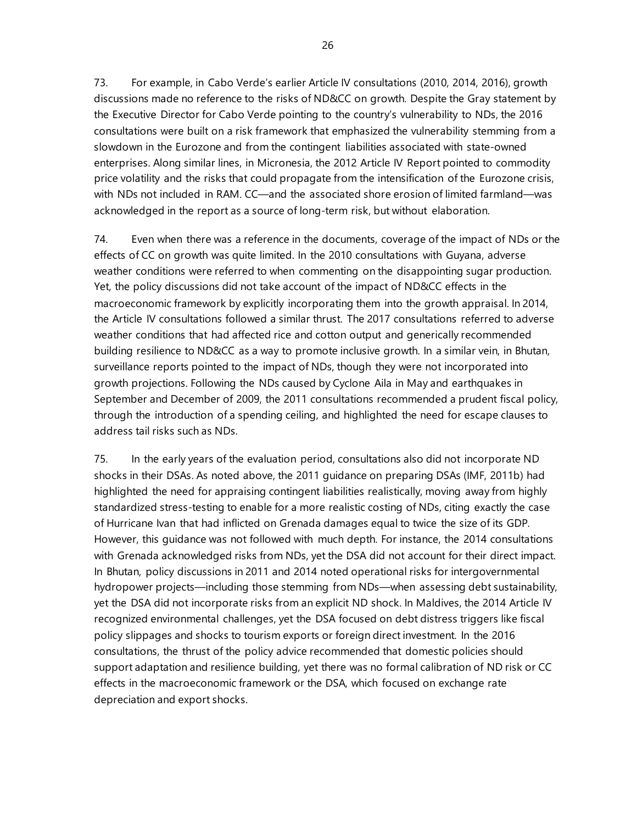73. For example, in Cabo Verde's earlier Article IV consultations (2010, 2014, 2016), growth discussions made no reference to the risks of ND&CC on growth. Despite the Gray statement by the Executive Director for Cabo Verde pointing to the country's vulnerability to NDs, the 2016 consultations were built on a risk framework that emphasized the vulnerability stemming from a slowdown in the Eurozone and from the contingent liabilities associated with state-owned enterprises. Along similar lines, in Micronesia, the 2012 Article IV Report pointed to commodity price volatility and the risks that could propagate from the intensification of the Eurozone crisis, with NDs not included in RAM. CC—and the associated shore erosion of limited farmland—was acknowledged in the report as a source of long-term risk, but without elaboration.

74. Even when there was a reference in the documents, coverage of the impact of NDs or the effects of CC on growth was quite limited. In the 2010 consultations with Guyana, adverse weather conditions were referred to when commenting on the disappointing sugar production. Yet, the policy discussions did not take account of the impact of ND&CC effects in the macroeconomic framework by explicitly incorporating them into the growth appraisal. In 2014, the Article IV consultations followed a similar thrust. The 2017 consultations referred to adverse weather conditions that had affected rice and cotton output and generically recommended building resilience to ND&CC as a way to promote inclusive growth. In a similar vein, in Bhutan, surveillance reports pointed to the impact of NDs, though they were not incorporated into growth projections. Following the NDs caused by Cyclone Aila in May and earthquakes in September and December of 2009, the 2011 consultations recommended a prudent fiscal policy, through the introduction of a spending ceiling, and highlighted the need for escape clauses to address tail risks such as NDs.

75. In the early years of the evaluation period, consultations also did not incorporate ND shocks in their DSAs. As noted above, the 2011 guidance on preparing DSAs (IMF, 2011b) had highlighted the need for appraising contingent liabilities realistically, moving away from highly standardized stress-testing to enable for a more realistic costing of NDs, citing exactly the case of Hurricane Ivan that had inflicted on Grenada damages equal to twice the size of its GDP. However, this guidance was not followed with much depth. For instance, the 2014 consultations with Grenada acknowledged risks from NDs, yet the DSA did not account for their direct impact. In Bhutan, policy discussions in 2011 and 2014 noted operational risks for intergovernmental hydropower projects—including those stemming from NDs—when assessing debt sustainability, yet the DSA did not incorporate risks from an explicit ND shock. In Maldives, the 2014 Article IV recognized environmental challenges, yet the DSA focused on debt distress triggers like fiscal policy slippages and shocks to tourism exports or foreign direct investment. In the 2016 consultations, the thrust of the policy advice recommended that domestic policies should support adaptation and resilience building, yet there was no formal calibration of ND risk or CC effects in the macroeconomic framework or the DSA, which focused on exchange rate depreciation and export shocks.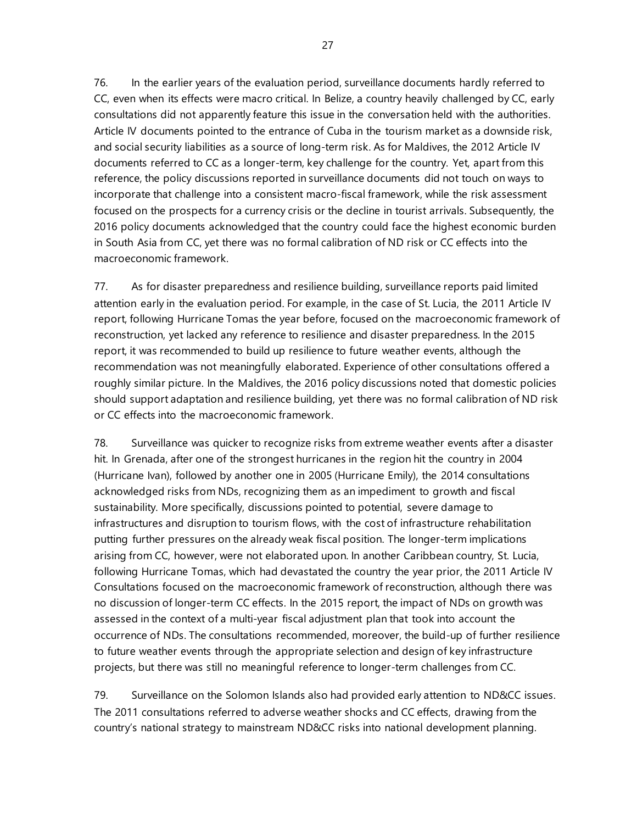76. In the earlier years of the evaluation period, surveillance documents hardly referred to CC, even when its effects were macro critical. In Belize, a country heavily challenged by CC, early consultations did not apparently feature this issue in the conversation held with the authorities. Article IV documents pointed to the entrance of Cuba in the tourism market as a downside risk, and social security liabilities as a source of long-term risk. As for Maldives, the 2012 Article IV documents referred to CC as a longer-term, key challenge for the country. Yet, apart from this reference, the policy discussions reported in surveillance documents did not touch on ways to incorporate that challenge into a consistent macro-fiscal framework, while the risk assessment focused on the prospects for a currency crisis or the decline in tourist arrivals. Subsequently, the 2016 policy documents acknowledged that the country could face the highest economic burden in South Asia from CC, yet there was no formal calibration of ND risk or CC effects into the macroeconomic framework.

77. As for disaster preparedness and resilience building, surveillance reports paid limited attention early in the evaluation period. For example, in the case of St. Lucia, the 2011 Article IV report, following Hurricane Tomas the year before, focused on the macroeconomic framework of reconstruction, yet lacked any reference to resilience and disaster preparedness. In the 2015 report, it was recommended to build up resilience to future weather events, although the recommendation was not meaningfully elaborated. Experience of other consultations offered a roughly similar picture. In the Maldives, the 2016 policy discussions noted that domestic policies should support adaptation and resilience building, yet there was no formal calibration of ND risk or CC effects into the macroeconomic framework.

78. Surveillance was quicker to recognize risks from extreme weather events after a disaster hit. In Grenada, after one of the strongest hurricanes in the region hit the country in 2004 (Hurricane Ivan), followed by another one in 2005 (Hurricane Emily), the 2014 consultations acknowledged risks from NDs, recognizing them as an impediment to growth and fiscal sustainability. More specifically, discussions pointed to potential, severe damage to infrastructures and disruption to tourism flows, with the cost of infrastructure rehabilitation putting further pressures on the already weak fiscal position. The longer-term implications arising from CC, however, were not elaborated upon. In another Caribbean country, St. Lucia, following Hurricane Tomas, which had devastated the country the year prior, the 2011 Article IV Consultations focused on the macroeconomic framework of reconstruction, although there was no discussion of longer-term CC effects. In the 2015 report, the impact of NDs on growth was assessed in the context of a multi-year fiscal adjustment plan that took into account the occurrence of NDs. The consultations recommended, moreover, the build-up of further resilience to future weather events through the appropriate selection and design of key infrastructure projects, but there was still no meaningful reference to longer-term challenges from CC.

79. Surveillance on the Solomon Islands also had provided early attention to ND&CC issues. The 2011 consultations referred to adverse weather shocks and CC effects, drawing from the country's national strategy to mainstream ND&CC risks into national development planning.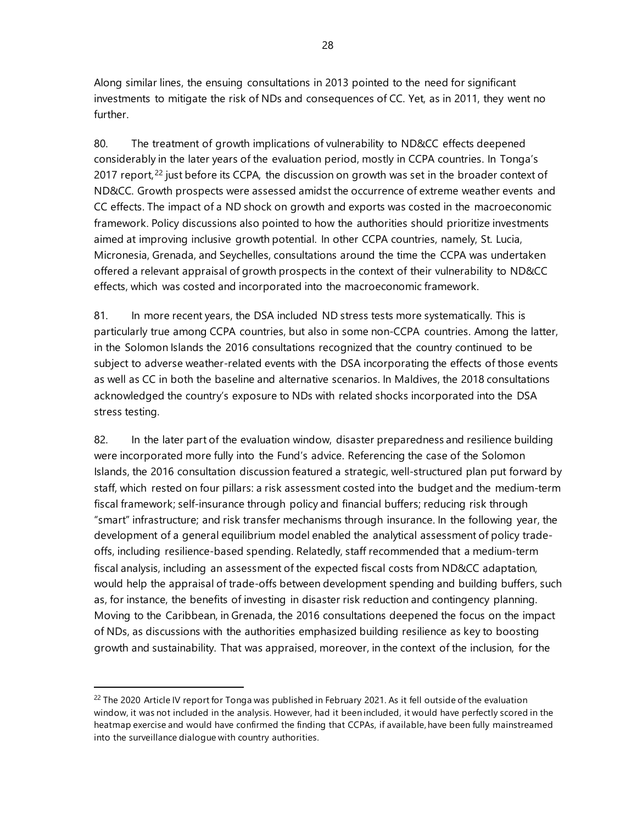Along similar lines, the ensuing consultations in 2013 pointed to the need for significant investments to mitigate the risk of NDs and consequences of CC. Yet, as in 2011, they went no further.

80. The treatment of growth implications of vulnerability to ND&CC effects deepened considerably in the later years of the evaluation period, mostly in CCPA countries. In Tonga's 2017 report,  $22$  just before its CCPA, the discussion on growth was set in the broader context of ND&CC. Growth prospects were assessed amidst the occurrence of extreme weather events and CC effects. The impact of a ND shock on growth and exports was costed in the macroeconomic framework. Policy discussions also pointed to how the authorities should prioritize investments aimed at improving inclusive growth potential. In other CCPA countries, namely, St. Lucia, Micronesia, Grenada, and Seychelles, consultations around the time the CCPA was undertaken offered a relevant appraisal of growth prospects in the context of their vulnerability to ND&CC effects, which was costed and incorporated into the macroeconomic framework.

81. In more recent years, the DSA included ND stress tests more systematically. This is particularly true among CCPA countries, but also in some non-CCPA countries. Among the latter, in the Solomon Islands the 2016 consultations recognized that the country continued to be subject to adverse weather-related events with the DSA incorporating the effects of those events as well as CC in both the baseline and alternative scenarios. In Maldives, the 2018 consultations acknowledged the country's exposure to NDs with related shocks incorporated into the DSA stress testing.

82. In the later part of the evaluation window, disaster preparedness and resilience building were incorporated more fully into the Fund's advice. Referencing the case of the Solomon Islands, the 2016 consultation discussion featured a strategic, well-structured plan put forward by staff, which rested on four pillars: a risk assessment costed into the budget and the medium-term fiscal framework; self-insurance through policy and financial buffers; reducing risk through "smart" infrastructure; and risk transfer mechanisms through insurance. In the following year, the development of a general equilibrium model enabled the analytical assessment of policy tradeoffs, including resilience-based spending. Relatedly, staff recommended that a medium-term fiscal analysis, including an assessment of the expected fiscal costs from ND&CC adaptation, would help the appraisal of trade-offs between development spending and building buffers, such as, for instance, the benefits of investing in disaster risk reduction and contingency planning. Moving to the Caribbean, in Grenada, the 2016 consultations deepened the focus on the impact of NDs, as discussions with the authorities emphasized building resilience as key to boosting growth and sustainability. That was appraised, moreover, in the context of the inclusion, for the

<span id="page-35-0"></span><sup>&</sup>lt;sup>22</sup> The 2020 Article IV report for Tonga was published in February 2021. As it fell outside of the evaluation window, it was not included in the analysis. However, had it been included, it would have perfectly scored in the heatmap exercise and would have confirmed the finding that CCPAs, if available, have been fully mainstreamed into the surveillance dialogue with country authorities.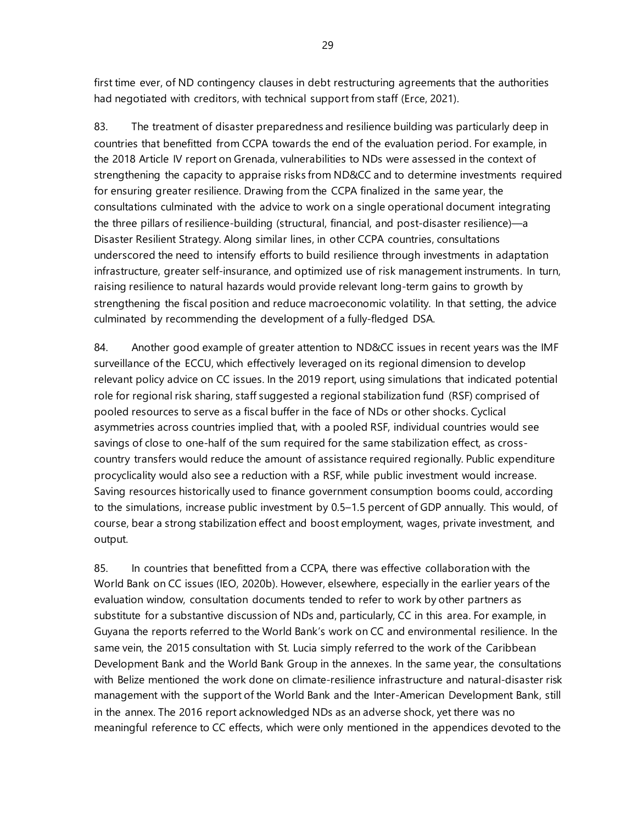first time ever, of ND contingency clauses in debt restructuring agreements that the authorities had negotiated with creditors, with technical support from staff (Erce, 2021).

83. The treatment of disaster preparedness and resilience building was particularly deep in countries that benefitted from CCPA towards the end of the evaluation period. For example, in the 2018 Article IV report on Grenada, vulnerabilities to NDs were assessed in the context of strengthening the capacity to appraise risks from ND&CC and to determine investments required for ensuring greater resilience. Drawing from the CCPA finalized in the same year, the consultations culminated with the advice to work on a single operational document integrating the three pillars of resilience-building (structural, financial, and post-disaster resilience)—a Disaster Resilient Strategy. Along similar lines, in other CCPA countries, consultations underscored the need to intensify efforts to build resilience through investments in adaptation infrastructure, greater self-insurance, and optimized use of risk management instruments. In turn, raising resilience to natural hazards would provide relevant long-term gains to growth by strengthening the fiscal position and reduce macroeconomic volatility. In that setting, the advice culminated by recommending the development of a fully-fledged DSA.

84. Another good example of greater attention to ND&CC issues in recent years was the IMF surveillance of the ECCU, which effectively leveraged on its regional dimension to develop relevant policy advice on CC issues. In the 2019 report, using simulations that indicated potential role for regional risk sharing, staff suggested a regional stabilization fund (RSF) comprised of pooled resources to serve as a fiscal buffer in the face of NDs or other shocks. Cyclical asymmetries across countries implied that, with a pooled RSF, individual countries would see savings of close to one-half of the sum required for the same stabilization effect, as crosscountry transfers would reduce the amount of assistance required regionally. Public expenditure procyclicality would also see a reduction with a RSF, while public investment would increase. Saving resources historically used to finance government consumption booms could, according to the simulations, increase public investment by 0.5–1.5 percent of GDP annually. This would, of course, bear a strong stabilization effect and boost employment, wages, private investment, and output.

85. In countries that benefitted from a CCPA, there was effective collaboration with the World Bank on CC issues (IEO, 2020b). However, elsewhere, especially in the earlier years of the evaluation window, consultation documents tended to refer to work by other partners as substitute for a substantive discussion of NDs and, particularly, CC in this area. For example, in Guyana the reports referred to the World Bank's work on CC and environmental resilience. In the same vein, the 2015 consultation with St. Lucia simply referred to the work of the Caribbean Development Bank and the World Bank Group in the annexes. In the same year, the consultations with Belize mentioned the work done on climate-resilience infrastructure and natural-disaster risk management with the support of the World Bank and the Inter-American Development Bank, still in the annex. The 2016 report acknowledged NDs as an adverse shock, yet there was no meaningful reference to CC effects, which were only mentioned in the appendices devoted to the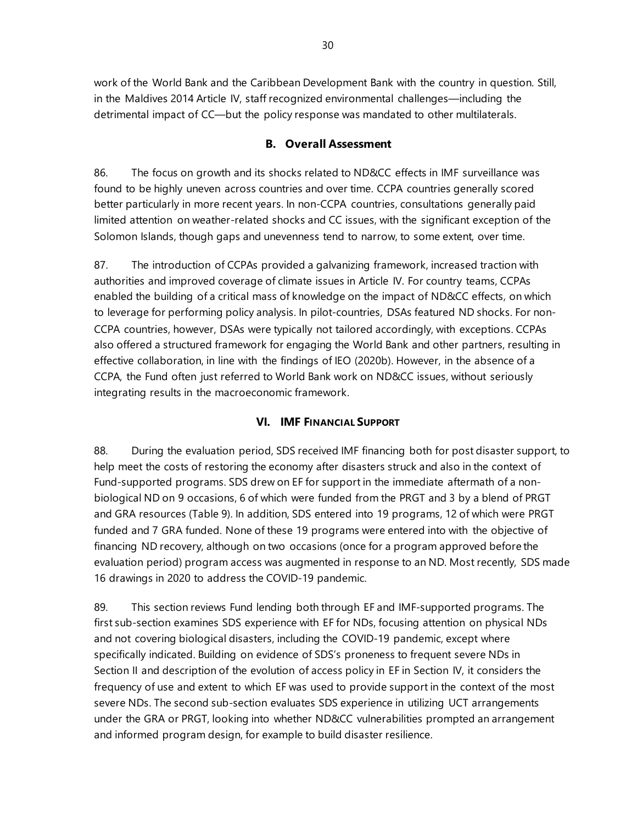work of the World Bank and the Caribbean Development Bank with the country in question. Still, in the Maldives 2014 Article IV, staff recognized environmental challenges—including the detrimental impact of CC—but the policy response was mandated to other multilaterals.

### **B. Overall Assessment**

86. The focus on growth and its shocks related to ND&CC effects in IMF surveillance was found to be highly uneven across countries and over time. CCPA countries generally scored better particularly in more recent years. In non-CCPA countries, consultations generally paid limited attention on weather-related shocks and CC issues, with the significant exception of the Solomon Islands, though gaps and unevenness tend to narrow, to some extent, over time.

87. The introduction of CCPAs provided a galvanizing framework, increased traction with authorities and improved coverage of climate issues in Article IV. For country teams, CCPAs enabled the building of a critical mass of knowledge on the impact of ND&CC effects, on which to leverage for performing policy analysis. In pilot-countries, DSAs featured ND shocks. For non-CCPA countries, however, DSAs were typically not tailored accordingly, with exceptions. CCPAs also offered a structured framework for engaging the World Bank and other partners, resulting in effective collaboration, in line with the findings of IEO (2020b). However, in the absence of a CCPA, the Fund often just referred to World Bank work on ND&CC issues, without seriously integrating results in the macroeconomic framework.

## **VI. IMF FINANCIAL SUPPORT**

88. During the evaluation period, SDS received IMF financing both for post disaster support, to help meet the costs of restoring the economy after disasters struck and also in the context of Fund-supported programs. SDS drew on EF for support in the immediate aftermath of a nonbiological ND on 9 occasions, 6 of which were funded from the PRGT and 3 by a blend of PRGT and GRA resources (Table 9). In addition, SDS entered into 19 programs, 12 of which were PRGT funded and 7 GRA funded. None of these 19 programs were entered into with the objective of financing ND recovery, although on two occasions (once for a program approved before the evaluation period) program access was augmented in response to an ND. Most recently, SDS made 16 drawings in 2020 to address the COVID-19 pandemic.

89. This section reviews Fund lending both through EF and IMF-supported programs. The first sub-section examines SDS experience with EF for NDs, focusing attention on physical NDs and not covering biological disasters, including the COVID-19 pandemic, except where specifically indicated. Building on evidence of SDS's proneness to frequent severe NDs in Section II and description of the evolution of access policy in EF in Section IV, it considers the frequency of use and extent to which EF was used to provide support in the context of the most severe NDs. The second sub-section evaluates SDS experience in utilizing UCT arrangements under the GRA or PRGT, looking into whether ND&CC vulnerabilities prompted an arrangement and informed program design, for example to build disaster resilience.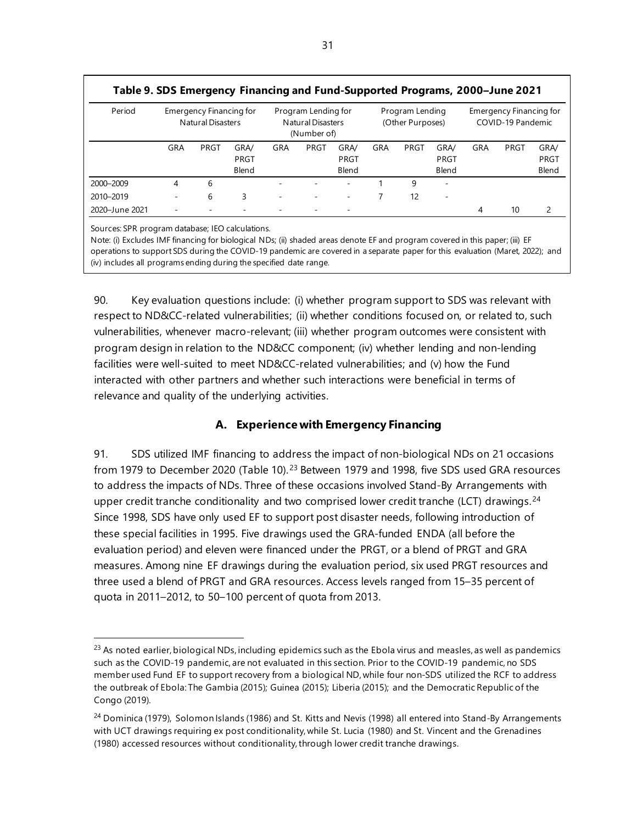| Table 9. SDS Emergency Financing and Fund-Supported Programs, 2000–June 2021<br>Period |     | Emergency Financing for<br><b>Natural Disasters</b> |       |     | Program Lending for<br><b>Natural Disasters</b><br>(Number of) |       |     | Program Lending<br>(Other Purposes) |                          |     | Emergency Financing for<br>COVID-19 Pandemic |       |
|----------------------------------------------------------------------------------------|-----|-----------------------------------------------------|-------|-----|----------------------------------------------------------------|-------|-----|-------------------------------------|--------------------------|-----|----------------------------------------------|-------|
|                                                                                        | GRA | PRGT                                                | GRA/  | GRA | PRGT                                                           | GRA/  | GRA | PRGT                                | <b>GRA/</b>              | GRA | PRGT                                         | GRA/  |
|                                                                                        |     |                                                     | PRGT  |     |                                                                | PRGT  |     |                                     | PRGT                     |     |                                              | PRGT  |
|                                                                                        |     |                                                     | Blend |     |                                                                | Blend |     |                                     | Blend                    |     |                                              | Blend |
| 2000-2009                                                                              | 4   | 6                                                   |       |     |                                                                |       |     | 9                                   | $\overline{\phantom{a}}$ |     |                                              |       |
| 2010-2019                                                                              |     | 6                                                   | 3     | ٠   |                                                                |       |     | 12                                  | $\overline{\phantom{a}}$ |     |                                              |       |
| 2020-June 2021                                                                         |     |                                                     |       |     |                                                                |       |     |                                     |                          | 4   | 10                                           |       |

Sources: SPR program database; IEO calculations.

Note: (i) Excludes IMF financing for biological NDs; (ii) shaded areas denote EF and program covered in this paper; (iii) EF operations to support SDS during the COVID-19 pandemic are covered in a separate paper for this evaluation (Maret, 2022); and (iv) includes all programs ending during the specified date range.

90. Key evaluation questions include: (i) whether program support to SDS was relevant with respect to ND&CC-related vulnerabilities; (ii) whether conditions focused on, or related to, such vulnerabilities, whenever macro-relevant; (iii) whether program outcomes were consistent with program design in relation to the ND&CC component; (iv) whether lending and non-lending facilities were well-suited to meet ND&CC-related vulnerabilities; and (v) how the Fund interacted with other partners and whether such interactions were beneficial in terms of relevance and quality of the underlying activities.

# **A. Experience with Emergency Financing**

91. SDS utilized IMF financing to address the impact of non-biological NDs on 21 occasions from 1979 to December 2020 (Table 10).<sup>[23](#page-38-0)</sup> Between 1979 and 1998, five SDS used GRA resources to address the impacts of NDs. Three of these occasions involved Stand-By Arrangements with upper credit tranche conditionality and two comprised lower credit tranche (LCT) drawings.<sup>[24](#page-38-1)</sup> Since 1998, SDS have only used EF to support post disaster needs, following introduction of these special facilities in 1995. Five drawings used the GRA-funded ENDA (all before the evaluation period) and eleven were financed under the PRGT, or a blend of PRGT and GRA measures. Among nine EF drawings during the evaluation period, six used PRGT resources and three used a blend of PRGT and GRA resources. Access levels ranged from 15–35 percent of quota in 2011–2012, to 50–100 percent of quota from 2013.

<span id="page-38-0"></span><sup>&</sup>lt;sup>23</sup> As noted earlier, biological NDs, including epidemics such as the Ebola virus and measles, as well as pandemics such as the COVID-19 pandemic, are not evaluated in this section. Prior to the COVID-19 pandemic, no SDS member used Fund EF to support recovery from a biological ND, while four non-SDS utilized the RCF to address the outbreak of Ebola: The Gambia (2015); Guinea (2015); Liberia (2015); and the Democratic Republic of the Congo (2019).

<span id="page-38-1"></span><sup>&</sup>lt;sup>24</sup> Dominica (1979), Solomon Islands (1986) and St. Kitts and Nevis (1998) all entered into Stand-By Arrangements with UCT drawings requiring ex post conditionality, while St. Lucia (1980) and St. Vincent and the Grenadines (1980) accessed resources without conditionality, through lower credit tranche drawings.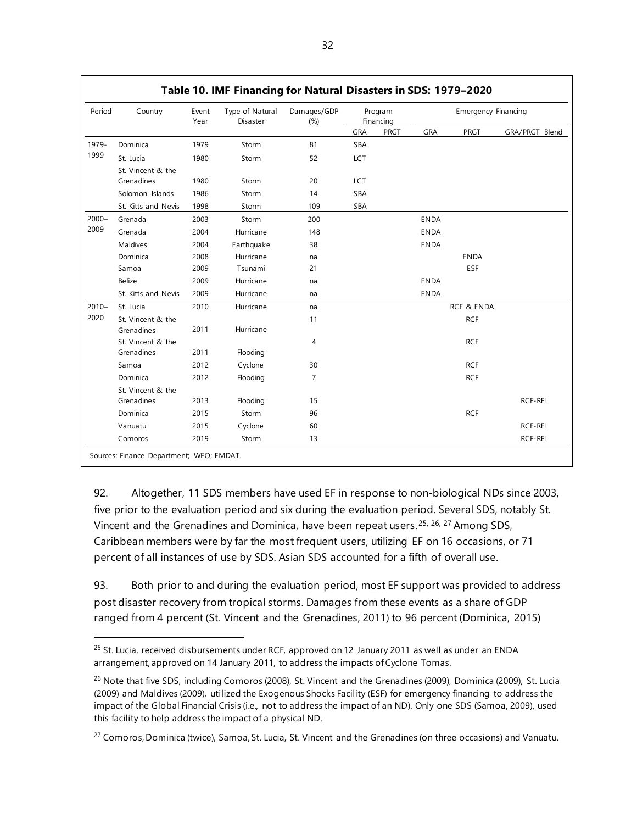| Period   | Country             | Event<br>Year | Type of Natural<br>Disaster | Damages/GDP<br>(%) |            | Program<br>Financing |             | <b>Emergency Financing</b> |                |  |
|----------|---------------------|---------------|-----------------------------|--------------------|------------|----------------------|-------------|----------------------------|----------------|--|
|          |                     |               |                             |                    | GRA        | <b>PRGT</b>          | GRA         | <b>PRGT</b>                | GRA/PRGT Blend |  |
| 1979-    | Dominica            | 1979          | Storm                       | 81                 | <b>SBA</b> |                      |             |                            |                |  |
| 1999     | St. Lucia           | 1980          | Storm                       | 52                 | LCT        |                      |             |                            |                |  |
|          | St. Vincent & the   |               |                             |                    |            |                      |             |                            |                |  |
|          | Grenadines          | 1980          | Storm                       | 20                 | LCT        |                      |             |                            |                |  |
|          | Solomon Islands     | 1986          | Storm                       | 14                 | <b>SBA</b> |                      |             |                            |                |  |
|          | St. Kitts and Nevis | 1998          | Storm                       | 109                | SBA        |                      |             |                            |                |  |
| $2000 -$ | Grenada             | 2003          | Storm                       | 200                |            |                      | <b>ENDA</b> |                            |                |  |
| 2009     | Grenada             | 2004          | Hurricane                   | 148                |            |                      | <b>ENDA</b> |                            |                |  |
|          | Maldives            | 2004          | Earthquake                  | 38                 |            |                      | <b>ENDA</b> |                            |                |  |
|          | Dominica            | 2008          | Hurricane                   | na                 |            |                      |             | <b>ENDA</b>                |                |  |
|          | Samoa               | 2009          | Tsunami                     | 21                 |            |                      |             | ESF                        |                |  |
|          | Belize              | 2009          | Hurricane                   | na                 |            |                      | <b>ENDA</b> |                            |                |  |
|          | St. Kitts and Nevis | 2009          | Hurricane                   | na                 |            |                      | <b>ENDA</b> |                            |                |  |
| $2010 -$ | St. Lucia           | 2010          | Hurricane                   | na                 |            |                      |             | <b>RCF &amp; ENDA</b>      |                |  |
| 2020     | St. Vincent & the   |               |                             | 11                 |            |                      |             | <b>RCF</b>                 |                |  |
|          | Grenadines          | 2011          | Hurricane                   |                    |            |                      |             |                            |                |  |
|          | St. Vincent & the   |               |                             | $\overline{4}$     |            |                      |             | <b>RCF</b>                 |                |  |
|          | Grenadines          | 2011          | Flooding                    |                    |            |                      |             |                            |                |  |
|          | Samoa               | 2012          | Cyclone                     | 30                 |            |                      |             | <b>RCF</b>                 |                |  |
|          | Dominica            | 2012          | Flooding                    | $\overline{7}$     |            |                      |             | <b>RCF</b>                 |                |  |
|          | St. Vincent & the   |               |                             |                    |            |                      |             |                            |                |  |
|          | Grenadines          | 2013          | Flooding                    | 15                 |            |                      |             |                            | <b>RCF-RFI</b> |  |
|          | Dominica            | 2015          | Storm                       | 96                 |            |                      |             | <b>RCF</b>                 |                |  |
|          | Vanuatu             | 2015          | Cyclone                     | 60                 |            |                      |             |                            | <b>RCF-RFI</b> |  |
|          | Comoros             | 2019          | Storm                       | 13                 |            |                      |             |                            | RCF-RFI        |  |

92. Altogether, 11 SDS members have used EF in response to non-biological NDs since 2003, five prior to the evaluation period and six during the evaluation period. Several SDS, notably St. Vincent and the Grenadines and Dominica, have been repeat users.<sup>[25](#page-39-0), [26](#page-39-1), [27](#page-39-2)</sup> Among SDS, Caribbean members were by far the most frequent users, utilizing EF on 16 occasions, or 71 percent of all instances of use by SDS. Asian SDS accounted for a fifth of overall use.

93. Both prior to and during the evaluation period, most EF support was provided to address post disaster recovery from tropical storms. Damages from these events as a share of GDP ranged from 4 percent (St. Vincent and the Grenadines, 2011) to 96 percent (Dominica, 2015)

<span id="page-39-0"></span><sup>&</sup>lt;sup>25</sup> St. Lucia, received disbursements under RCF, approved on 12 January 2011 as well as under an ENDA arrangement, approved on 14 January 2011, to address the impacts of Cyclone Tomas.

<span id="page-39-1"></span><sup>&</sup>lt;sup>26</sup> Note that five SDS, including Comoros (2008), St. Vincent and the Grenadines (2009), Dominica (2009), St. Lucia (2009) and Maldives (2009), utilized the Exogenous Shocks Facility (ESF) for emergency financing to address the impact of the Global Financial Crisis (i.e., not to address the impact of an ND). Only one SDS (Samoa, 2009), used this facility to help address the impact of a physical ND.

<span id="page-39-2"></span><sup>&</sup>lt;sup>27</sup> Comoros, Dominica (twice), Samoa, St. Lucia, St. Vincent and the Grenadines (on three occasions) and Vanuatu.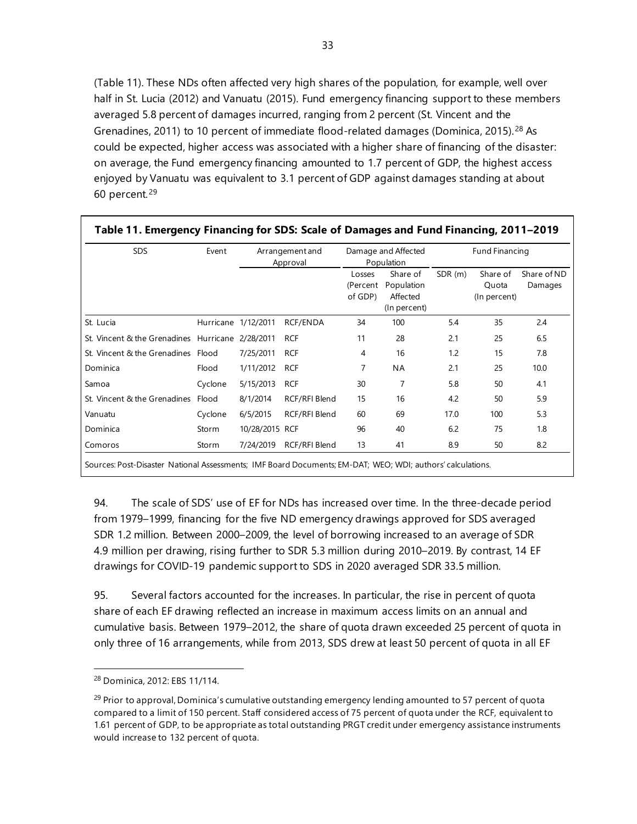(Table 11). These NDs often affected very high shares of the population, for example, well over half in St. Lucia (2012) and Vanuatu (2015). Fund emergency financing support to these members averaged 5.8 percent of damages incurred, ranging from 2 percent (St. Vincent and the Grenadines, 2011) to 10 percent of immediate flood-related damages (Dominica, 2015).[28](#page-40-0) As could be expected, higher access was associated with a higher share of financing of the disaster: on average, the Fund emergency financing amounted to 1.7 percent of GDP, the highest access enjoyed by Vanuatu was equivalent to 3.1 percent of GDP against damages standing at about 60 percent.[29](#page-40-1)

| <b>SDS</b>                                       | Event   |                     | Arrangement and<br>Approval |                               | Damage and Affected<br>Population                  |        | Fund Financing                    |                        |
|--------------------------------------------------|---------|---------------------|-----------------------------|-------------------------------|----------------------------------------------------|--------|-----------------------------------|------------------------|
|                                                  |         |                     |                             | Losses<br>(Percent<br>of GDP) | Share of<br>Population<br>Affected<br>(In percent) | SDR(m) | Share of<br>Quota<br>(In percent) | Share of ND<br>Damages |
| St. Lucia                                        |         | Hurricane 1/12/2011 | RCF/ENDA                    | 34                            | 100                                                | 5.4    | 35                                | 2.4                    |
| St. Vincent & the Grenadines Hurricane 2/28/2011 |         |                     | <b>RCF</b>                  | 11                            | 28                                                 | 2.1    | 25                                | 6.5                    |
| St. Vincent & the Grenadines Flood               |         | 7/25/2011           | <b>RCF</b>                  | 4                             | 16                                                 | 1.2    | 15                                | 7.8                    |
| Dominica                                         | Flood   | 1/11/2012           | <b>RCF</b>                  | 7                             | ΝA                                                 | 2.1    | 25                                | 10.0                   |
| Samoa                                            | Cyclone | 5/15/2013           | <b>RCF</b>                  | 30                            | 7                                                  | 5.8    | 50                                | 4.1                    |
| St. Vincent & the Grenadines Flood               |         | 8/1/2014            | RCF/RFI Blend               | 15                            | 16                                                 | 4.2    | 50                                | 5.9                    |
| Vanuatu                                          | Cyclone | 6/5/2015            | RCF/RFI Blend               | 60                            | 69                                                 | 17.0   | 100                               | 5.3                    |
| Dominica                                         | Storm   | 10/28/2015 RCF      |                             | 96                            | 40                                                 | 6.2    | 75                                | 1.8                    |
| Comoros                                          | Storm   | 7/24/2019           | RCF/RFI Blend               | 13                            | 41                                                 | 8.9    | 50                                | 8.2                    |

94. The scale of SDS' use of EF for NDs has increased over time. In the three-decade period from 1979–1999, financing for the five ND emergency drawings approved for SDS averaged SDR 1.2 million. Between 2000–2009, the level of borrowing increased to an average of SDR 4.9 million per drawing, rising further to SDR 5.3 million during 2010–2019. By contrast, 14 EF drawings for COVID-19 pandemic support to SDS in 2020 averaged SDR 33.5 million.

95. Several factors accounted for the increases. In particular, the rise in percent of quota share of each EF drawing reflected an increase in maximum access limits on an annual and cumulative basis. Between 1979–2012, the share of quota drawn exceeded 25 percent of quota in only three of 16 arrangements, while from 2013, SDS drew at least 50 percent of quota in all EF

<span id="page-40-0"></span><sup>28</sup> Dominica, 2012: EBS 11/114.

<span id="page-40-1"></span> $^{29}$  Prior to approval, Dominica's cumulative outstanding emergency lending amounted to 57 percent of quota compared to a limit of 150 percent. Staff considered access of 75 percent of quota under the RCF, equivalent to 1.61 percent of GDP, to be appropriate as total outstanding PRGT credit under emergency assistance instruments would increase to 132 percent of quota.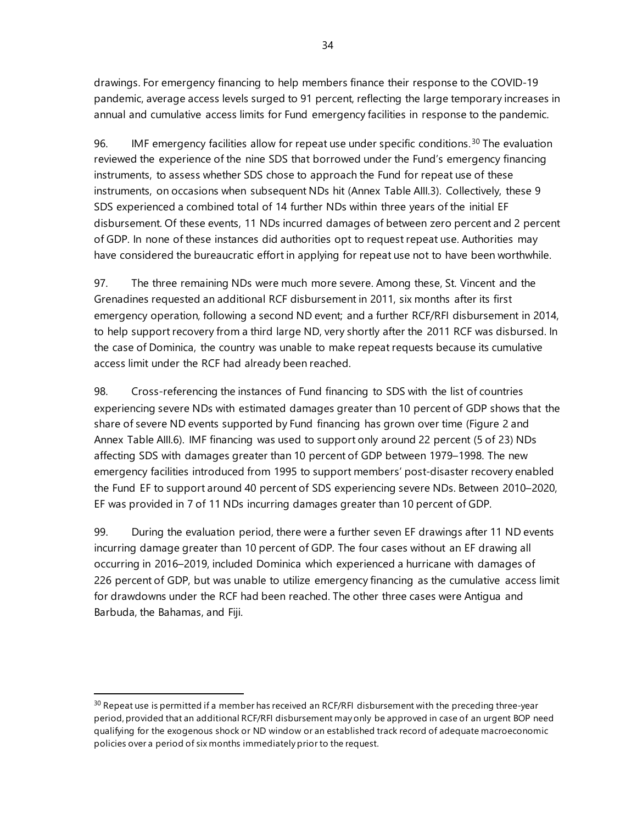drawings. For emergency financing to help members finance their response to the COVID-19 pandemic, average access levels surged to 91 percent, reflecting the large temporary increases in annual and cumulative access limits for Fund emergency facilities in response to the pandemic.

96. IMF emergency facilities allow for repeat use under specific conditions.<sup>[30](#page-41-0)</sup> The evaluation reviewed the experience of the nine SDS that borrowed under the Fund's emergency financing instruments, to assess whether SDS chose to approach the Fund for repeat use of these instruments, on occasions when subsequent NDs hit (Annex Table AIII.3). Collectively, these 9 SDS experienced a combined total of 14 further NDs within three years of the initial EF disbursement. Of these events, 11 NDs incurred damages of between zero percent and 2 percent of GDP. In none of these instances did authorities opt to request repeat use. Authorities may have considered the bureaucratic effort in applying for repeat use not to have been worthwhile.

97. The three remaining NDs were much more severe. Among these, St. Vincent and the Grenadines requested an additional RCF disbursement in 2011, six months after its first emergency operation, following a second ND event; and a further RCF/RFI disbursement in 2014, to help support recovery from a third large ND, very shortly after the 2011 RCF was disbursed. In the case of Dominica, the country was unable to make repeat requests because its cumulative access limit under the RCF had already been reached.

98. Cross-referencing the instances of Fund financing to SDS with the list of countries experiencing severe NDs with estimated damages greater than 10 percent of GDP shows that the share of severe ND events supported by Fund financing has grown over time (Figure 2 and Annex Table AIII.6). IMF financing was used to support only around 22 percent (5 of 23) NDs affecting SDS with damages greater than 10 percent of GDP between 1979–1998. The new emergency facilities introduced from 1995 to support members' post-disaster recovery enabled the Fund EF to support around 40 percent of SDS experiencing severe NDs. Between 2010–2020, EF was provided in 7 of 11 NDs incurring damages greater than 10 percent of GDP.

99. During the evaluation period, there were a further seven EF drawings after 11 ND events incurring damage greater than 10 percent of GDP. The four cases without an EF drawing all occurring in 2016–2019, included Dominica which experienced a hurricane with damages of 226 percent of GDP, but was unable to utilize emergency financing as the cumulative access limit for drawdowns under the RCF had been reached. The other three cases were Antigua and Barbuda, the Bahamas, and Fiji.

<span id="page-41-0"></span><sup>&</sup>lt;sup>30</sup> Repeat use is permitted if a member has received an RCF/RFI disbursement with the preceding three-year period, provided that an additional RCF/RFI disbursement may only be approved in case of an urgent BOP need qualifying for the exogenous shock or ND window or an established track record of adequate macroeconomic policies over a period of six months immediately prior to the request.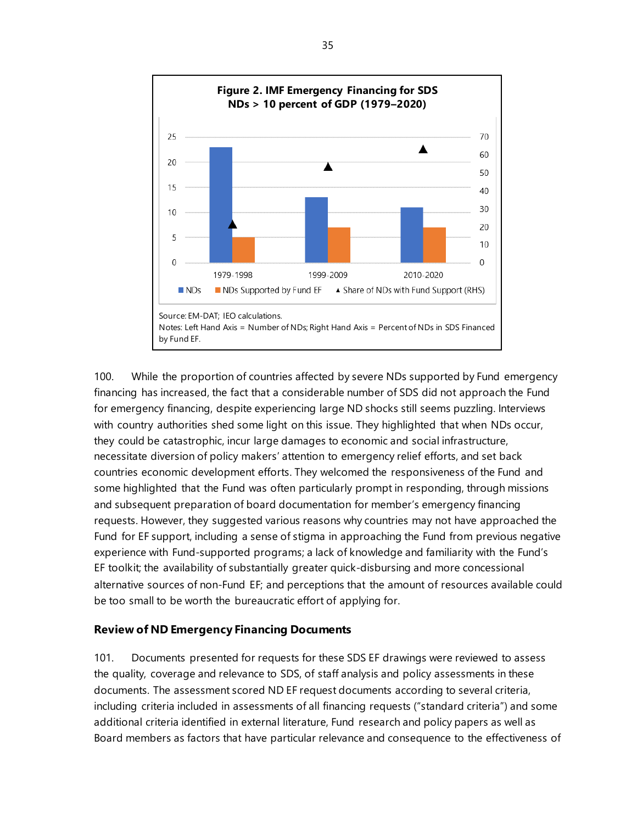

100. While the proportion of countries affected by severe NDs supported by Fund emergency financing has increased, the fact that a considerable number of SDS did not approach the Fund for emergency financing, despite experiencing large ND shocks still seems puzzling. Interviews with country authorities shed some light on this issue. They highlighted that when NDs occur, they could be catastrophic, incur large damages to economic and social infrastructure, necessitate diversion of policy makers' attention to emergency relief efforts, and set back countries economic development efforts. They welcomed the responsiveness of the Fund and some highlighted that the Fund was often particularly prompt in responding, through missions and subsequent preparation of board documentation for member's emergency financing requests. However, they suggested various reasons why countries may not have approached the Fund for EF support, including a sense of stigma in approaching the Fund from previous negative experience with Fund-supported programs; a lack of knowledge and familiarity with the Fund's EF toolkit; the availability of substantially greater quick-disbursing and more concessional alternative sources of non-Fund EF; and perceptions that the amount of resources available could be too small to be worth the bureaucratic effort of applying for.

### **Review of ND Emergency Financing Documents**

101. Documents presented for requests for these SDS EF drawings were reviewed to assess the quality, coverage and relevance to SDS, of staff analysis and policy assessments in these documents. The assessment scored ND EF request documents according to several criteria, including criteria included in assessments of all financing requests ("standard criteria") and some additional criteria identified in external literature, Fund research and policy papers as well as Board members as factors that have particular relevance and consequence to the effectiveness of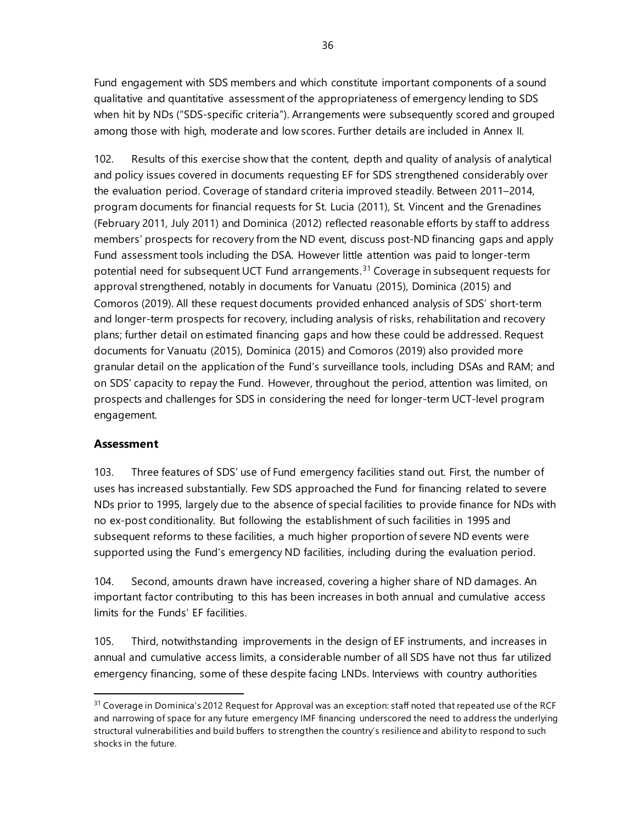Fund engagement with SDS members and which constitute important components of a sound qualitative and quantitative assessment of the appropriateness of emergency lending to SDS when hit by NDs ("SDS-specific criteria"). Arrangements were subsequently scored and grouped among those with high, moderate and low scores. Further details are included in Annex II.

102. Results of this exercise show that the content, depth and quality of analysis of analytical and policy issues covered in documents requesting EF for SDS strengthened considerably over the evaluation period. Coverage of standard criteria improved steadily. Between 2011–2014, program documents for financial requests for St. Lucia (2011), St. Vincent and the Grenadines (February 2011, July 2011) and Dominica (2012) reflected reasonable efforts by staff to address members' prospects for recovery from the ND event, discuss post-ND financing gaps and apply Fund assessment tools including the DSA. However little attention was paid to longer-term potential need for subsequent UCT Fund arrangements.<sup>[31](#page-43-0)</sup> Coverage in subsequent requests for approval strengthened, notably in documents for Vanuatu (2015), Dominica (2015) and Comoros (2019). All these request documents provided enhanced analysis of SDS' short-term and longer-term prospects for recovery, including analysis of risks, rehabilitation and recovery plans; further detail on estimated financing gaps and how these could be addressed. Request documents for Vanuatu (2015), Dominica (2015) and Comoros (2019) also provided more granular detail on the application of the Fund's surveillance tools, including DSAs and RAM; and on SDS' capacity to repay the Fund. However, throughout the period, attention was limited, on prospects and challenges for SDS in considering the need for longer-term UCT-level program engagement.

### **Assessment**

103. Three features of SDS' use of Fund emergency facilities stand out. First, the number of uses has increased substantially. Few SDS approached the Fund for financing related to severe NDs prior to 1995, largely due to the absence of special facilities to provide finance for NDs with no ex-post conditionality. But following the establishment of such facilities in 1995 and subsequent reforms to these facilities, a much higher proportion of severe ND events were supported using the Fund's emergency ND facilities, including during the evaluation period.

104. Second, amounts drawn have increased, covering a higher share of ND damages. An important factor contributing to this has been increases in both annual and cumulative access limits for the Funds' EF facilities.

105. Third, notwithstanding improvements in the design of EF instruments, and increases in annual and cumulative access limits, a considerable number of all SDS have not thus far utilized emergency financing, some of these despite facing LNDs. Interviews with country authorities

<span id="page-43-0"></span><sup>&</sup>lt;sup>31</sup> Coverage in Dominica's 2012 Request for Approval was an exception: staff noted that repeated use of the RCF and narrowing of space for any future emergency IMF financing underscored the need to address the underlying structural vulnerabilities and build buffers to strengthen the country's resilience and ability to respond to such shocks in the future.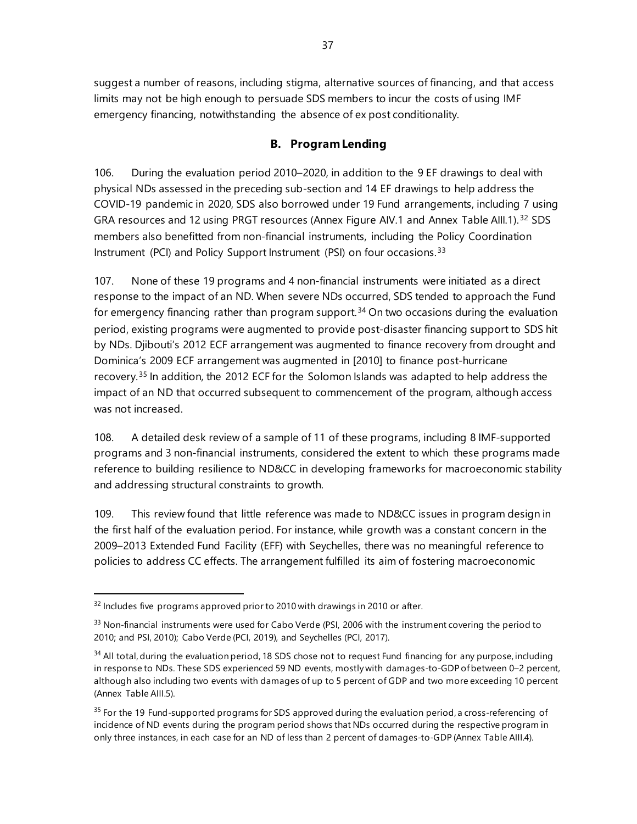suggest a number of reasons, including stigma, alternative sources of financing, and that access limits may not be high enough to persuade SDS members to incur the costs of using IMF emergency financing, notwithstanding the absence of ex post conditionality.

## **B. Program Lending**

106. During the evaluation period 2010–2020, in addition to the 9 EF drawings to deal with physical NDs assessed in the preceding sub-section and 14 EF drawings to help address the COVID-19 pandemic in 2020, SDS also borrowed under 19 Fund arrangements, including 7 using GRA resources and 12 using PRGT resources (Annex Figure AIV.1 and Annex Table AIII.1).<sup>[32](#page-44-0)</sup> SDS members also benefitted from non-financial instruments, including the Policy Coordination Instrument (PCI) and Policy Support Instrument (PSI) on four occasions.[33](#page-44-1)

107. None of these 19 programs and 4 non-financial instruments were initiated as a direct response to the impact of an ND. When severe NDs occurred, SDS tended to approach the Fund for emergency financing rather than program support.<sup>[34](#page-44-2)</sup> On two occasions during the evaluation period, existing programs were augmented to provide post-disaster financing support to SDS hit by NDs. Djibouti's 2012 ECF arrangement was augmented to finance recovery from drought and Dominica's 2009 ECF arrangement was augmented in [2010] to finance post-hurricane recovery.[35](#page-44-3) In addition, the 2012 ECF for the Solomon Islands was adapted to help address the impact of an ND that occurred subsequent to commencement of the program, although access was not increased.

108. A detailed desk review of a sample of 11 of these programs, including 8 IMF-supported programs and 3 non-financial instruments, considered the extent to which these programs made reference to building resilience to ND&CC in developing frameworks for macroeconomic stability and addressing structural constraints to growth.

109. This review found that little reference was made to ND&CC issues in program design in the first half of the evaluation period. For instance, while growth was a constant concern in the 2009–2013 Extended Fund Facility (EFF) with Seychelles, there was no meaningful reference to policies to address CC effects. The arrangement fulfilled its aim of fostering macroeconomic

<span id="page-44-0"></span><sup>&</sup>lt;sup>32</sup> Includes five programs approved prior to 2010 with drawings in 2010 or after.

<span id="page-44-1"></span> $33$  Non-financial instruments were used for Cabo Verde (PSI, 2006 with the instrument covering the period to 2010; and PSI, 2010); Cabo Verde (PCI, 2019), and Seychelles (PCI, 2017).

<span id="page-44-2"></span> $34$  All total, during the evaluation period, 18 SDS chose not to request Fund financing for any purpose, including in response to NDs. These SDS experienced 59 ND events, mostly with damages-to-GDP of between 0–2 percent, although also including two events with damages of up to 5 percent of GDP and two more exceeding 10 percent (Annex Table AIII.5).

<span id="page-44-3"></span> $35$  For the 19 Fund-supported programs for SDS approved during the evaluation period, a cross-referencing of incidence of ND events during the program period shows that NDs occurred during the respective program in only three instances, in each case for an ND of less than 2 percent of damages-to-GDP (Annex Table AIII.4).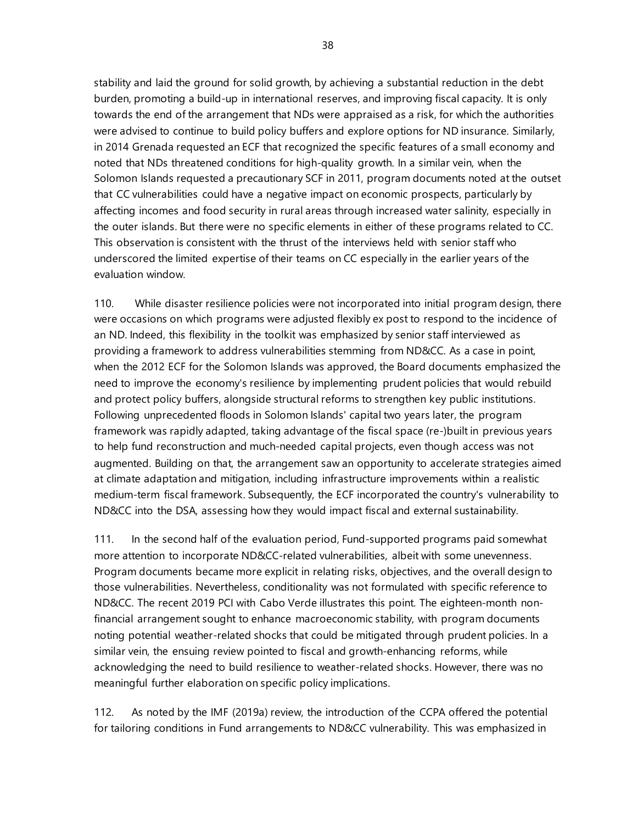stability and laid the ground for solid growth, by achieving a substantial reduction in the debt burden, promoting a build-up in international reserves, and improving fiscal capacity. It is only towards the end of the arrangement that NDs were appraised as a risk, for which the authorities were advised to continue to build policy buffers and explore options for ND insurance. Similarly, in 2014 Grenada requested an ECF that recognized the specific features of a small economy and noted that NDs threatened conditions for high-quality growth. In a similar vein, when the Solomon Islands requested a precautionary SCF in 2011, program documents noted at the outset that CC vulnerabilities could have a negative impact on economic prospects, particularly by affecting incomes and food security in rural areas through increased water salinity, especially in the outer islands. But there were no specific elements in either of these programs related to CC. This observation is consistent with the thrust of the interviews held with senior staff who underscored the limited expertise of their teams on CC especially in the earlier years of the evaluation window.

110. While disaster resilience policies were not incorporated into initial program design, there were occasions on which programs were adjusted flexibly ex post to respond to the incidence of an ND. Indeed, this flexibility in the toolkit was emphasized by senior staff interviewed as providing a framework to address vulnerabilities stemming from ND&CC. As a case in point, when the 2012 ECF for the Solomon Islands was approved, the Board documents emphasized the need to improve the economy's resilience by implementing prudent policies that would rebuild and protect policy buffers, alongside structural reforms to strengthen key public institutions. Following unprecedented floods in Solomon Islands' capital two years later, the program framework was rapidly adapted, taking advantage of the fiscal space (re-)built in previous years to help fund reconstruction and much-needed capital projects, even though access was not augmented. Building on that, the arrangement saw an opportunity to accelerate strategies aimed at climate adaptation and mitigation, including infrastructure improvements within a realistic medium-term fiscal framework. Subsequently, the ECF incorporated the country's vulnerability to ND&CC into the DSA, assessing how they would impact fiscal and external sustainability.

111. In the second half of the evaluation period, Fund-supported programs paid somewhat more attention to incorporate ND&CC-related vulnerabilities, albeit with some unevenness. Program documents became more explicit in relating risks, objectives, and the overall design to those vulnerabilities. Nevertheless, conditionality was not formulated with specific reference to ND&CC. The recent 2019 PCI with Cabo Verde illustrates this point. The eighteen-month nonfinancial arrangement sought to enhance macroeconomic stability, with program documents noting potential weather-related shocks that could be mitigated through prudent policies. In a similar vein, the ensuing review pointed to fiscal and growth-enhancing reforms, while acknowledging the need to build resilience to weather-related shocks. However, there was no meaningful further elaboration on specific policy implications.

112. As noted by the IMF (2019a) review, the introduction of the CCPA offered the potential for tailoring conditions in Fund arrangements to ND&CC vulnerability. This was emphasized in

38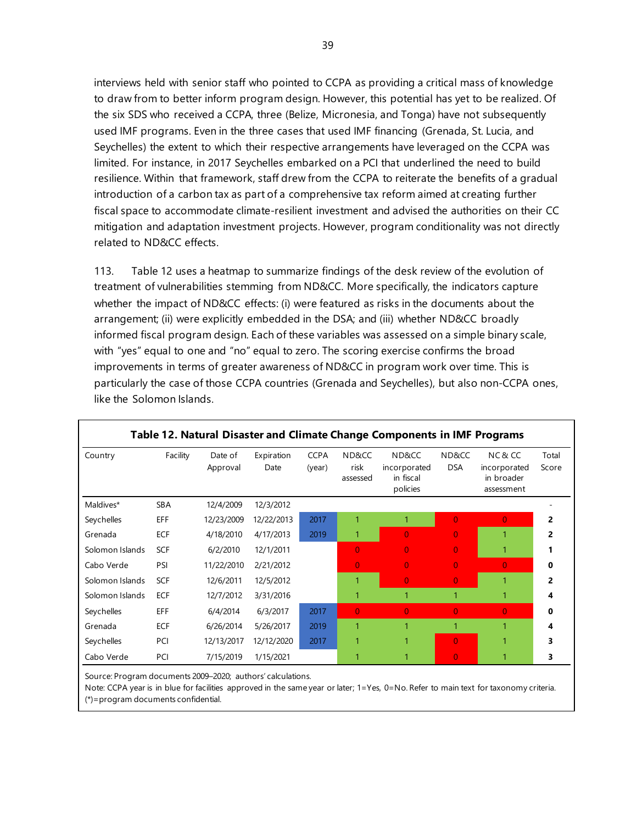interviews held with senior staff who pointed to CCPA as providing a critical mass of knowledge to draw from to better inform program design. However, this potential has yet to be realized. Of the six SDS who received a CCPA, three (Belize, Micronesia, and Tonga) have not subsequently used IMF programs. Even in the three cases that used IMF financing (Grenada, St. Lucia, and Seychelles) the extent to which their respective arrangements have leveraged on the CCPA was limited. For instance, in 2017 Seychelles embarked on a PCI that underlined the need to build resilience. Within that framework, staff drew from the CCPA to reiterate the benefits of a gradual introduction of a carbon tax as part of a comprehensive tax reform aimed at creating further fiscal space to accommodate climate-resilient investment and advised the authorities on their CC mitigation and adaptation investment projects. However, program conditionality was not directly related to ND&CC effects.

113. Table 12 uses a heatmap to summarize findings of the desk review of the evolution of treatment of vulnerabilities stemming from ND&CC. More specifically, the indicators capture whether the impact of ND&CC effects: (i) were featured as risks in the documents about the arrangement; (ii) were explicitly embedded in the DSA; and (iii) whether ND&CC broadly informed fiscal program design. Each of these variables was assessed on a simple binary scale, with "yes" equal to one and "no" equal to zero. The scoring exercise confirms the broad improvements in terms of greater awareness of ND&CC in program work over time. This is particularly the case of those CCPA countries (Grenada and Seychelles), but also non-CCPA ones, like the Solomon Islands.

| Country         | Facility   | Date of<br>Approval | Expiration<br>Date | <b>CCPA</b><br>(year) | ND&CC<br>risk<br>assessed | ND&CC<br>incorporated<br>in fiscal<br>policies | ND&CC<br><b>DSA</b> | NC&CC<br>incorporated<br>in broader<br>assessment | Total<br>Score |
|-----------------|------------|---------------------|--------------------|-----------------------|---------------------------|------------------------------------------------|---------------------|---------------------------------------------------|----------------|
| Maldives*       | <b>SBA</b> | 12/4/2009           | 12/3/2012          |                       |                           |                                                |                     |                                                   |                |
| Seychelles      | EFF        | 12/23/2009          | 12/22/2013         | 2017                  | 1                         | 1                                              | $\overline{0}$      | $\overline{0}$                                    | 2              |
| Grenada         | ECF        | 4/18/2010           | 4/17/2013          | 2019                  | 1                         | $\overline{0}$                                 | $\overline{0}$      | 1                                                 | 2              |
| Solomon Islands | <b>SCF</b> | 6/2/2010            | 12/1/2011          |                       | $\overline{0}$            | $\overline{0}$                                 | $\overline{0}$      | 1                                                 |                |
| Cabo Verde      | PSI        | 11/22/2010          | 2/21/2012          |                       | $\overline{0}$            | $\overline{0}$                                 | $\overline{0}$      | $\overline{0}$                                    | 0              |
| Solomon Islands | <b>SCF</b> | 12/6/2011           | 12/5/2012          |                       | 1                         | $\overline{0}$                                 | $\overline{0}$      | 1                                                 | 2              |
| Solomon Islands | <b>ECF</b> | 12/7/2012           | 3/31/2016          |                       | 1                         | 1                                              | 1                   | 1                                                 | 4              |
| Seychelles      | EFF        | 6/4/2014            | 6/3/2017           | 2017                  | $\overline{0}$            | $\overline{0}$                                 | $\overline{0}$      | $\overline{0}$                                    | 0              |
| Grenada         | ECF        | 6/26/2014           | 5/26/2017          | 2019                  | 1                         | 1                                              |                     | 1                                                 | 4              |
| Seychelles      | PCI        | 12/13/2017          | 12/12/2020         | 2017                  | 1                         | 1                                              | $\overline{0}$      | 1                                                 | 3              |
| Cabo Verde      | PCI        | 7/15/2019           | 1/15/2021          |                       | 1                         |                                                | $\overline{0}$      | 1                                                 | 3              |

### **Table 12. Natural Disaster and Climate Change Components in IMF Programs**

Source: Program documents 2009–2020; authors' calculations.

Note: CCPA year is in blue for facilities approved in the same year or later; 1=Yes, 0=No. Refer to main text for taxonomy criteria. (\*)=program documents confidential.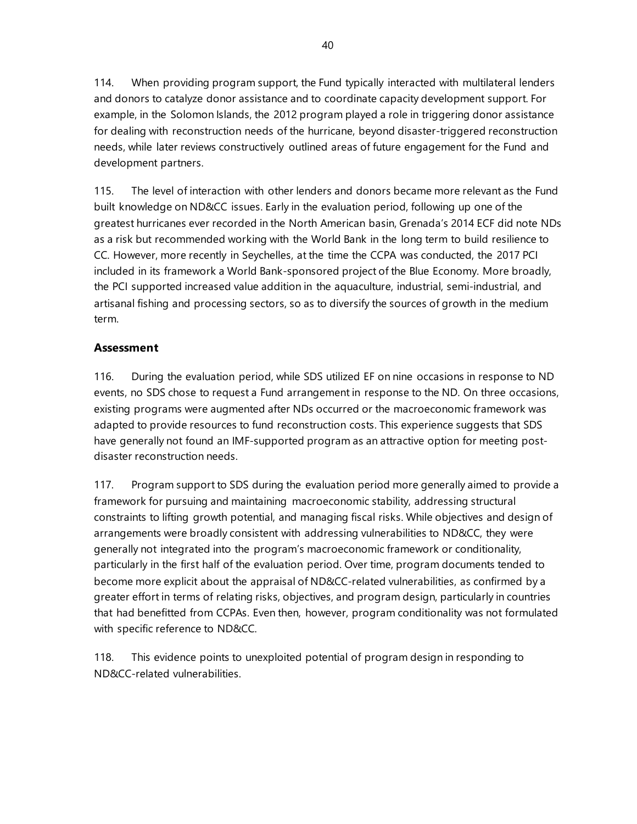114. When providing program support, the Fund typically interacted with multilateral lenders and donors to catalyze donor assistance and to coordinate capacity development support. For example, in the Solomon Islands, the 2012 program played a role in triggering donor assistance for dealing with reconstruction needs of the hurricane, beyond disaster-triggered reconstruction needs, while later reviews constructively outlined areas of future engagement for the Fund and development partners.

115. The level of interaction with other lenders and donors became more relevant as the Fund built knowledge on ND&CC issues. Early in the evaluation period, following up one of the greatest hurricanes ever recorded in the North American basin, Grenada's 2014 ECF did note NDs as a risk but recommended working with the World Bank in the long term to build resilience to CC. However, more recently in Seychelles, at the time the CCPA was conducted, the 2017 PCI included in its framework a World Bank-sponsored project of the Blue Economy. More broadly, the PCI supported increased value addition in the aquaculture, industrial, semi-industrial, and artisanal fishing and processing sectors, so as to diversify the sources of growth in the medium term.

### **Assessment**

116. During the evaluation period, while SDS utilized EF on nine occasions in response to ND events, no SDS chose to request a Fund arrangement in response to the ND. On three occasions, existing programs were augmented after NDs occurred or the macroeconomic framework was adapted to provide resources to fund reconstruction costs. This experience suggests that SDS have generally not found an IMF-supported program as an attractive option for meeting postdisaster reconstruction needs.

117. Program support to SDS during the evaluation period more generally aimed to provide a framework for pursuing and maintaining macroeconomic stability, addressing structural constraints to lifting growth potential, and managing fiscal risks. While objectives and design of arrangements were broadly consistent with addressing vulnerabilities to ND&CC, they were generally not integrated into the program's macroeconomic framework or conditionality, particularly in the first half of the evaluation period. Over time, program documents tended to become more explicit about the appraisal of ND&CC-related vulnerabilities, as confirmed by a greater effort in terms of relating risks, objectives, and program design, particularly in countries that had benefitted from CCPAs. Even then, however, program conditionality was not formulated with specific reference to ND&CC.

118. This evidence points to unexploited potential of program design in responding to ND&CC-related vulnerabilities.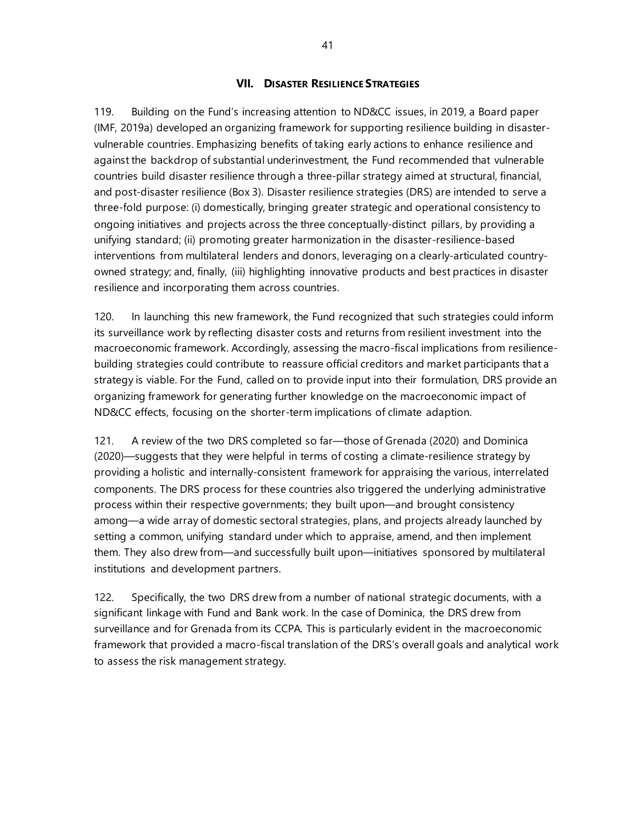### **VII. DISASTER RESILIENCE STRATEGIES**

119. Building on the Fund's increasing attention to ND&CC issues, in 2019, a Board paper (IMF, 2019a) developed an organizing framework for supporting resilience building in disastervulnerable countries. Emphasizing benefits of taking early actions to enhance resilience and against the backdrop of substantial underinvestment, the Fund recommended that vulnerable countries build disaster resilience through a three-pillar strategy aimed at structural, financial, and post-disaster resilience (Box 3). Disaster resilience strategies (DRS) are intended to serve a three-fold purpose: (i) domestically, bringing greater strategic and operational consistency to ongoing initiatives and projects across the three conceptually-distinct pillars, by providing a unifying standard; (ii) promoting greater harmonization in the disaster-resilience-based interventions from multilateral lenders and donors, leveraging on a clearly-articulated countryowned strategy; and, finally, (iii) highlighting innovative products and best practices in disaster resilience and incorporating them across countries.

120. In launching this new framework, the Fund recognized that such strategies could inform its surveillance work by reflecting disaster costs and returns from resilient investment into the macroeconomic framework. Accordingly, assessing the macro-fiscal implications from resiliencebuilding strategies could contribute to reassure official creditors and market participants that a strategy is viable. For the Fund, called on to provide input into their formulation, DRS provide an organizing framework for generating further knowledge on the macroeconomic impact of ND&CC effects, focusing on the shorter-term implications of climate adaption.

121. A review of the two DRS completed so far—those of Grenada (2020) and Dominica (2020)—suggests that they were helpful in terms of costing a climate-resilience strategy by providing a holistic and internally-consistent framework for appraising the various, interrelated components. The DRS process for these countries also triggered the underlying administrative process within their respective governments; they built upon—and brought consistency among—a wide array of domestic sectoral strategies, plans, and projects already launched by setting a common, unifying standard under which to appraise, amend, and then implement them. They also drew from—and successfully built upon—initiatives sponsored by multilateral institutions and development partners.

122. Specifically, the two DRS drew from a number of national strategic documents, with a significant linkage with Fund and Bank work. In the case of Dominica, the DRS drew from surveillance and for Grenada from its CCPA. This is particularly evident in the macroeconomic framework that provided a macro-fiscal translation of the DRS's overall goals and analytical work to assess the risk management strategy.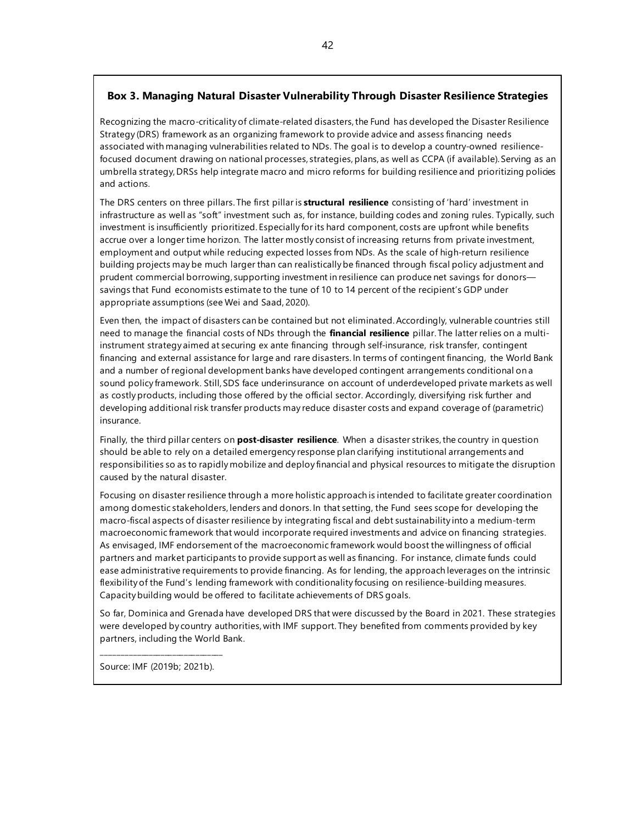### **Box 3. Managing Natural Disaster Vulnerability Through Disaster Resilience Strategies**

Recognizing the macro-criticality of climate-related disasters, the Fund has developed the Disaster Resilience Strategy (DRS) framework as an organizing framework to provide advice and assess financing needs associated with managing vulnerabilities related to NDs. The goal is to develop a country-owned resiliencefocused document drawing on national processes, strategies, plans, as well as CCPA (if available). Serving as an umbrella strategy, DRSs help integrate macro and micro reforms for building resilience and prioritizing policies and actions.

The DRS centers on three pillars. The first pillar is **structural resilience** consisting of 'hard' investment in infrastructure as well as "soft" investment such as, for instance, building codes and zoning rules. Typically, such investment is insufficiently prioritized. Especially for its hard component, costs are upfront while benefits accrue over a longer time horizon. The latter mostly consist of increasing returns from private investment, employment and output while reducing expected losses from NDs. As the scale of high-return resilience building projects may be much larger than can realistically be financed through fiscal policy adjustment and prudent commercial borrowing, supporting investment in resilience can produce net savings for donors savings that Fund economists estimate to the tune of 10 to 14 percent of the recipient's GDP under appropriate assumptions (see Wei and Saad, 2020).

Even then, the impact of disasters can be contained but not eliminated. Accordingly, vulnerable countries still need to manage the financial costs of NDs through the **financial resilience** pillar. The latter relies on a multiinstrument strategy aimed at securing ex ante financing through self-insurance, risk transfer, contingent financing and external assistance for large and rare disasters. In terms of contingent financing, the World Bank and a number of regional development banks have developed contingent arrangements conditional on a sound policy framework. Still, SDS face underinsurance on account of underdeveloped private markets as well as costly products, including those offered by the official sector. Accordingly, diversifying risk further and developing additional risk transfer products may reduce disaster costs and expand coverage of (parametric) insurance.

Finally, the third pillar centers on **post-disaster resilience**. When a disaster strikes, the country in question should be able to rely on a detailed emergency response plan clarifying institutional arrangements and responsibilities so as to rapidly mobilize and deploy financial and physical resources to mitigate the disruption caused by the natural disaster.

Focusing on disaster resilience through a more holistic approach is intended to facilitate greater coordination among domestic stakeholders, lenders and donors. In that setting, the Fund sees scope for developing the macro-fiscal aspects of disaster resilience by integrating fiscal and debt sustainability into a medium-term macroeconomic framework that would incorporate required investments and advice on financing strategies. As envisaged, IMF endorsement of the macroeconomic framework would boost the willingness of official partners and market participants to provide support as well as financing. For instance, climate funds could ease administrative requirements to provide financing. As for lending, the approach leverages on the intrinsic flexibility of the Fund's lending framework with conditionality focusing on resilience-building measures. Capacity building would be offered to facilitate achievements of DRS goals.

So far, Dominica and Grenada have developed DRS that were discussed by the Board in 2021. These strategies were developed by country authorities, with IMF support. They benefited from comments provided by key partners, including the World Bank.

\_\_\_\_\_\_\_\_\_\_\_\_\_\_\_\_\_\_\_\_\_\_\_\_\_\_\_\_\_\_\_ Source: IMF (2019b; 2021b).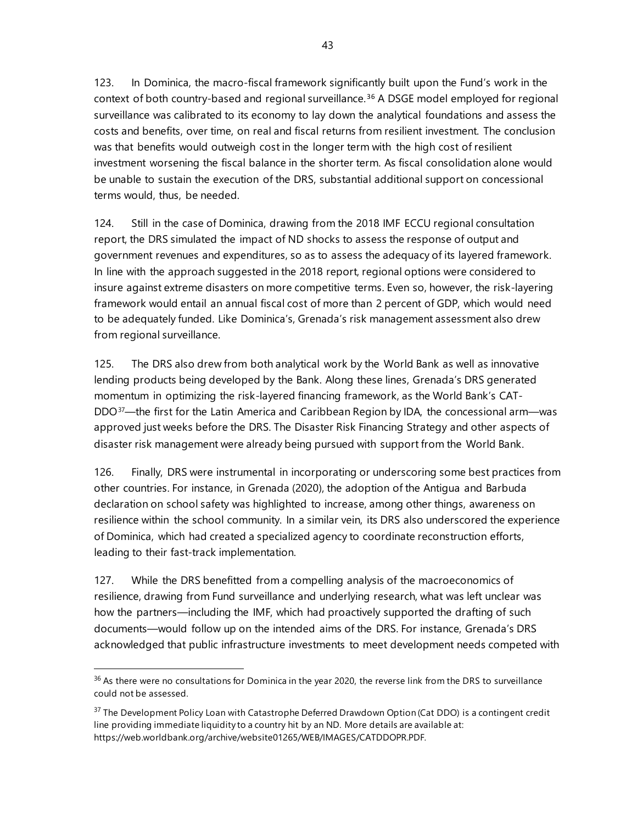123. In Dominica, the macro-fiscal framework significantly built upon the Fund's work in the context of both country-based and regional surveillance.<sup>[36](#page-50-0)</sup> A DSGE model employed for regional surveillance was calibrated to its economy to lay down the analytical foundations and assess the costs and benefits, over time, on real and fiscal returns from resilient investment. The conclusion was that benefits would outweigh cost in the longer term with the high cost of resilient investment worsening the fiscal balance in the shorter term. As fiscal consolidation alone would be unable to sustain the execution of the DRS, substantial additional support on concessional terms would, thus, be needed.

124. Still in the case of Dominica, drawing from the 2018 IMF ECCU regional consultation report, the DRS simulated the impact of ND shocks to assess the response of output and government revenues and expenditures, so as to assess the adequacy of its layered framework. In line with the approach suggested in the 2018 report, regional options were considered to insure against extreme disasters on more competitive terms. Even so, however, the risk-layering framework would entail an annual fiscal cost of more than 2 percent of GDP, which would need to be adequately funded. Like Dominica's, Grenada's risk management assessment also drew from regional surveillance.

125. The DRS also drew from both analytical work by the World Bank as well as innovative lending products being developed by the Bank. Along these lines, Grenada's DRS generated momentum in optimizing the risk-layered financing framework, as the World Bank's CAT-DDO<sup>[37](#page-50-1)</sup>—the first for the Latin America and Caribbean Region by IDA, the concessional arm—was approved just weeks before the DRS. The Disaster Risk Financing Strategy and other aspects of disaster risk management were already being pursued with support from the World Bank.

126. Finally, DRS were instrumental in incorporating or underscoring some best practices from other countries. For instance, in Grenada (2020), the adoption of the Antigua and Barbuda declaration on school safety was highlighted to increase, among other things, awareness on resilience within the school community. In a similar vein, its DRS also underscored the experience of Dominica, which had created a specialized agency to coordinate reconstruction efforts, leading to their fast-track implementation.

127. While the DRS benefitted from a compelling analysis of the macroeconomics of resilience, drawing from Fund surveillance and underlying research, what was left unclear was how the partners—including the IMF, which had proactively supported the drafting of such documents—would follow up on the intended aims of the DRS. For instance, Grenada's DRS acknowledged that public infrastructure investments to meet development needs competed with

<span id="page-50-0"></span><sup>&</sup>lt;sup>36</sup> As there were no consultations for Dominica in the year 2020, the reverse link from the DRS to surveillance could not be assessed.

<span id="page-50-1"></span><sup>&</sup>lt;sup>37</sup> The Development Policy Loan with Catastrophe Deferred Drawdown Option (Cat DDO) is a contingent credit line providing immediate liquidity to a country hit by an ND. More details are available at: [https://web.worldbank.org/archive/website01265/WEB/IMAGES/CATDDOPR.PDF.](https://web.worldbank.org/archive/website01265/WEB/IMAGES/CATDDOPR.PDF)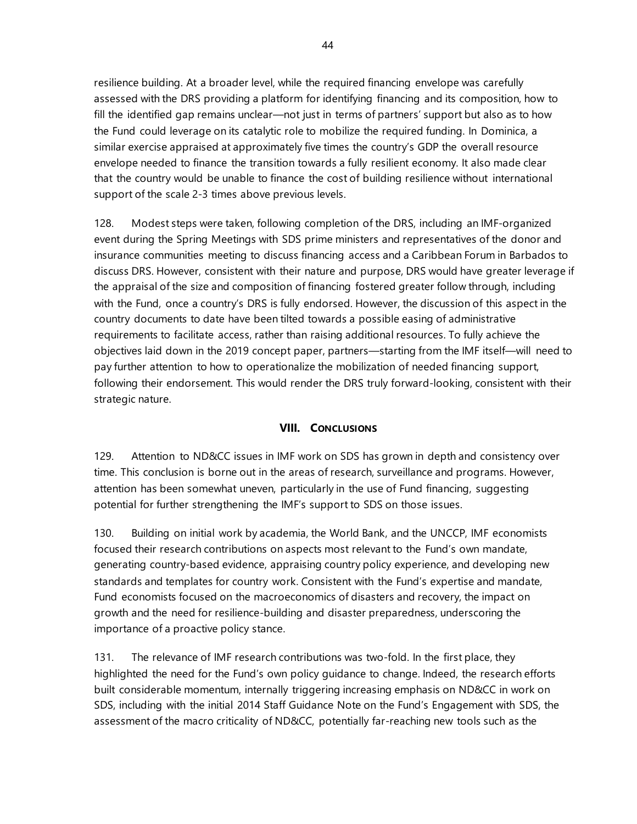resilience building. At a broader level, while the required financing envelope was carefully assessed with the DRS providing a platform for identifying financing and its composition, how to fill the identified gap remains unclear—not just in terms of partners' support but also as to how the Fund could leverage on its catalytic role to mobilize the required funding. In Dominica, a similar exercise appraised at approximately five times the country's GDP the overall resource envelope needed to finance the transition towards a fully resilient economy. It also made clear that the country would be unable to finance the cost of building resilience without international support of the scale 2-3 times above previous levels.

128. Modest steps were taken, following completion of the DRS, including an IMF-organized event during the Spring Meetings with SDS prime ministers and representatives of the donor and insurance communities meeting to discuss financing access and a Caribbean Forum in Barbados to discuss DRS. However, consistent with their nature and purpose, DRS would have greater leverage if the appraisal of the size and composition of financing fostered greater follow through, including with the Fund, once a country's DRS is fully endorsed. However, the discussion of this aspect in the country documents to date have been tilted towards a possible easing of administrative requirements to facilitate access, rather than raising additional resources. To fully achieve the objectives laid down in the 2019 concept paper, partners—starting from the IMF itself—will need to pay further attention to how to operationalize the mobilization of needed financing support, following their endorsement. This would render the DRS truly forward-looking, consistent with their strategic nature.

### **VIII. CONCLUSIONS**

129. Attention to ND&CC issues in IMF work on SDS has grown in depth and consistency over time. This conclusion is borne out in the areas of research, surveillance and programs. However, attention has been somewhat uneven, particularly in the use of Fund financing, suggesting potential for further strengthening the IMF's support to SDS on those issues.

130. Building on initial work by academia, the World Bank, and the UNCCP, IMF economists focused their research contributions on aspects most relevant to the Fund's own mandate, generating country-based evidence, appraising country policy experience, and developing new standards and templates for country work. Consistent with the Fund's expertise and mandate, Fund economists focused on the macroeconomics of disasters and recovery, the impact on growth and the need for resilience-building and disaster preparedness, underscoring the importance of a proactive policy stance.

131. The relevance of IMF research contributions was two-fold. In the first place, they highlighted the need for the Fund's own policy guidance to change. Indeed, the research efforts built considerable momentum, internally triggering increasing emphasis on ND&CC in work on SDS, including with the initial 2014 Staff Guidance Note on the Fund's Engagement with SDS, the assessment of the macro criticality of ND&CC, potentially far-reaching new tools such as the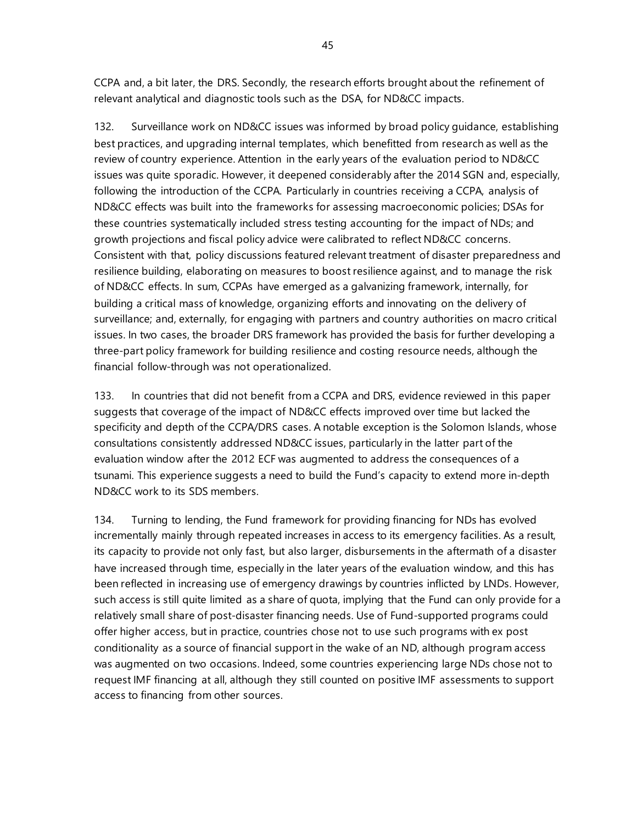CCPA and, a bit later, the DRS. Secondly, the research efforts brought about the refinement of relevant analytical and diagnostic tools such as the DSA, for ND&CC impacts.

132. Surveillance work on ND&CC issues was informed by broad policy guidance, establishing best practices, and upgrading internal templates, which benefitted from research as well as the review of country experience. Attention in the early years of the evaluation period to ND&CC issues was quite sporadic. However, it deepened considerably after the 2014 SGN and, especially, following the introduction of the CCPA. Particularly in countries receiving a CCPA, analysis of ND&CC effects was built into the frameworks for assessing macroeconomic policies; DSAs for these countries systematically included stress testing accounting for the impact of NDs; and growth projections and fiscal policy advice were calibrated to reflect ND&CC concerns. Consistent with that, policy discussions featured relevant treatment of disaster preparedness and resilience building, elaborating on measures to boost resilience against, and to manage the risk of ND&CC effects. In sum, CCPAs have emerged as a galvanizing framework, internally, for building a critical mass of knowledge, organizing efforts and innovating on the delivery of surveillance; and, externally, for engaging with partners and country authorities on macro critical issues. In two cases, the broader DRS framework has provided the basis for further developing a three-part policy framework for building resilience and costing resource needs, although the financial follow-through was not operationalized.

133. In countries that did not benefit from a CCPA and DRS, evidence reviewed in this paper suggests that coverage of the impact of ND&CC effects improved over time but lacked the specificity and depth of the CCPA/DRS cases. A notable exception is the Solomon Islands, whose consultations consistently addressed ND&CC issues, particularly in the latter part of the evaluation window after the 2012 ECF was augmented to address the consequences of a tsunami. This experience suggests a need to build the Fund's capacity to extend more in-depth ND&CC work to its SDS members.

134. Turning to lending, the Fund framework for providing financing for NDs has evolved incrementally mainly through repeated increases in access to its emergency facilities. As a result, its capacity to provide not only fast, but also larger, disbursements in the aftermath of a disaster have increased through time, especially in the later years of the evaluation window, and this has been reflected in increasing use of emergency drawings by countries inflicted by LNDs. However, such access is still quite limited as a share of quota, implying that the Fund can only provide for a relatively small share of post-disaster financing needs. Use of Fund-supported programs could offer higher access, but in practice, countries chose not to use such programs with ex post conditionality as a source of financial support in the wake of an ND, although program access was augmented on two occasions. Indeed, some countries experiencing large NDs chose not to request IMF financing at all, although they still counted on positive IMF assessments to support access to financing from other sources.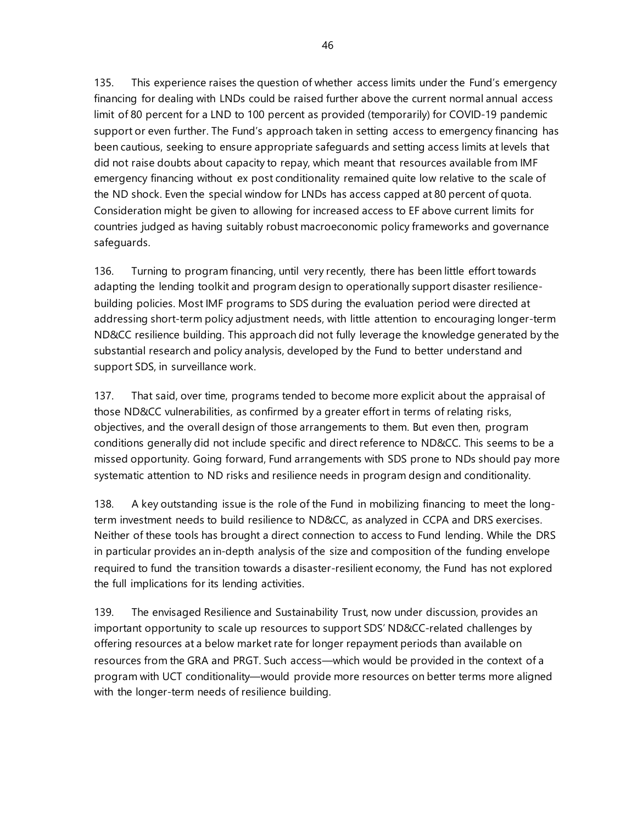135. This experience raises the question of whether access limits under the Fund's emergency financing for dealing with LNDs could be raised further above the current normal annual access limit of 80 percent for a LND to 100 percent as provided (temporarily) for COVID-19 pandemic support or even further. The Fund's approach taken in setting access to emergency financing has been cautious, seeking to ensure appropriate safeguards and setting access limits at levels that did not raise doubts about capacity to repay, which meant that resources available from IMF emergency financing without ex post conditionality remained quite low relative to the scale of the ND shock. Even the special window for LNDs has access capped at 80 percent of quota. Consideration might be given to allowing for increased access to EF above current limits for countries judged as having suitably robust macroeconomic policy frameworks and governance safeguards.

136. Turning to program financing, until very recently, there has been little effort towards adapting the lending toolkit and program design to operationally support disaster resiliencebuilding policies. Most IMF programs to SDS during the evaluation period were directed at addressing short-term policy adjustment needs, with little attention to encouraging longer-term ND&CC resilience building. This approach did not fully leverage the knowledge generated by the substantial research and policy analysis, developed by the Fund to better understand and support SDS, in surveillance work.

137. That said, over time, programs tended to become more explicit about the appraisal of those ND&CC vulnerabilities, as confirmed by a greater effort in terms of relating risks, objectives, and the overall design of those arrangements to them. But even then, program conditions generally did not include specific and direct reference to ND&CC. This seems to be a missed opportunity. Going forward, Fund arrangements with SDS prone to NDs should pay more systematic attention to ND risks and resilience needs in program design and conditionality.

138. A key outstanding issue is the role of the Fund in mobilizing financing to meet the longterm investment needs to build resilience to ND&CC, as analyzed in CCPA and DRS exercises. Neither of these tools has brought a direct connection to access to Fund lending. While the DRS in particular provides an in-depth analysis of the size and composition of the funding envelope required to fund the transition towards a disaster-resilient economy, the Fund has not explored the full implications for its lending activities.

139. The envisaged Resilience and Sustainability Trust, now under discussion, provides an important opportunity to scale up resources to support SDS' ND&CC-related challenges by offering resources at a below market rate for longer repayment periods than available on resources from the GRA and PRGT. Such access—which would be provided in the context of a program with UCT conditionality—would provide more resources on better terms more aligned with the longer-term needs of resilience building.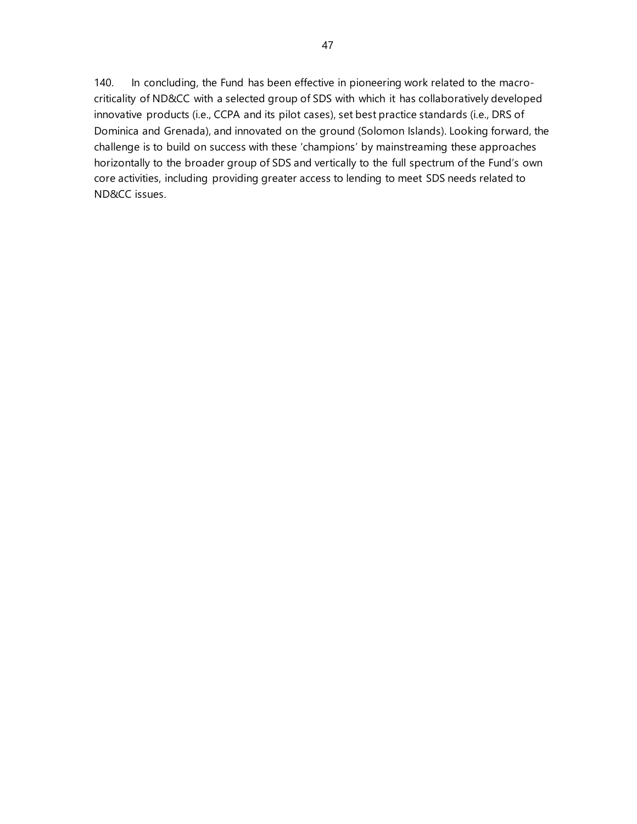140. In concluding, the Fund has been effective in pioneering work related to the macrocriticality of ND&CC with a selected group of SDS with which it has collaboratively developed innovative products (i.e., CCPA and its pilot cases), set best practice standards (i.e., DRS of Dominica and Grenada), and innovated on the ground (Solomon Islands). Looking forward, the challenge is to build on success with these 'champions' by mainstreaming these approaches horizontally to the broader group of SDS and vertically to the full spectrum of the Fund's own core activities, including providing greater access to lending to meet SDS needs related to ND&CC issues.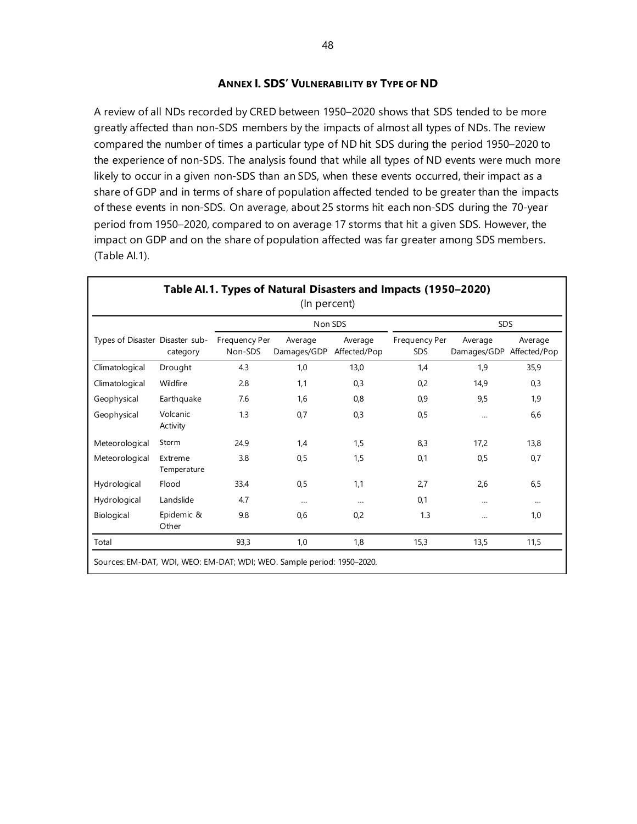#### **ANNEX I. SDS' VULNERABILITY BY TYPE OF ND**

A review of all NDs recorded by CRED between 1950–2020 shows that SDS tended to be more greatly affected than non-SDS members by the impacts of almost all types of NDs. The review compared the number of times a particular type of ND hit SDS during the period 1950–2020 to the experience of non-SDS. The analysis found that while all types of ND events were much more likely to occur in a given non-SDS than an SDS, when these events occurred, their impact as a share of GDP and in terms of share of population affected tended to be greater than the impacts of these events in non-SDS. On average, about 25 storms hit each non-SDS during the 70-year period from 1950–2020, compared to on average 17 storms that hit a given SDS. However, the impact on GDP and on the share of population affected was far greater among SDS members. (Table AI.1).

|                                 |                        |                          | Non SDS                |                         |                             | <b>SDS</b>             |                         |
|---------------------------------|------------------------|--------------------------|------------------------|-------------------------|-----------------------------|------------------------|-------------------------|
| Types of Disaster Disaster sub- | category               | Frequency Per<br>Non-SDS | Average<br>Damages/GDP | Average<br>Affected/Pop | Frequency Per<br><b>SDS</b> | Average<br>Damages/GDP | Average<br>Affected/Pop |
| Climatological                  | Drought                | 4.3                      | 1,0                    | 13,0                    | 1,4                         | 1,9                    | 35,9                    |
| Climatological                  | Wildfire               | 2.8                      | 1,1                    | 0,3                     | 0,2                         | 14,9                   | 0,3                     |
| Geophysical                     | Earthquake             | 7.6                      | 1,6                    | 0,8                     | 0,9                         | 9,5                    | 1,9                     |
| Geophysical                     | Volcanic<br>Activity   | 1.3                      | 0,7                    | 0,3                     | 0,5                         |                        | 6,6                     |
| Meteorological                  | Storm                  | 24.9                     | 1,4                    | 1,5                     | 8,3                         | 17,2                   | 13,8                    |
| Meteorological                  | Extreme<br>Temperature | 3.8                      | 0,5                    | 1,5                     | 0,1                         | 0,5                    | 0,7                     |
| Hydrological                    | Flood                  | 33.4                     | 0,5                    | 1,1                     | 2,7                         | 2,6                    | 6,5                     |
| Hydrological                    | Landslide              | 4.7                      | $\cdots$               | $\cdots$                | 0,1                         |                        | $\cdots$                |
| Biological                      | Epidemic &<br>Other    | 9.8                      | 0,6                    | 0,2                     | 1.3                         |                        | 1,0                     |
| Total                           |                        | 93,3                     | 1,0                    | 1,8                     | 15,3                        | 13,5                   | 11,5                    |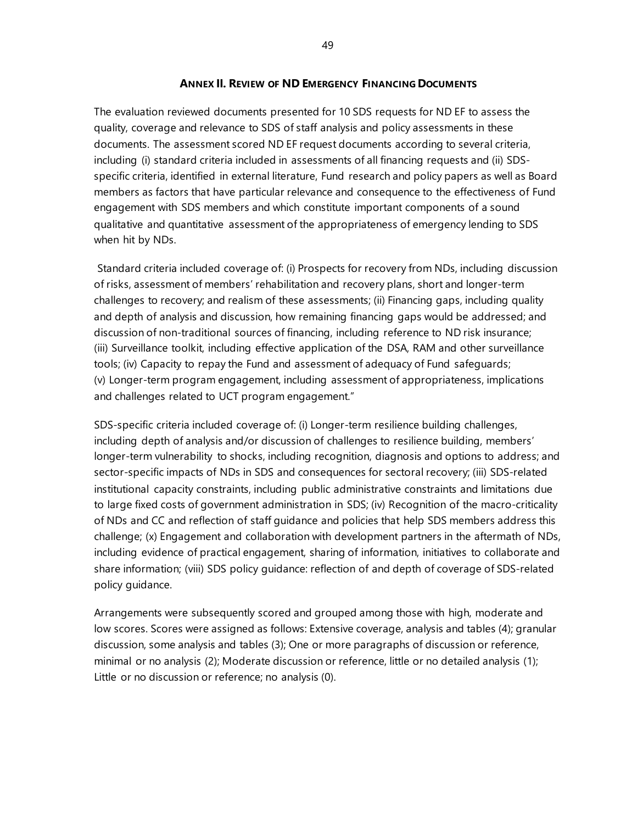#### **ANNEX II. REVIEW OF ND EMERGENCY FINANCING DOCUMENTS**

The evaluation reviewed documents presented for 10 SDS requests for ND EF to assess the quality, coverage and relevance to SDS of staff analysis and policy assessments in these documents. The assessment scored ND EF request documents according to several criteria, including (i) standard criteria included in assessments of all financing requests and (ii) SDSspecific criteria, identified in external literature, Fund research and policy papers as well as Board members as factors that have particular relevance and consequence to the effectiveness of Fund engagement with SDS members and which constitute important components of a sound qualitative and quantitative assessment of the appropriateness of emergency lending to SDS when hit by NDs.

Standard criteria included coverage of: (i) Prospects for recovery from NDs, including discussion of risks, assessment of members' rehabilitation and recovery plans, short and longer-term challenges to recovery; and realism of these assessments; (ii) Financing gaps, including quality and depth of analysis and discussion, how remaining financing gaps would be addressed; and discussion of non-traditional sources of financing, including reference to ND risk insurance; (iii) Surveillance toolkit, including effective application of the DSA, RAM and other surveillance tools; (iv) Capacity to repay the Fund and assessment of adequacy of Fund safeguards; (v) Longer-term program engagement, including assessment of appropriateness, implications and challenges related to UCT program engagement."

SDS-specific criteria included coverage of: (i) Longer-term resilience building challenges, including depth of analysis and/or discussion of challenges to resilience building, members' longer-term vulnerability to shocks, including recognition, diagnosis and options to address; and sector-specific impacts of NDs in SDS and consequences for sectoral recovery; (iii) SDS-related institutional capacity constraints, including public administrative constraints and limitations due to large fixed costs of government administration in SDS; (iv) Recognition of the macro-criticality of NDs and CC and reflection of staff guidance and policies that help SDS members address this challenge; (x) Engagement and collaboration with development partners in the aftermath of NDs, including evidence of practical engagement, sharing of information, initiatives to collaborate and share information; (viii) SDS policy guidance: reflection of and depth of coverage of SDS-related policy guidance.

Arrangements were subsequently scored and grouped among those with high, moderate and low scores. Scores were assigned as follows: Extensive coverage, analysis and tables (4); granular discussion, some analysis and tables (3); One or more paragraphs of discussion or reference, minimal or no analysis (2); Moderate discussion or reference, little or no detailed analysis (1); Little or no discussion or reference; no analysis (0).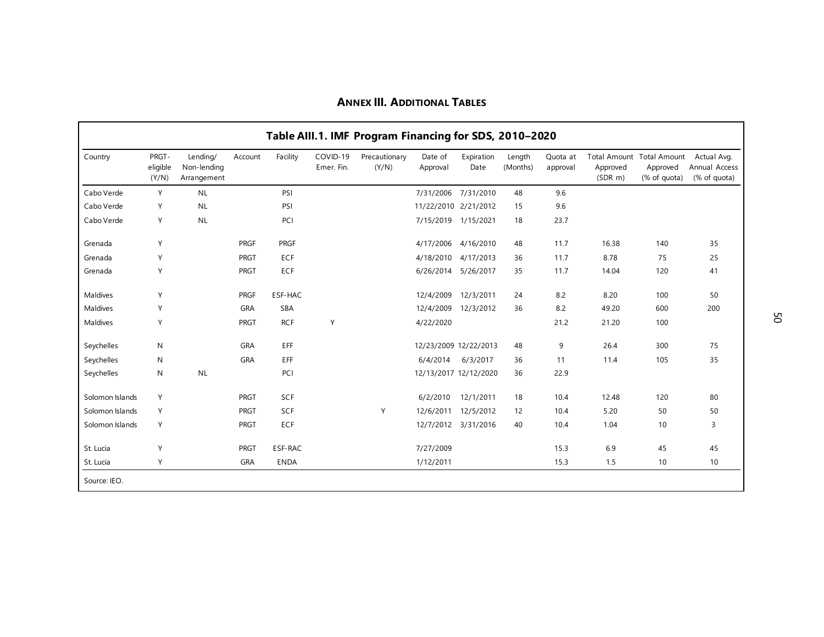|                 |                            |                                        |             |             |                        | Table AIII.1. IMF Program Financing for SDS, 2010-2020 |                      |                       |                    |                      |                          |                                                       |                                              |
|-----------------|----------------------------|----------------------------------------|-------------|-------------|------------------------|--------------------------------------------------------|----------------------|-----------------------|--------------------|----------------------|--------------------------|-------------------------------------------------------|----------------------------------------------|
| Country         | PRGT-<br>eligible<br>(Y/N) | Lending/<br>Non-lending<br>Arrangement | Account     | Facility    | COVID-19<br>Emer. Fin. | Precautionary<br>(Y/N)                                 | Date of<br>Approval  | Expiration<br>Date    | Length<br>(Months) | Quota at<br>approval | Approved<br>$(SDR \, m)$ | Total Amount Total Amount<br>Approved<br>(% of quota) | Actual Avg.<br>Annual Access<br>(% of quota) |
| Cabo Verde      | Y                          | <b>NL</b>                              |             | PSI         |                        |                                                        | 7/31/2006            | 7/31/2010             | 48                 | 9.6                  |                          |                                                       |                                              |
| Cabo Verde      | Y                          | <b>NL</b>                              |             | PSI         |                        |                                                        | 11/22/2010 2/21/2012 |                       | 15                 | 9.6                  |                          |                                                       |                                              |
| Cabo Verde      | Y                          | <b>NL</b>                              |             | PCI         |                        |                                                        | 7/15/2019 1/15/2021  |                       | 18                 | 23.7                 |                          |                                                       |                                              |
| Grenada         | Y                          |                                        | PRGF        | <b>PRGF</b> |                        |                                                        | 4/17/2006            | 4/16/2010             | 48                 | 11.7                 | 16.38                    | 140                                                   | 35                                           |
| Grenada         | Y                          |                                        | PRGT        | ECF         |                        |                                                        | 4/18/2010            | 4/17/2013             | 36                 | 11.7                 | 8.78                     | 75                                                    | 25                                           |
| Grenada         | Y                          |                                        | PRGT        | ECF         |                        |                                                        | 6/26/2014            | 5/26/2017             | 35                 | 11.7                 | 14.04                    | 120                                                   | 41                                           |
| Maldives        | Y                          |                                        | PRGF        | ESF-HAC     |                        |                                                        | 12/4/2009            | 12/3/2011             | 24                 | 8.2                  | 8.20                     | 100                                                   | 50                                           |
| Maldives        | Y                          |                                        | <b>GRA</b>  | <b>SBA</b>  |                        |                                                        | 12/4/2009            | 12/3/2012             | 36                 | 8.2                  | 49.20                    | 600                                                   | 200                                          |
| Maldives        | Y                          |                                        | <b>PRGT</b> | <b>RCF</b>  | Υ                      |                                                        | 4/22/2020            |                       |                    | 21.2                 | 21.20                    | 100                                                   |                                              |
| Seychelles      | N                          |                                        | <b>GRA</b>  | EFF         |                        |                                                        |                      | 12/23/2009 12/22/2013 | 48                 | 9                    | 26.4                     | 300                                                   | 75                                           |
| Seychelles      | N                          |                                        | <b>GRA</b>  | EFF         |                        |                                                        | 6/4/2014             | 6/3/2017              | 36                 | 11                   | 11.4                     | 105                                                   | 35                                           |
| Seychelles      | N                          | <b>NL</b>                              |             | PCI         |                        |                                                        |                      | 12/13/2017 12/12/2020 | 36                 | 22.9                 |                          |                                                       |                                              |
| Solomon Islands | Y                          |                                        | PRGT        | SCF         |                        |                                                        | 6/2/2010             | 12/1/2011             | 18                 | 10.4                 | 12.48                    | 120                                                   | 80                                           |
| Solomon Islands | Y                          |                                        | PRGT        | SCF         |                        | Y                                                      | 12/6/2011            | 12/5/2012             | 12                 | 10.4                 | 5.20                     | 50                                                    | 50                                           |
| Solomon Islands | Y                          |                                        | PRGT        | ECF         |                        |                                                        | 12/7/2012            | 3/31/2016             | 40                 | 10.4                 | 1.04                     | 10                                                    | 3                                            |
| St. Lucia       | Y                          |                                        | PRGT        | ESF-RAC     |                        |                                                        | 7/27/2009            |                       |                    | 15.3                 | 6.9                      | 45                                                    | 45                                           |
| St. Lucia       | Υ                          |                                        | <b>GRA</b>  | <b>ENDA</b> |                        |                                                        | 1/12/2011            |                       |                    | 15.3                 | 1.5                      | 10                                                    | 10                                           |
| Source: IEO.    |                            |                                        |             |             |                        |                                                        |                      |                       |                    |                      |                          |                                                       |                                              |

## **ANNEX III. ADDITIONAL TABLES**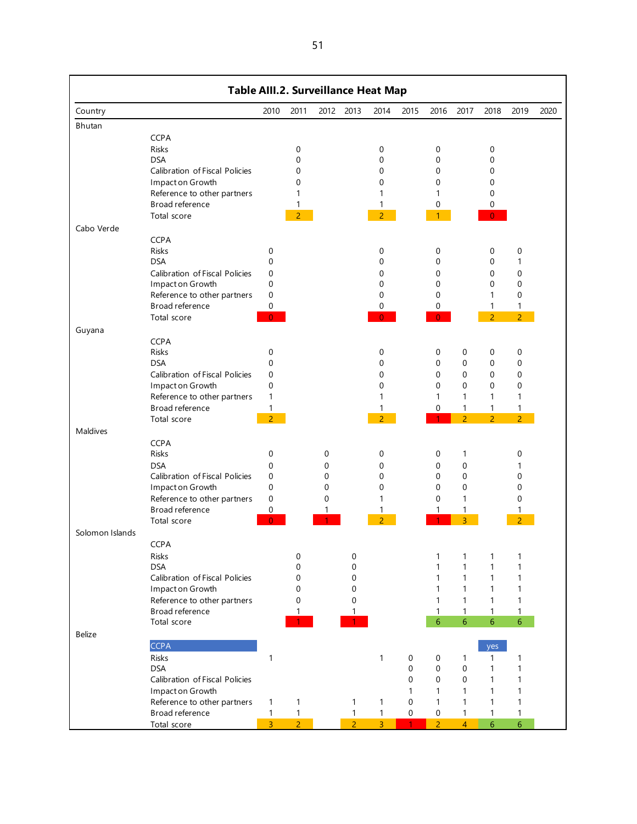| Country<br>Bhutan | <b>CCPA</b>                                                                                                                                                      | 2010                                                                                  | 2011                                                     |                                                |                            |                                                               |                                            |                                                                                       |                                                                                               |                                                         |                                                                                      |      |
|-------------------|------------------------------------------------------------------------------------------------------------------------------------------------------------------|---------------------------------------------------------------------------------------|----------------------------------------------------------|------------------------------------------------|----------------------------|---------------------------------------------------------------|--------------------------------------------|---------------------------------------------------------------------------------------|-----------------------------------------------------------------------------------------------|---------------------------------------------------------|--------------------------------------------------------------------------------------|------|
|                   |                                                                                                                                                                  |                                                                                       |                                                          | 2012                                           | 2013                       | 2014                                                          | 2015                                       | 2016                                                                                  | 2017                                                                                          | 2018                                                    | 2019                                                                                 | 2020 |
|                   |                                                                                                                                                                  |                                                                                       |                                                          |                                                |                            |                                                               |                                            |                                                                                       |                                                                                               |                                                         |                                                                                      |      |
|                   | <b>Risks</b><br><b>DSA</b><br>Calibration of Fiscal Policies<br>Impact on Growth<br>Reference to other partners<br>Broad reference<br>Total score                |                                                                                       | 0<br>0<br>0<br>0<br>1<br>1<br>$\overline{2}$             |                                                |                            | 0<br>$\mathbf 0$<br>$\Omega$<br>0<br>1<br>1<br>$\overline{2}$ |                                            | 0<br>$\mathbf 0$<br>$\mathbf 0$<br>$\mathbf 0$<br>1<br>0                              |                                                                                               | 0<br>0<br>0<br>0<br>0<br>0                              |                                                                                      |      |
| Cabo Verde        |                                                                                                                                                                  |                                                                                       |                                                          |                                                |                            |                                                               |                                            |                                                                                       |                                                                                               |                                                         |                                                                                      |      |
|                   | <b>CCPA</b><br><b>Risks</b><br><b>DSA</b><br>Calibration of Fiscal Policies<br>Impact on Growth<br>Reference to other partners<br>Broad reference<br>Total score | 0<br>$\mathbf 0$<br>$\mathbf 0$<br>$\boldsymbol{0}$<br>$\mathbf 0$<br>0<br>$\Omega$   |                                                          |                                                |                            | 0<br>$\Omega$<br>0<br>0<br>0<br>0<br>$\Omega$                 |                                            | 0<br>$\mathbf 0$<br>0<br>$\mathbf 0$<br>$\mathbf 0$<br>0<br>$\Omega$                  |                                                                                               | 0<br>0<br>0<br>0<br>1<br>1<br>$\overline{2}$            | $\pmb{0}$<br>1<br>$\mathbf 0$<br>$\mathbf 0$<br>$\mathbf 0$<br>1<br>$\overline{2}$   |      |
| Guyana            |                                                                                                                                                                  |                                                                                       |                                                          |                                                |                            |                                                               |                                            |                                                                                       |                                                                                               |                                                         |                                                                                      |      |
|                   | <b>CCPA</b><br>Risks<br><b>DSA</b><br>Calibration of Fiscal Policies<br>Impact on Growth<br>Reference to other partners<br>Broad reference<br>Total score        | 0<br>$\mathbf 0$<br>$\mathbf 0$<br>$\mathbf 0$<br>$\mathbf{1}$<br>1<br>$\overline{2}$ |                                                          |                                                |                            | 0<br>0<br>0<br>$\mathbf 0$<br>1<br>1<br>$\overline{a}$        |                                            | 0<br>$\mathbf 0$<br>$\mathbf 0$<br>$\mathbf 0$<br>1<br>$\mathbf 0$                    | $\pmb{0}$<br>$\mathbf 0$<br>$\mathbf 0$<br>$\mathbf 0$<br>1<br>$\mathbf{1}$<br>$\overline{2}$ | 0<br>0<br>0<br>0<br>1<br>$\mathbf{1}$<br>$\overline{2}$ | $\mathbf 0$<br>$\mathbf 0$<br>$\mathbf 0$<br>$\mathbf 0$<br>1<br>1<br>2 <sup>1</sup> |      |
| Maldives          |                                                                                                                                                                  |                                                                                       |                                                          |                                                |                            |                                                               |                                            |                                                                                       |                                                                                               |                                                         |                                                                                      |      |
|                   | <b>CCPA</b><br>Risks<br><b>DSA</b><br>Calibration of Fiscal Policies<br>Impact on Growth<br>Reference to other partners<br>Broad reference<br>Total score        | 0<br>$\mathbf 0$<br>$\mathbf 0$<br>$\mathbf 0$<br>$\mathbf 0$<br>0<br>$\Omega$        |                                                          | 0<br>0<br>$\mathbf 0$<br>$\mathbf 0$<br>0<br>1 |                            | 0<br>0<br>0<br>0<br>1<br>$\overline{\mathcal{L}}$             |                                            | 0<br>0<br>$\mathbf 0$<br>$\mathbf 0$<br>$\mathbf 0$<br>1                              | $\mathbf{1}$<br>0<br>$\mathbf 0$<br>$\mathbf 0$<br>1<br>1<br>3                                |                                                         | 0<br>1<br>$\mathbf 0$<br>$\mathbf 0$<br>$\mathbf 0$<br>1<br>$\overline{2}$           |      |
| Solomon Islands   |                                                                                                                                                                  |                                                                                       |                                                          |                                                |                            |                                                               |                                            |                                                                                       |                                                                                               |                                                         |                                                                                      |      |
|                   | <b>CCPA</b><br>Risks<br><b>DSA</b><br>Calibration of Fiscal Policies<br>Impact on Growth<br>Reference to other partners<br>Broad reference<br>Total score        |                                                                                       | 0<br>$\mathbf 0$<br>$\mathbf 0$<br>$\mathbf 0$<br>0<br>1 |                                                | 0<br>0<br>0<br>0<br>0<br>1 |                                                               |                                            | 1<br>$\mathbf{1}$<br>1<br>$\mathbf{1}$<br>1<br>$\mathbf{1}$<br>6                      | 1<br>$\mathbf{1}$<br>$\mathbf{1}$<br>$\mathbf{1}$<br>$\mathbf{1}$<br>$\mathbf{1}$<br>6        | 1<br>1<br>1<br>1<br>1<br>$\mathbf{1}$<br>6              | 1<br>$\mathbf{1}$<br>$\mathbf{1}$<br>1<br>$\mathbf{1}$<br>1<br>$6\phantom{.}6$       |      |
| Belize            |                                                                                                                                                                  |                                                                                       |                                                          |                                                |                            |                                                               |                                            |                                                                                       |                                                                                               |                                                         |                                                                                      |      |
|                   | <b>CCPA</b><br>Risks<br><b>DSA</b><br>Calibration of Fiscal Policies<br>Impact on Growth<br>Reference to other partners<br>Broad reference<br>Total score        | $\mathbf{1}$<br>1<br>$\mathbf{1}$<br>$\overline{3}$                                   | 1<br>$\mathbf{1}$<br>$\overline{2}$                      |                                                | 1<br>1<br>2 <sup>1</sup>   | $\mathbf{1}$<br>1<br>$\mathbf{1}$<br>3 <sup>7</sup>           | 0<br>0<br>0<br>1<br>0<br>0<br>$\mathbf{1}$ | 0<br>$\mathbf 0$<br>$\mathbf 0$<br>1<br>$\mathbf{1}$<br>$\mathbf 0$<br>$\overline{2}$ | $\mathbf{1}$<br>0<br>0<br>1<br>1<br>$\mathbf{1}$<br>$\overline{4}$                            | yes<br>1<br>1<br>1<br>$\mathbf{1}$<br>1<br>1<br>6       | $\mathbf{1}$<br>1<br>$\mathbf{1}$<br>1<br>1<br>1<br>$6\phantom{1}$                   |      |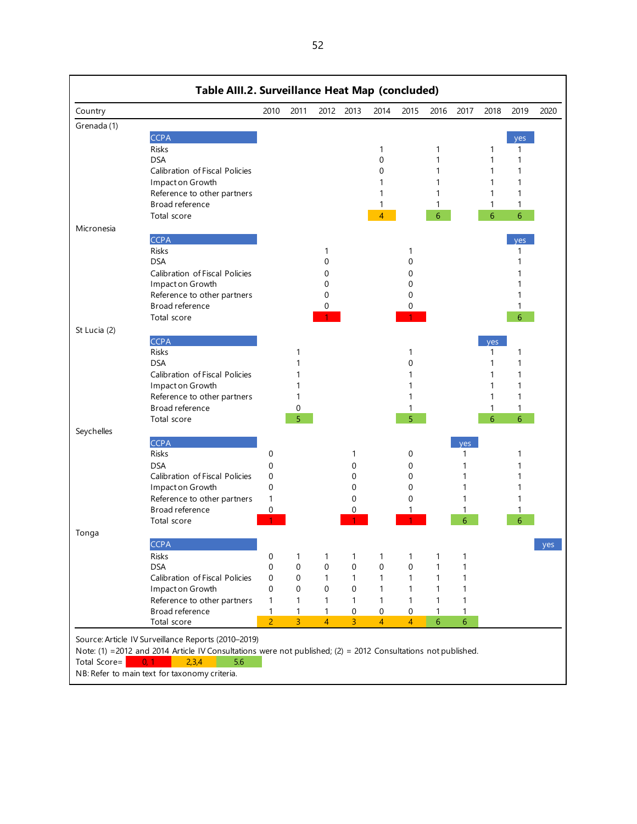| Country      |                                                                                                               | 2010                       | 2011           |                | 2012 2013      | 2014           | 2015           | 2016            | 2017           | 2018 | 2019       | 2020 |
|--------------|---------------------------------------------------------------------------------------------------------------|----------------------------|----------------|----------------|----------------|----------------|----------------|-----------------|----------------|------|------------|------|
| Grenada (1)  |                                                                                                               |                            |                |                |                |                |                |                 |                |      |            |      |
|              | <b>CCPA</b>                                                                                                   |                            |                |                |                |                |                |                 |                |      | yes        |      |
|              | <b>Risks</b>                                                                                                  |                            |                |                |                | 1              |                | 1               |                | 1    | 1          |      |
|              | <b>DSA</b>                                                                                                    |                            |                |                |                | 0              |                | 1               |                | 1    | 1          |      |
|              | Calibration of Fiscal Policies                                                                                |                            |                |                |                | 0              |                | 1               |                | 1    | 1          |      |
|              | Impact on Growth                                                                                              |                            |                |                |                |                |                | 1               |                | 1    | 1          |      |
|              | Reference to other partners                                                                                   |                            |                |                |                |                |                |                 |                | 1    | 1          |      |
|              | Broad reference                                                                                               |                            |                |                |                | 1              |                | 1               |                | 1    | 1          |      |
|              | Total score                                                                                                   |                            |                |                |                | $\overline{4}$ |                | 6               |                | 6    | 6          |      |
| Micronesia   |                                                                                                               |                            |                |                |                |                |                |                 |                |      |            |      |
|              | <b>CCPA</b>                                                                                                   |                            |                |                |                |                |                |                 |                |      | <b>ves</b> |      |
|              | <b>Risks</b>                                                                                                  |                            |                | 1              |                |                |                |                 |                |      | 1          |      |
|              | <b>DSA</b>                                                                                                    |                            |                | 0              |                |                | 0              |                 |                |      | 1          |      |
|              | Calibration of Fiscal Policies                                                                                |                            |                | 0              |                |                | 0              |                 |                |      |            |      |
|              | Impact on Growth                                                                                              |                            |                | 0              |                |                | 0              |                 |                |      |            |      |
|              | Reference to other partners                                                                                   |                            |                | 0              |                |                | 0              |                 |                |      |            |      |
|              | Broad reference                                                                                               |                            |                | 0              |                |                | 0              |                 |                |      | 1          |      |
|              | Total score                                                                                                   |                            |                |                |                |                |                |                 |                |      | 6          |      |
| St Lucia (2) |                                                                                                               |                            |                |                |                |                |                |                 |                |      |            |      |
|              | <b>CCPA</b>                                                                                                   |                            |                |                |                |                |                |                 |                | yes  |            |      |
|              | <b>Risks</b>                                                                                                  |                            |                |                |                |                |                |                 |                | 1    | 1          |      |
|              | <b>DSA</b>                                                                                                    |                            |                |                |                |                | $\Omega$       |                 |                | 1    | 1          |      |
|              | Calibration of Fiscal Policies                                                                                |                            |                |                |                |                |                |                 |                | 1    | 1          |      |
|              | Impact on Growth                                                                                              |                            | 1              |                |                |                |                |                 |                | 1    | 1          |      |
|              | Reference to other partners                                                                                   |                            | 1              |                |                |                |                |                 |                | 1    | 1          |      |
|              | Broad reference                                                                                               |                            | 0              |                |                |                |                |                 |                | 1    | 1          |      |
|              | Total score                                                                                                   |                            | 5              |                |                |                | 5              |                 |                | 6    | 6          |      |
|              |                                                                                                               |                            |                |                |                |                |                |                 |                |      |            |      |
| Seychelles   | <b>CCPA</b>                                                                                                   |                            |                |                |                |                |                |                 |                |      |            |      |
|              | Risks                                                                                                         | 0                          |                |                | 1              |                | 0              |                 | yes<br>1       |      | 1          |      |
|              | <b>DSA</b>                                                                                                    |                            |                |                |                |                |                |                 |                |      |            |      |
|              | Calibration of Fiscal Policies                                                                                | $\mathbf 0$<br>$\mathbf 0$ |                |                | 0              |                | 0<br>0         |                 | 1<br>1         |      | 1          |      |
|              |                                                                                                               | $\mathbf 0$                |                |                | 0<br>0         |                | 0              |                 | 1              |      | 1          |      |
|              | Impact on Growth                                                                                              | 1                          |                |                | 0              |                | 0              |                 |                |      |            |      |
|              | Reference to other partners<br>Broad reference                                                                | 0                          |                |                | 0              |                |                |                 | 1              |      |            |      |
|              | Total score                                                                                                   |                            |                |                |                |                |                |                 | 6              |      |            |      |
|              |                                                                                                               |                            |                |                |                |                |                |                 |                |      |            |      |
| Tonga        |                                                                                                               |                            |                |                |                |                |                |                 |                |      |            |      |
|              | <b>CCPA</b>                                                                                                   |                            |                |                |                |                |                |                 |                |      |            | yes  |
|              | Risks                                                                                                         | 0                          | 1              | 1              | 1              | 1              | 1              | 1               | 1              |      |            |      |
|              | <b>DSA</b>                                                                                                    | 0                          | $\mathbf 0$    | 0              | $\mathbf 0$    | 0              | $\mathbf 0$    | 1               | 1              |      |            |      |
|              | Calibration of Fiscal Policies                                                                                | 0                          | 0              | 1              | 1              | 1              | 1              | 1               | 1              |      |            |      |
|              | Impact on Growth                                                                                              | 0                          | $\mathbf 0$    | 0              | 0              | 1              | 1              | 1               | 1              |      |            |      |
|              | Reference to other partners                                                                                   | 1                          | 1              | 1              | $\mathbf{1}$   | 1              | 1              | 1               | 1              |      |            |      |
|              | Broad reference                                                                                               | 1                          | 1              | $\mathbf{1}$   | 0              | $\mathbf 0$    | 0              | 1               | $\mathbf{1}$   |      |            |      |
|              | Total score                                                                                                   | $\overline{2}$             | $\overline{3}$ | $\overline{4}$ | $\overline{3}$ | $\overline{4}$ | $\overline{4}$ | $6\phantom{.}6$ | $6\phantom{a}$ |      |            |      |
|              | Source: Article IV Surveillance Reports (2010-2019)                                                           |                            |                |                |                |                |                |                 |                |      |            |      |
|              | Note: (1) =2012 and 2014 Article IV Consultations were not published; (2) = 2012 Consultations not published. |                            |                |                |                |                |                |                 |                |      |            |      |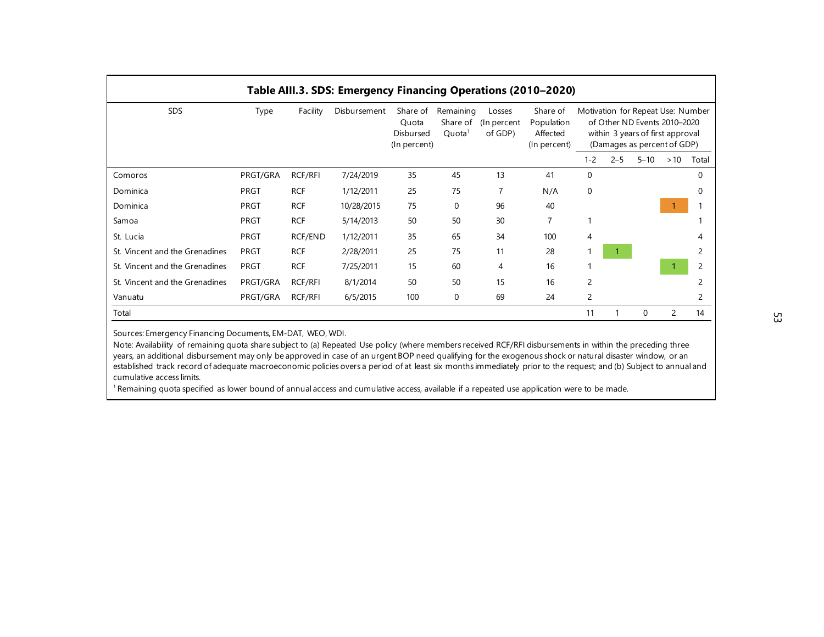|                                |             |            | Table AIII.3. SDS: Emergency Financing Operations (2010-2020) |                                                |                                             |                                   |                                                    |             |         |          |                                                                                                                                      |          |
|--------------------------------|-------------|------------|---------------------------------------------------------------|------------------------------------------------|---------------------------------------------|-----------------------------------|----------------------------------------------------|-------------|---------|----------|--------------------------------------------------------------------------------------------------------------------------------------|----------|
| <b>SDS</b>                     | Type        | Facility   | Disbursement                                                  | Share of<br>Quota<br>Disbursed<br>(In percent) | Remaining<br>Share of<br>Quota <sup>1</sup> | Losses<br>(In percent)<br>of GDP) | Share of<br>Population<br>Affected<br>(In percent) |             |         |          | Motivation for Repeat Use: Number<br>of Other ND Events 2010-2020<br>within 3 years of first approval<br>(Damages as percent of GDP) |          |
|                                |             |            |                                                               |                                                |                                             |                                   |                                                    | $1 - 2$     | $2 - 5$ | $5 - 10$ | >10                                                                                                                                  | Total    |
| Comoros                        | PRGT/GRA    | RCF/RFI    | 7/24/2019                                                     | 35                                             | 45                                          | 13                                | 41                                                 | $\mathbf 0$ |         |          |                                                                                                                                      | $\Omega$ |
| Dominica                       | PRGT        | <b>RCF</b> | 1/12/2011                                                     | 25                                             | 75                                          | 7                                 | N/A                                                | $\mathbf 0$ |         |          |                                                                                                                                      | $\Omega$ |
| Dominica                       | <b>PRGT</b> | <b>RCF</b> | 10/28/2015                                                    | 75                                             | $\mathbf 0$                                 | 96                                | 40                                                 |             |         |          |                                                                                                                                      |          |
| Samoa                          | <b>PRGT</b> | <b>RCF</b> | 5/14/2013                                                     | 50                                             | 50                                          | 30                                | 7                                                  |             |         |          |                                                                                                                                      |          |
| St. Lucia                      | PRGT        | RCF/END    | 1/12/2011                                                     | 35                                             | 65                                          | 34                                | 100                                                | 4           |         |          |                                                                                                                                      |          |
| St. Vincent and the Grenadines | PRGT        | <b>RCF</b> | 2/28/2011                                                     | 25                                             | 75                                          | 11                                | 28                                                 |             |         |          |                                                                                                                                      |          |
| St. Vincent and the Grenadines | PRGT        | <b>RCF</b> | 7/25/2011                                                     | 15                                             | 60                                          | 4                                 | 16                                                 |             |         |          |                                                                                                                                      | 2        |
| St. Vincent and the Grenadines | PRGT/GRA    | RCF/RFI    | 8/1/2014                                                      | 50                                             | 50                                          | 15                                | 16                                                 | 2           |         |          |                                                                                                                                      |          |
| Vanuatu                        | PRGT/GRA    | RCF/RFI    | 6/5/2015                                                      | 100                                            | 0                                           | 69                                | 24                                                 | 2           |         |          |                                                                                                                                      | 2        |
| Total                          |             |            |                                                               |                                                |                                             |                                   |                                                    | 11          |         | $\Omega$ | $\overline{c}$                                                                                                                       | 14       |

Sources: Emergency Financing Documents, EM-DAT, WEO, WDI.

Note: Availability of remaining quota share subject to (a) Repeated Use policy (where members received RCF/RFI disbursements in within the preceding three years, an additional disbursement may only be approved in case of an urgent BOP need qualifying for the exogenous shock or natural disaster window, or an established track record of adequate macroeconomic policies overs a period of at least six months immediately prior to the request; and (b) Subject to annual and cumulative access limits.

<sup>1</sup> Remaining quota specified as lower bound of annual access and cumulative access, available if a repeated use application were to be made.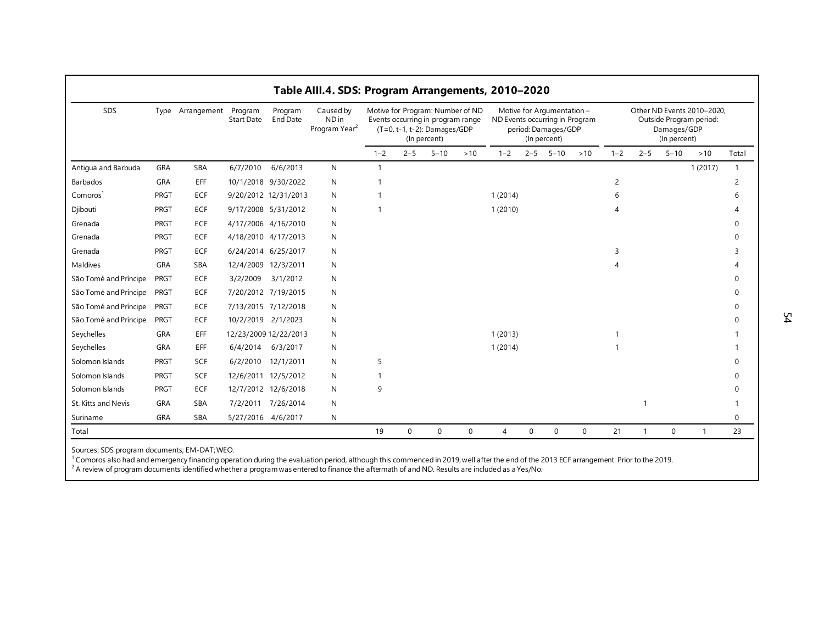| SDS                   | Type       | Arrangement Program | Start Date          | Program<br>End Date   | Caused by<br>ND in<br>Program Year <sup>2</sup> |              |         | (T=0. t-1, t-2): Damages/GDP<br>(In percent) | Motive for Program: Number of ND<br>Events occurring in program range | ND Events occurring in Program |         | Motive for Argumentation -<br>period: Damages/GDP<br>(In percent) |     |         |         | Damages/GDP<br>(In percent) | Other ND Events 2010-2020.<br>Outside Program period: |              |
|-----------------------|------------|---------------------|---------------------|-----------------------|-------------------------------------------------|--------------|---------|----------------------------------------------|-----------------------------------------------------------------------|--------------------------------|---------|-------------------------------------------------------------------|-----|---------|---------|-----------------------------|-------------------------------------------------------|--------------|
|                       |            |                     |                     |                       |                                                 | $1 - 2$      | $2 - 5$ | $5 - 10$                                     | $>10$                                                                 | $1 - 2$                        | $2 - 5$ | $5 - 10$                                                          | >10 | $1 - 2$ | $2 - 5$ | $5 - 10$                    | $>10$                                                 | Total        |
| Antigua and Barbuda   | GRA        | SBA                 | 6/7/2010            | 6/6/2013              | N                                               | $\mathbf{1}$ |         |                                              |                                                                       |                                |         |                                                                   |     |         |         |                             | 1(2017)                                               | $\mathbf{1}$ |
| Barbados              | <b>GRA</b> | <b>EFF</b>          |                     | 10/1/2018 9/30/2022   | N                                               |              |         |                                              |                                                                       |                                |         |                                                                   |     | 2       |         |                             |                                                       |              |
| Comoros <sup>1</sup>  | PRGT       | <b>ECF</b>          |                     | 9/20/2012 12/31/2013  | Ν                                               |              |         |                                              |                                                                       | 1(2014)                        |         |                                                                   |     |         |         |                             |                                                       |              |
| Djibouti              | PRGT       | <b>ECF</b>          |                     | 9/17/2008 5/31/2012   | N                                               |              |         |                                              |                                                                       | 1(2010)                        |         |                                                                   |     |         |         |                             |                                                       |              |
| Grenada               | PRGT       | <b>ECF</b>          |                     | 4/17/2006 4/16/2010   | N                                               |              |         |                                              |                                                                       |                                |         |                                                                   |     |         |         |                             |                                                       |              |
| Grenada               | PRGT       | <b>ECF</b>          |                     | 4/18/2010 4/17/2013   | N                                               |              |         |                                              |                                                                       |                                |         |                                                                   |     |         |         |                             |                                                       |              |
| Grenada               | PRGT       | <b>ECF</b>          |                     | 6/24/2014 6/25/2017   | Ν                                               |              |         |                                              |                                                                       |                                |         |                                                                   |     | 3       |         |                             |                                                       |              |
| Maldives              | <b>GRA</b> | <b>SBA</b>          | 12/4/2009 12/3/2011 |                       | N                                               |              |         |                                              |                                                                       |                                |         |                                                                   |     |         |         |                             |                                                       |              |
| São Tomé and Príncipe | PRGT       | <b>ECF</b>          | 3/2/2009            | 3/1/2012              | N                                               |              |         |                                              |                                                                       |                                |         |                                                                   |     |         |         |                             |                                                       |              |
| São Tomé and Príncipe | PRGT       | <b>ECF</b>          |                     | 7/20/2012 7/19/2015   | Ν                                               |              |         |                                              |                                                                       |                                |         |                                                                   |     |         |         |                             |                                                       |              |
| São Tomé and Príncipe | PRGT       | <b>ECF</b>          |                     | 7/13/2015 7/12/2018   | N                                               |              |         |                                              |                                                                       |                                |         |                                                                   |     |         |         |                             |                                                       |              |
| São Tomé and Príncipe | PRGT       | <b>ECF</b>          | 10/2/2019 2/1/2023  |                       | Ν                                               |              |         |                                              |                                                                       |                                |         |                                                                   |     |         |         |                             |                                                       |              |
| Seychelles            | <b>GRA</b> | EFF                 |                     | 12/23/2009 12/22/2013 | N                                               |              |         |                                              |                                                                       | 1(2013)                        |         |                                                                   |     |         |         |                             |                                                       |              |
| Seychelles            | <b>GRA</b> | EFF                 |                     | 6/4/2014 6/3/2017     | Ν                                               |              |         |                                              |                                                                       | 1(2014)                        |         |                                                                   |     |         |         |                             |                                                       |              |
| Solomon Islands       | PRGT       | <b>SCF</b>          |                     | 6/2/2010 12/1/2011    | N                                               | 5            |         |                                              |                                                                       |                                |         |                                                                   |     |         |         |                             |                                                       |              |
| Solomon Islands       | PRGT       | <b>SCF</b>          |                     | 12/6/2011 12/5/2012   | N                                               |              |         |                                              |                                                                       |                                |         |                                                                   |     |         |         |                             |                                                       | U            |
| Solomon Islands       | PRGT       | <b>ECF</b>          |                     | 12/7/2012 12/6/2018   | N                                               | 9            |         |                                              |                                                                       |                                |         |                                                                   |     |         |         |                             |                                                       |              |
| St. Kitts and Nevis   | <b>GRA</b> | <b>SBA</b>          |                     | 7/2/2011 7/26/2014    | N                                               |              |         |                                              |                                                                       |                                |         |                                                                   |     |         |         |                             |                                                       |              |
| Suriname              | GRA        | SBA                 | 5/27/2016 4/6/2017  |                       | N                                               |              |         |                                              |                                                                       |                                |         |                                                                   |     |         |         |                             |                                                       | $\Omega$     |

Sources: SDS program documents; EM-DAT; WEO.

<sup>1</sup> Comoros also had and emergency financing operation during the evaluation period, although this commenced in 2019, well after the end of the 2013 ECF arrangement. Prior to the 2019.<br><sup>2</sup> A review of program documents ide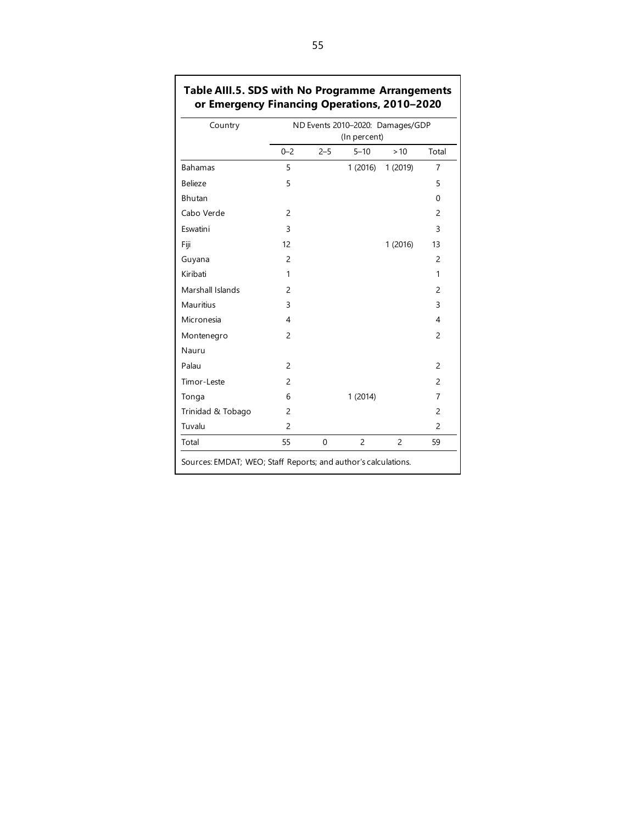| Country           |                |             | ND Events 2010-2020: Damages/GDP<br>(In percent) |                |                |
|-------------------|----------------|-------------|--------------------------------------------------|----------------|----------------|
|                   | $0 - 2$        | $2 - 5$     | $5 - 10$                                         | >10            | Total          |
| <b>Bahamas</b>    | 5              |             | 1(2016)                                          | 1 (2019)       | 7              |
| <b>Belieze</b>    | 5              |             |                                                  |                | 5              |
| <b>Bhutan</b>     |                |             |                                                  |                | $\Omega$       |
| Cabo Verde        | $\overline{c}$ |             |                                                  |                | $\overline{c}$ |
| Eswatini          | 3              |             |                                                  |                | 3              |
| Fiji              | 12             |             |                                                  | 1 (2016)       | 13             |
| Guyana            | $\overline{2}$ |             |                                                  |                | $\overline{c}$ |
| Kiribati          | 1              |             |                                                  |                | 1              |
| Marshall Islands  | $\overline{c}$ |             |                                                  |                | $\overline{c}$ |
| <b>Mauritius</b>  | 3              |             |                                                  |                | 3              |
| Micronesia        | 4              |             |                                                  |                | 4              |
| Montenegro        | $\overline{c}$ |             |                                                  |                | $\overline{c}$ |
| Nauru             |                |             |                                                  |                |                |
| Palau             | $\overline{c}$ |             |                                                  |                | 2              |
| Timor-Leste       | $\overline{2}$ |             |                                                  |                | $\overline{c}$ |
| Tonga             | 6              |             | 1(2014)                                          |                | 7              |
| Trinidad & Tobago | $\overline{c}$ |             |                                                  |                | 2              |
| Tuvalu            | $\overline{c}$ |             |                                                  |                | $\overline{c}$ |
| Total             | 55             | $\mathbf 0$ | $\overline{c}$                                   | $\overline{c}$ | 59             |

### **Table AIII.5. SDS with No Programme Arrangements or Emergency Financing Operations, 2010–2020**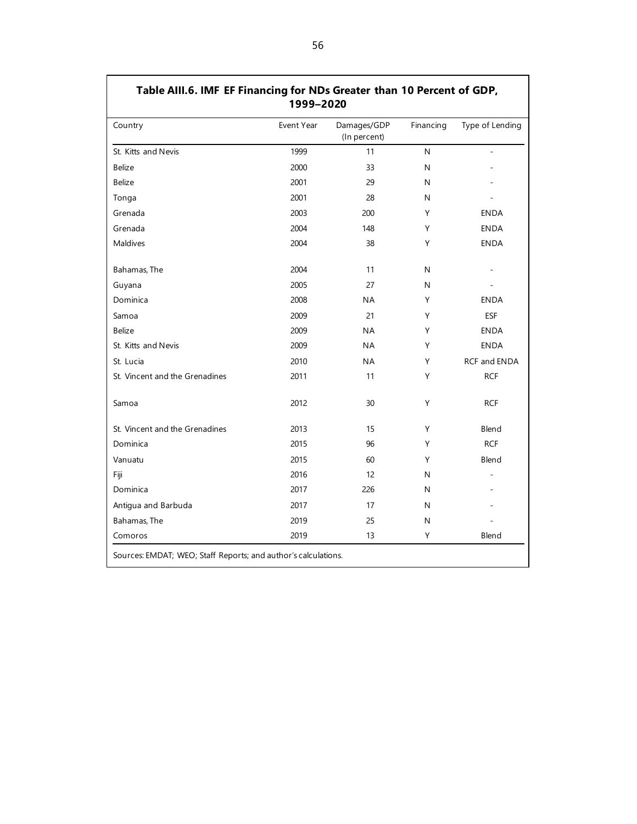| Table AIII.6. IMF EF Financing for NDs Greater than 10 Percent of GDP, | 1999-2020  |                             |           |                     |
|------------------------------------------------------------------------|------------|-----------------------------|-----------|---------------------|
| Country                                                                | Event Year | Damages/GDP<br>(In percent) | Financing | Type of Lending     |
| St. Kitts and Nevis                                                    | 1999       | 11                          | N         |                     |
| <b>Belize</b>                                                          | 2000       | 33                          | N         |                     |
| Belize                                                                 | 2001       | 29                          | N         |                     |
| Tonga                                                                  | 2001       | 28                          | N         |                     |
| Grenada                                                                | 2003       | 200                         | Υ         | <b>ENDA</b>         |
| Grenada                                                                | 2004       | 148                         | Y         | <b>ENDA</b>         |
| Maldives                                                               | 2004       | 38                          | Y         | <b>ENDA</b>         |
| Bahamas, The                                                           | 2004       | 11                          | N         |                     |
| Guyana                                                                 | 2005       | 27                          | N         |                     |
| Dominica                                                               | 2008       | ΝA                          | Υ         | <b>ENDA</b>         |
| Samoa                                                                  | 2009       | 21                          | Υ         | <b>ESF</b>          |
| <b>Belize</b>                                                          | 2009       | <b>NA</b>                   | Y         | <b>ENDA</b>         |
| St. Kitts and Nevis                                                    | 2009       | <b>NA</b>                   | Y         | <b>ENDA</b>         |
| St. Lucia                                                              | 2010       | <b>NA</b>                   | Y         | <b>RCF and ENDA</b> |
| St. Vincent and the Grenadines                                         | 2011       | 11                          | Y         | <b>RCF</b>          |
| Samoa                                                                  | 2012       | 30                          | Y         | <b>RCF</b>          |
| St. Vincent and the Grenadines                                         | 2013       | 15                          | Y         | Blend               |
| Dominica                                                               | 2015       | 96                          | Υ         | <b>RCF</b>          |
| Vanuatu                                                                | 2015       | 60                          | Υ         | Blend               |
| Fiji                                                                   | 2016       | 12                          | N         |                     |
| Dominica                                                               | 2017       | 226                         | N         |                     |
| Antigua and Barbuda                                                    | 2017       | 17                          | N         |                     |
| Bahamas, The                                                           | 2019       | 25                          | N         |                     |
| Comoros                                                                | 2019       | 13                          | Υ         | Blend               |
| Sources: EMDAT; WEO; Staff Reports; and author's calculations.         |            |                             |           |                     |

56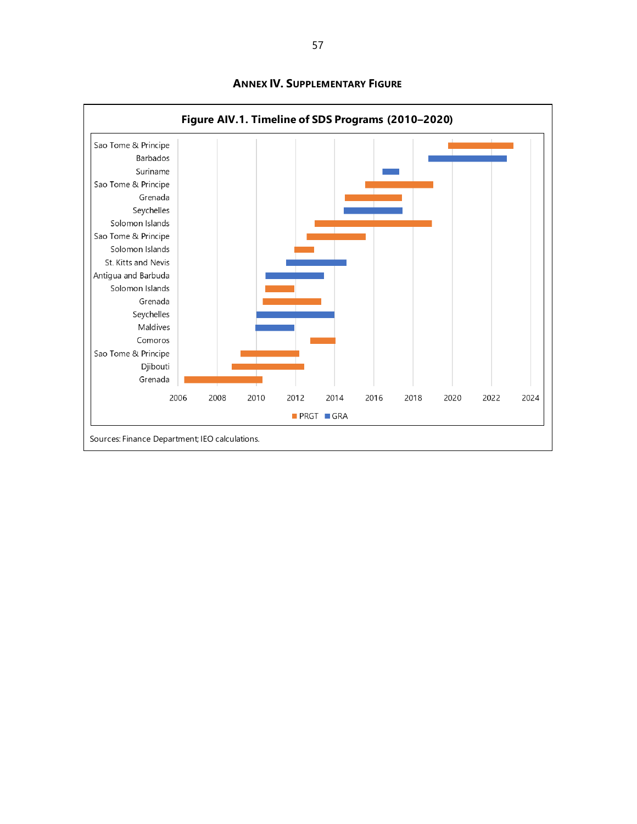

**ANNEX IV. SUPPLEMENTARY FIGURE**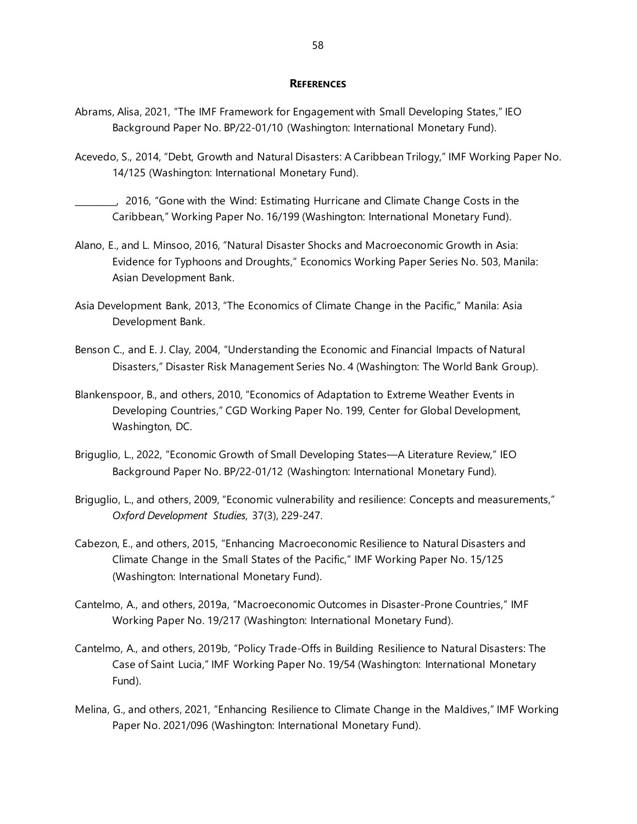#### **REFERENCES**

- Abrams, Alisa, 2021, "The IMF Framework for Engagement with Small Developing States," IEO Background Paper No. BP/22-01/10 (Washington: International Monetary Fund).
- Acevedo, S., 2014, "Debt, Growth and Natural Disasters: A Caribbean Trilogy," IMF Working Paper No. 14/125 (Washington: International Monetary Fund).

\_\_\_\_\_\_\_\_\_\_, 2016, "Gone with the Wind: Estimating Hurricane and Climate Change Costs in the Caribbean," Working Paper No. 16/199 (Washington: International Monetary Fund).

- Alano, E., and L. Minsoo, 2016, "Natural Disaster Shocks and Macroeconomic Growth in Asia: Evidence for Typhoons and Droughts," Economics Working Paper Series No. 503, Manila: Asian Development Bank.
- Asia Development Bank, 2013, "The Economics of Climate Change in the Pacific," Manila: Asia Development Bank.
- Benson C., and E. J. Clay, 2004, "Understanding the Economic and Financial Impacts of Natural Disasters," Disaster Risk Management Series No. 4 (Washington: The World Bank Group).
- Blankenspoor, B., and others, 2010, "Economics of Adaptation to Extreme Weather Events in Developing Countries," CGD Working Paper No. 199, Center for Global Development, Washington, DC.
- Briguglio, L., 2022, "Economic Growth of Small Developing States—A Literature Review," IEO Background Paper No. BP/22-01/12 (Washington: International Monetary Fund).
- Briguglio, L., and others, 2009, "Economic vulnerability and resilience: Concepts and measurements," *Oxford Development Studies*, 37(3), 229-247.
- Cabezon, E., and others, 2015, "Enhancing Macroeconomic Resilience to Natural Disasters and Climate Change in the Small States of the Pacific," IMF Working Paper No. 15/125 (Washington: International Monetary Fund).
- Cantelmo, A., and others, 2019a, "Macroeconomic Outcomes in Disaster-Prone Countries," IMF Working Paper No. 19/217 (Washington: International Monetary Fund).
- Cantelmo, A., and others, 2019b, "Policy Trade-Offs in Building Resilience to Natural Disasters: The Case of Saint Lucia," IMF Working Paper No. 19/54 (Washington: International Monetary Fund).
- Melina, G., and others, 2021, "Enhancing Resilience to Climate Change in the Maldives," IMF Working Paper No. 2021/096 (Washington: International Monetary Fund).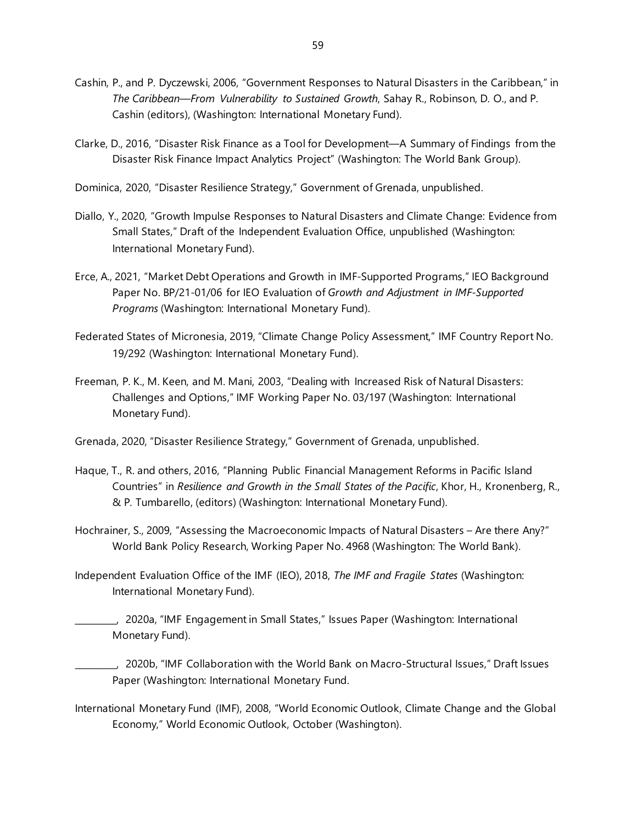- Cashin, P., and P. Dyczewski, 2006, "Government Responses to Natural Disasters in the Caribbean," in *The Caribbean—From Vulnerability to Sustained Growth*, Sahay R., Robinson, D. O., and P. Cashin (editors), (Washington: International Monetary Fund).
- Clarke, D., 2016, "Disaster Risk Finance as a Tool for Development—A Summary of Findings from the Disaster Risk Finance Impact Analytics Project" (Washington: The World Bank Group).
- Dominica, 2020, "Disaster Resilience Strategy," Government of Grenada, unpublished.
- Diallo, Y., 2020, "Growth Impulse Responses to Natural Disasters and Climate Change: Evidence from Small States," Draft of the Independent Evaluation Office, unpublished (Washington: International Monetary Fund).
- Erce, A., 2021, "Market Debt Operations and Growth in IMF-Supported Programs," IEO Background Paper No. BP/21-01/06 for IEO Evaluation of *Growth and Adjustment in IMF-Supported Programs* (Washington: International Monetary Fund).
- Federated States of Micronesia, 2019, "Climate Change Policy Assessment," IMF Country Report No. 19/292 (Washington: International Monetary Fund).
- Freeman, P. K., M. Keen, and M. Mani, 2003, "Dealing with Increased Risk of Natural Disasters: Challenges and Options," IMF Working Paper No. 03/197 (Washington: International Monetary Fund).
- Grenada, 2020, "Disaster Resilience Strategy," Government of Grenada, unpublished.
- Haque, T., R. and others, 2016, "Planning Public Financial Management Reforms in Pacific Island Countries" in *Resilience and Growth in the Small States of the Pacific*, Khor, H., Kronenberg, R., & P. Tumbarello, (editors) (Washington: International Monetary Fund).
- Hochrainer, S., 2009, "Assessing the Macroeconomic Impacts of Natural Disasters Are there Any?" World Bank Policy Research, Working Paper No. 4968 (Washington: The World Bank).
- Independent Evaluation Office of the IMF (IEO), 2018, *The IMF and Fragile States* (Washington: International Monetary Fund).
	- \_\_\_\_\_\_\_\_\_\_, 2020a, "IMF Engagement in Small States," Issues Paper (Washington: International Monetary Fund).
	- \_\_\_\_\_\_\_\_\_\_, 2020b, "IMF Collaboration with the World Bank on Macro-Structural Issues," Draft Issues Paper (Washington: International Monetary Fund.
- International Monetary Fund (IMF), 2008, "World Economic Outlook, Climate Change and the Global Economy," World Economic Outlook, October (Washington).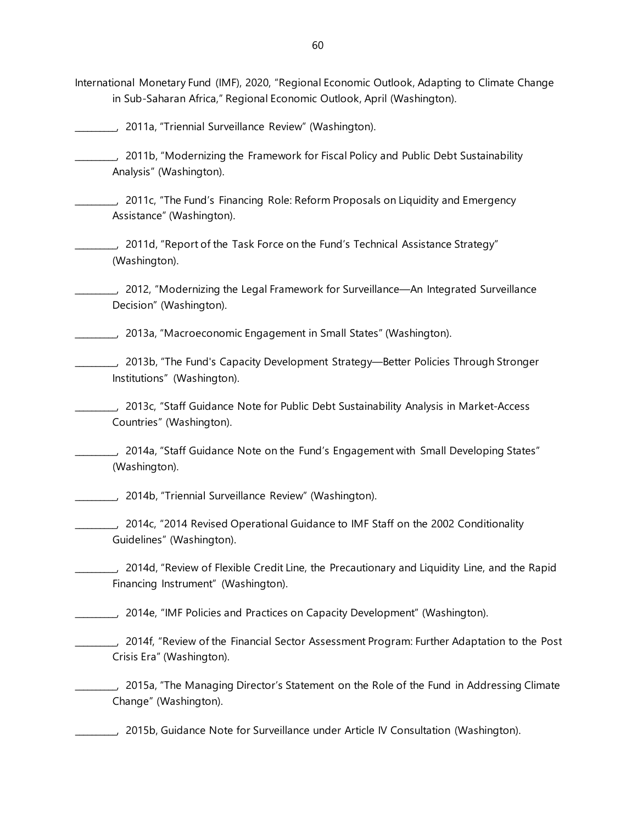International Monetary Fund (IMF), 2020, "Regional Economic Outlook, Adapting to Climate Change in Sub-Saharan Africa," Regional Economic Outlook, April (Washington).

\_\_\_\_\_\_\_\_\_\_, 2011a, "Triennial Surveillance Review" (Washington).

\_\_\_\_\_\_\_\_\_\_, 2011b, "Modernizing the Framework for Fiscal Policy and Public Debt Sustainability Analysis" (Washington).

\_\_\_\_\_\_\_\_\_\_, 2011c, "The Fund's Financing Role: Reform Proposals on Liquidity and Emergency Assistance" (Washington).

\_\_\_\_\_\_\_\_\_\_, 2011d, "Report of the Task Force on the Fund's Technical Assistance Strategy" (Washington).

\_\_\_\_\_\_\_\_\_\_, 2012, "Modernizing the Legal Framework for Surveillance—An Integrated Surveillance Decision" (Washington).

\_\_\_\_\_\_\_\_\_\_, 2013a, "Macroeconomic Engagement in Small States" (Washington).

\_\_\_\_\_\_\_\_\_\_, 2013b, "The Fund's Capacity Development Strategy—Better Policies Through Stronger Institutions" (Washington).

\_\_\_\_\_\_\_\_\_\_, 2013c, "Staff Guidance Note for Public Debt Sustainability Analysis in Market-Access Countries" (Washington).

\_\_\_\_\_\_\_\_\_\_, 2014a, "Staff Guidance Note on the Fund's Engagement with Small Developing States" (Washington).

\_\_\_\_\_\_\_\_\_\_, 2014b, "Triennial Surveillance Review" (Washington).

\_\_\_\_\_\_\_\_\_\_, 2014c, "2014 Revised Operational Guidance to IMF Staff on the 2002 Conditionality Guidelines" (Washington).

\_\_\_\_\_\_\_\_\_\_, 2014d, "Review of Flexible Credit Line, the Precautionary and Liquidity Line, and the Rapid Financing Instrument" (Washington).

\_\_\_\_\_\_\_\_\_\_, 2014e, "IMF Policies and Practices on Capacity Development" (Washington).

\_\_\_\_\_\_\_\_\_\_, 2014f, "Review of the Financial Sector Assessment Program: Further Adaptation to the Post Crisis Era" (Washington).

\_\_\_\_\_\_\_\_\_\_, 2015a, "The Managing Director's Statement on the Role of the Fund in Addressing Climate Change" (Washington).

\_\_\_\_\_\_\_\_\_\_, 2015b, Guidance Note for Surveillance under Article IV Consultation (Washington).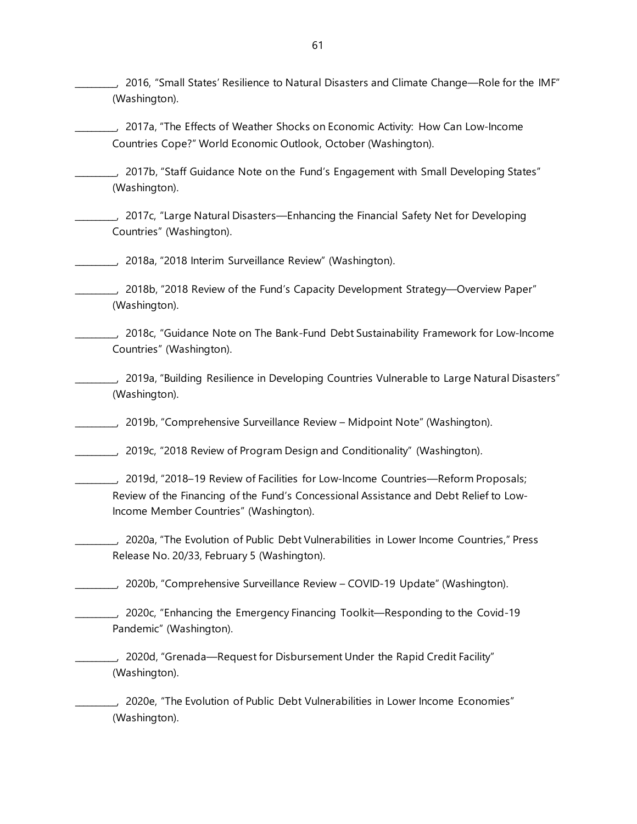\_\_\_\_\_\_\_\_\_\_, 2016, "Small States' Resilience to Natural Disasters and Climate Change—Role for the IMF" (Washington).

\_\_\_\_\_\_\_\_\_\_, 2017a, "The Effects of Weather Shocks on Economic Activity: How Can Low-Income Countries Cope?" World Economic Outlook, October (Washington).

\_\_\_\_\_\_\_\_\_\_, 2017b, "Staff Guidance Note on the Fund's Engagement with Small Developing States" (Washington).

\_\_\_\_\_\_\_\_\_\_, 2017c, "Large Natural Disasters—Enhancing the Financial Safety Net for Developing Countries" (Washington).

\_\_\_\_\_\_\_\_\_\_, 2018a, "2018 Interim Surveillance Review" (Washington).

\_\_\_\_\_\_\_\_\_\_, 2018b, "2018 Review of the Fund's Capacity Development Strategy—Overview Paper" (Washington).

\_\_\_\_\_\_\_\_\_\_, 2018c, "Guidance Note on The Bank-Fund Debt Sustainability Framework for Low-Income Countries" (Washington).

\_\_\_\_\_\_\_\_\_\_, 2019a, "Building Resilience in Developing Countries Vulnerable to Large Natural Disasters" (Washington).

\_\_\_\_\_\_\_\_\_\_, 2019b, "Comprehensive Surveillance Review – Midpoint Note" (Washington).

\_\_\_\_\_\_\_\_\_\_, 2019c, "2018 Review of Program Design and Conditionality" (Washington).

\_\_\_\_\_\_\_\_\_\_, 2019d, "2018–19 Review of Facilities for Low-Income Countries—Reform Proposals; Review of the Financing of the Fund's Concessional Assistance and Debt Relief to Low-Income Member Countries" (Washington).

\_\_\_\_\_\_\_\_\_\_, 2020a, "The Evolution of Public Debt Vulnerabilities in Lower Income Countries," Press Release No. 20/33, February 5 (Washington).

\_\_\_\_\_\_\_\_\_\_, 2020b, "Comprehensive Surveillance Review – COVID-19 Update" (Washington).

\_\_\_\_\_\_\_\_\_\_, 2020c, "Enhancing the Emergency Financing Toolkit—Responding to the Covid-19 Pandemic" (Washington).

\_\_\_\_\_\_\_\_\_\_, 2020d, "Grenada—Request for Disbursement Under the Rapid Credit Facility" (Washington).

\_\_\_\_\_\_\_\_\_\_, 2020e, "The Evolution of Public Debt Vulnerabilities in Lower Income Economies" (Washington).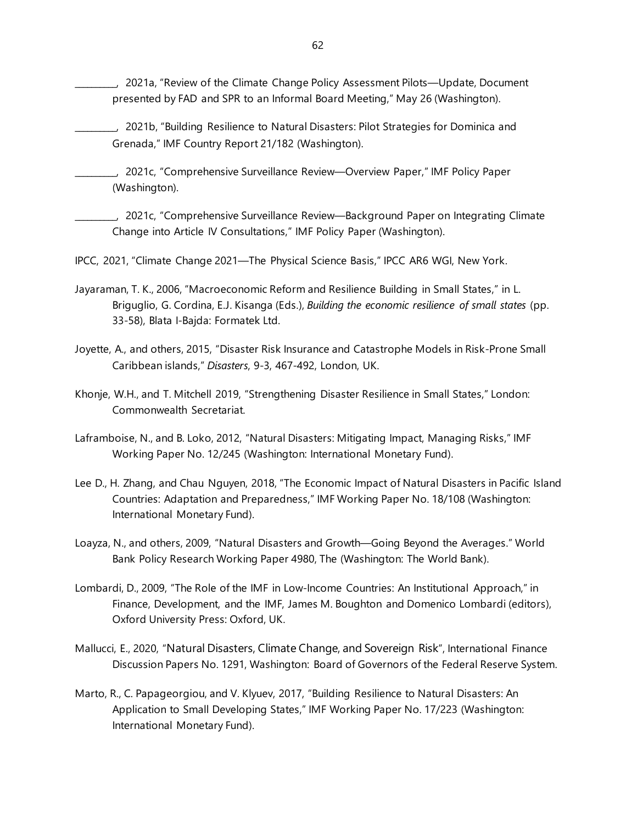\_\_\_\_\_\_\_\_\_\_, 2021a, "Review of the Climate Change Policy Assessment Pilots—Update, Document presented by FAD and SPR to an Informal Board Meeting," May 26 (Washington).

\_\_\_\_\_\_\_\_\_\_, 2021b, "Building Resilience to Natural Disasters: Pilot Strategies for Dominica and Grenada," IMF Country Report 21/182 (Washington).

\_\_\_\_\_\_\_\_\_\_, 2021c, "Comprehensive Surveillance Review—Overview Paper," IMF Policy Paper (Washington).

\_\_\_\_\_\_\_\_\_\_, 2021c, "Comprehensive Surveillance Review—Background Paper on Integrating Climate Change into Article IV Consultations," IMF Policy Paper (Washington).

IPCC, 2021, "Climate Change 2021—The Physical Science Basis," IPCC AR6 WGI, New York.

- Jayaraman, T. K., 2006, "Macroeconomic Reform and Resilience Building in Small States," in L. Briguglio, G. Cordina, E.J. Kisanga (Eds.), *Building the economic resilience of small states* (pp. 33-58), Blata I-Bajda: Formatek Ltd.
- Joyette, A., and others, 2015, "Disaster Risk Insurance and Catastrophe Models in Risk-Prone Small Caribbean islands," *Disasters*, 9-3, 467-492, London, UK.
- Khonje, W.H., and T. Mitchell 2019, "Strengthening Disaster Resilience in Small States," London: Commonwealth Secretariat.

Laframboise, N., and B. Loko, 2012, "Natural Disasters: Mitigating Impact, Managing Risks," IMF Working Paper No. 12/245 (Washington: International Monetary Fund).

- Lee D., H. Zhang, and Chau Nguyen, 2018, "The Economic Impact of Natural Disasters in Pacific Island Countries: Adaptation and Preparedness," IMF Working Paper No. 18/108 (Washington: International Monetary Fund).
- Loayza, N., and others, 2009, "Natural Disasters and Growth—Going Beyond the Averages." World Bank Policy Research Working Paper 4980, The (Washington: The World Bank).
- Lombardi, D., 2009, "The Role of the IMF in Low-Income Countries: An Institutional Approach," in Finance, Development, and the IMF, James M. Boughton and Domenico Lombardi (editors), Oxford University Press: Oxford, UK.
- Mallucci, E., 2020, "Natural Disasters, Climate Change, and Sovereign Risk", International Finance Discussion Papers No. 1291, Washington: Board of Governors of the Federal Reserve System.
- Marto, R., C. Papageorgiou, and V. Klyuev, 2017, "Building Resilience to Natural Disasters: An Application to Small Developing States," IMF Working Paper No. 17/223 (Washington: International Monetary Fund).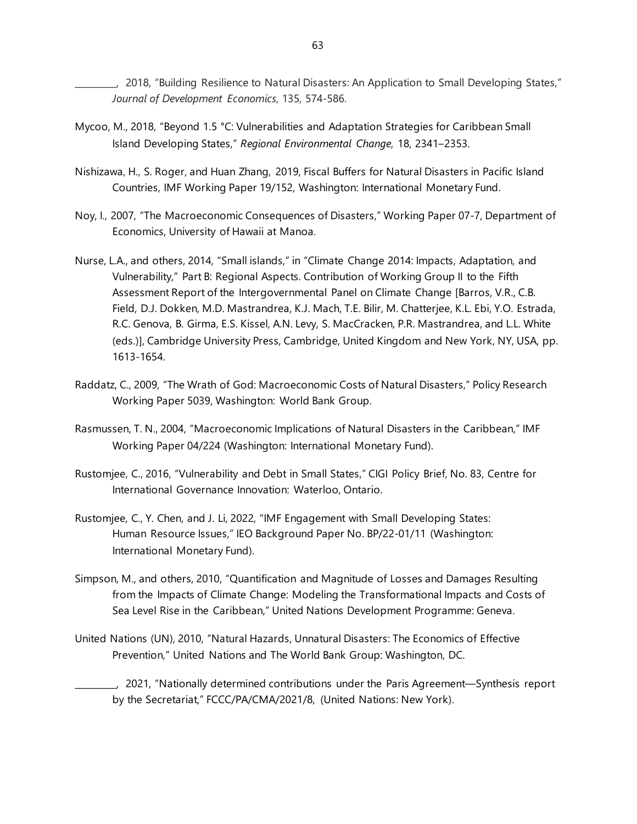\_\_\_\_\_\_\_\_\_\_, 2018, "Building Resilience to Natural Disasters: An Application to Small Developing States," *Journal of Development Economics*, 135, 574-586.

- Mycoo, M., 2018, "Beyond 1.5 °C: Vulnerabilities and Adaptation Strategies for Caribbean Small Island Developing States," *Regional Environmental Change*, 18, 2341–2353.
- Nishizawa, H., S. Roger, and Huan Zhang, 2019, Fiscal Buffers for Natural Disasters in Pacific Island Countries, IMF Working Paper 19/152, Washington: International Monetary Fund.
- Noy, I., 2007, "The Macroeconomic Consequences of Disasters," Working Paper 07-7, Department of Economics, University of Hawaii at Manoa.
- Nurse, L.A., and others, 2014, "Small islands," in "Climate Change 2014: Impacts, Adaptation, and Vulnerability," Part B: Regional Aspects. Contribution of Working Group II to the Fifth Assessment Report of the Intergovernmental Panel on Climate Change [Barros, V.R., C.B. Field, D.J. Dokken, M.D. Mastrandrea, K.J. Mach, T.E. Bilir, M. Chatterjee, K.L. Ebi, Y.O. Estrada, R.C. Genova, B. Girma, E.S. Kissel, A.N. Levy, S. MacCracken, P.R. Mastrandrea, and L.L. White (eds.)], Cambridge University Press, Cambridge, United Kingdom and New York, NY, USA, pp. 1613-1654.
- Raddatz, C., 2009, "The Wrath of God: Macroeconomic Costs of Natural Disasters," Policy Research Working Paper 5039, Washington: World Bank Group.
- Rasmussen, T. N., 2004, "Macroeconomic Implications of Natural Disasters in the Caribbean," IMF Working Paper 04/224 (Washington: International Monetary Fund).
- Rustomjee, C., 2016, "Vulnerability and Debt in Small States," CIGI Policy Brief, No. 83, Centre for International Governance Innovation: Waterloo, Ontario.
- Rustomjee, C., Y. Chen, and J. Li, 2022, "IMF Engagement with Small Developing States: Human Resource Issues," IEO Background Paper No. BP/22-01/11 (Washington: International Monetary Fund).
- Simpson, M., and others, 2010, "Quantification and Magnitude of Losses and Damages Resulting from the Impacts of Climate Change: Modeling the Transformational Impacts and Costs of Sea Level Rise in the Caribbean," United Nations Development Programme: Geneva.
- United Nations (UN), 2010, "Natural Hazards, Unnatural Disasters: The Economics of Effective Prevention," United Nations and The World Bank Group: Washington, DC.
	- \_\_\_\_\_\_\_\_\_\_, 2021, "Nationally determined contributions under the Paris Agreement—Synthesis report by the Secretariat," FCCC/PA/CMA/2021/8, (United Nations: New York).